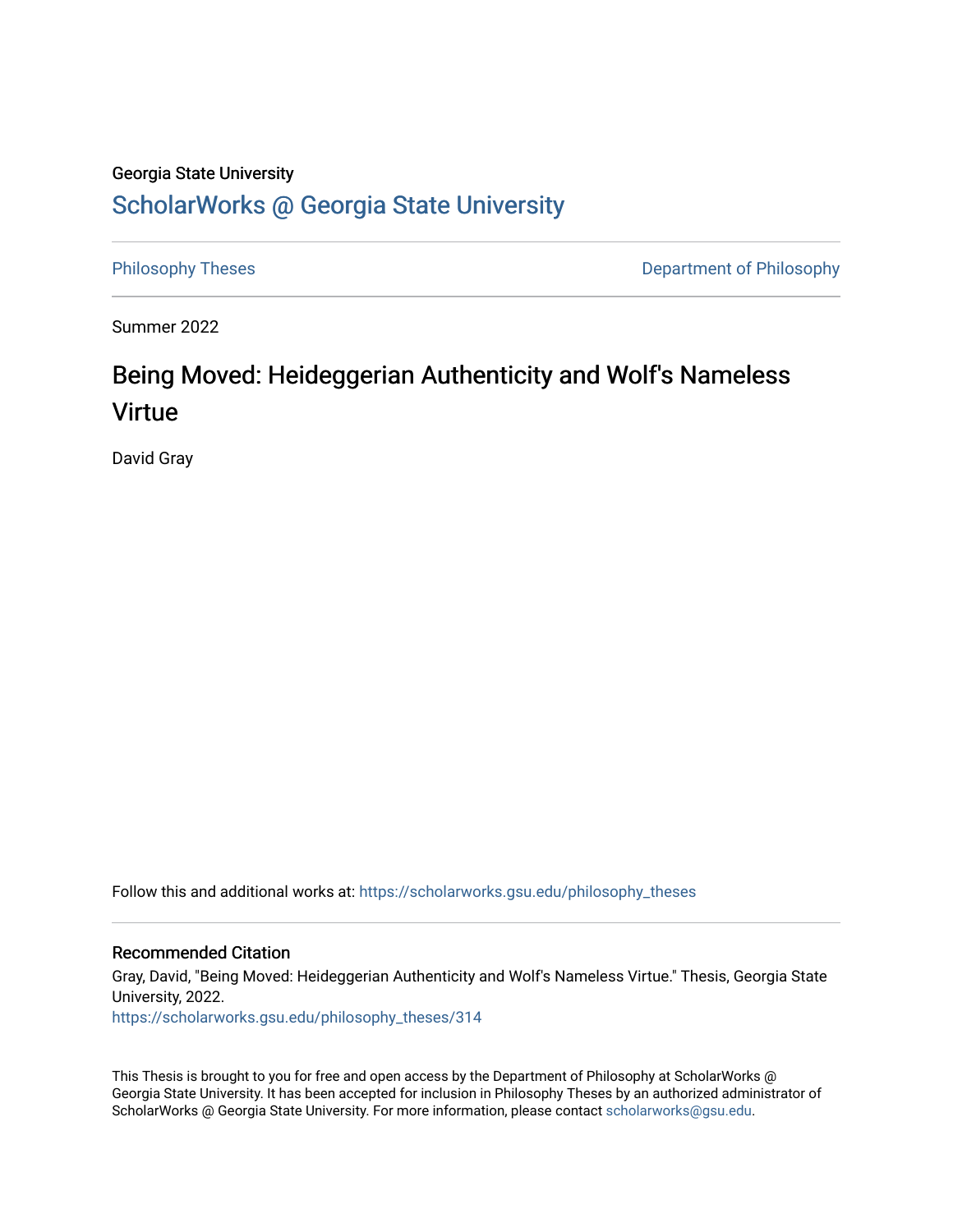# Georgia State University

# [ScholarWorks @ Georgia State University](https://scholarworks.gsu.edu/)

[Philosophy Theses](https://scholarworks.gsu.edu/philosophy_theses) **Department of Philosophy** 

Summer 2022

# Being Moved: Heideggerian Authenticity and Wolf's Nameless Virtue

David Gray

Follow this and additional works at: [https://scholarworks.gsu.edu/philosophy\\_theses](https://scholarworks.gsu.edu/philosophy_theses?utm_source=scholarworks.gsu.edu%2Fphilosophy_theses%2F314&utm_medium=PDF&utm_campaign=PDFCoverPages) 

## Recommended Citation

Gray, David, "Being Moved: Heideggerian Authenticity and Wolf's Nameless Virtue." Thesis, Georgia State University, 2022.

[https://scholarworks.gsu.edu/philosophy\\_theses/314](https://scholarworks.gsu.edu/philosophy_theses/314?utm_source=scholarworks.gsu.edu%2Fphilosophy_theses%2F314&utm_medium=PDF&utm_campaign=PDFCoverPages) 

This Thesis is brought to you for free and open access by the Department of Philosophy at ScholarWorks @ Georgia State University. It has been accepted for inclusion in Philosophy Theses by an authorized administrator of ScholarWorks @ Georgia State University. For more information, please contact [scholarworks@gsu.edu](mailto:scholarworks@gsu.edu).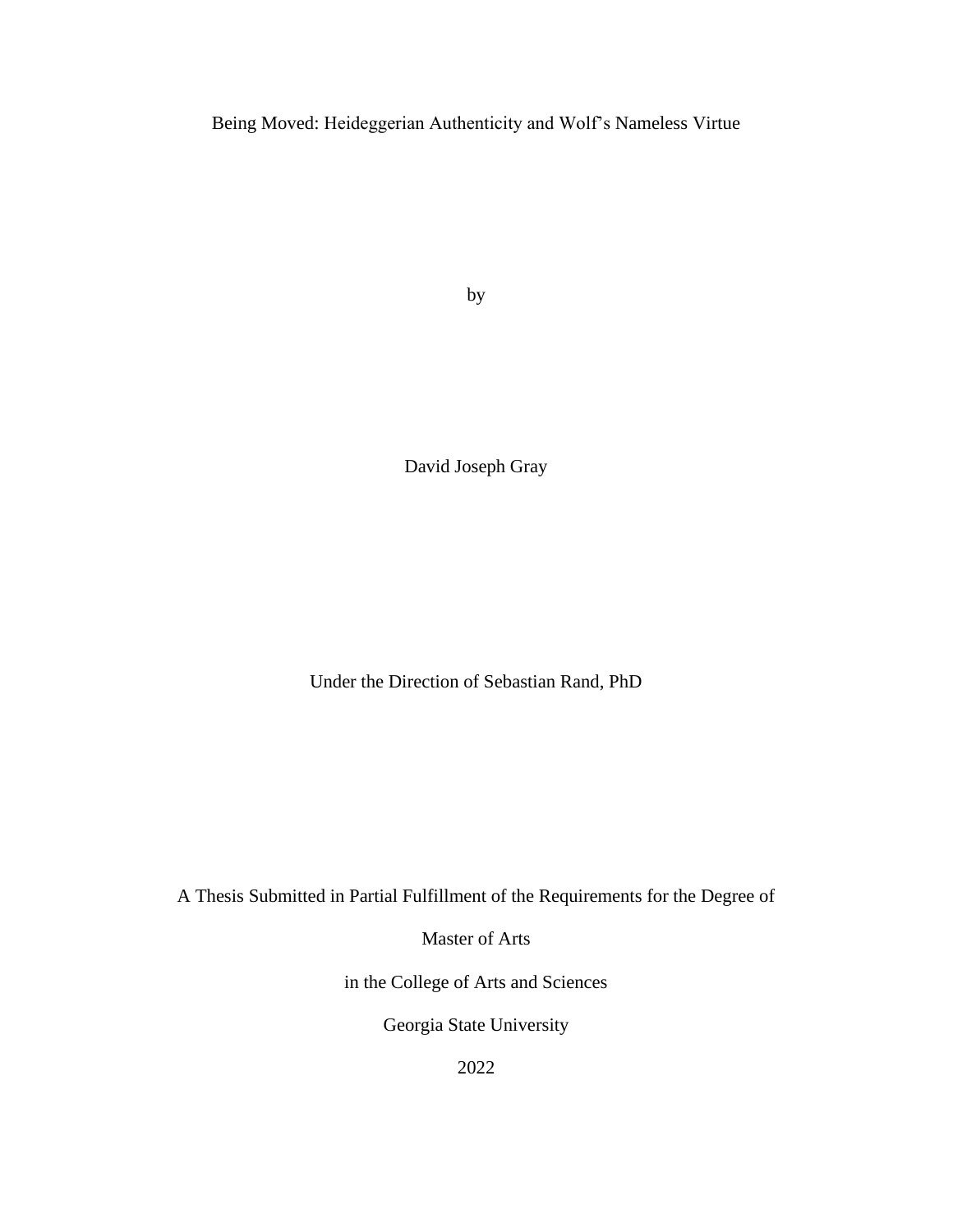Being Moved: Heideggerian Authenticity and Wolf's Nameless Virtue

by

David Joseph Gray

Under the Direction of Sebastian Rand, PhD

A Thesis Submitted in Partial Fulfillment of the Requirements for the Degree of

Master of Arts

in the College of Arts and Sciences

Georgia State University

2022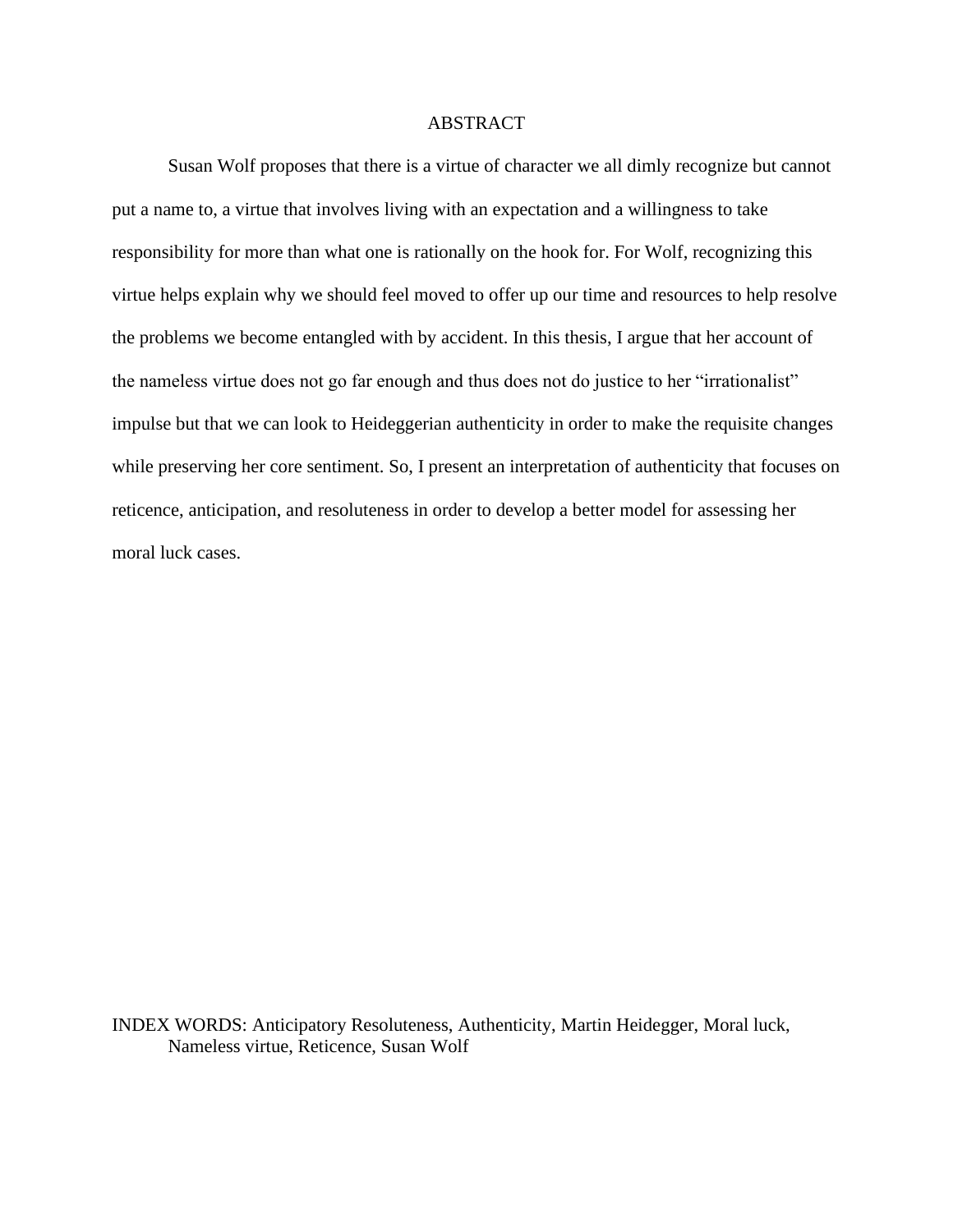## ABSTRACT

Susan Wolf proposes that there is a virtue of character we all dimly recognize but cannot put a name to, a virtue that involves living with an expectation and a willingness to take responsibility for more than what one is rationally on the hook for. For Wolf, recognizing this virtue helps explain why we should feel moved to offer up our time and resources to help resolve the problems we become entangled with by accident. In this thesis, I argue that her account of the nameless virtue does not go far enough and thus does not do justice to her "irrationalist" impulse but that we can look to Heideggerian authenticity in order to make the requisite changes while preserving her core sentiment. So, I present an interpretation of authenticity that focuses on reticence, anticipation, and resoluteness in order to develop a better model for assessing her moral luck cases.

INDEX WORDS: Anticipatory Resoluteness, Authenticity, Martin Heidegger, Moral luck, Nameless virtue, Reticence, Susan Wolf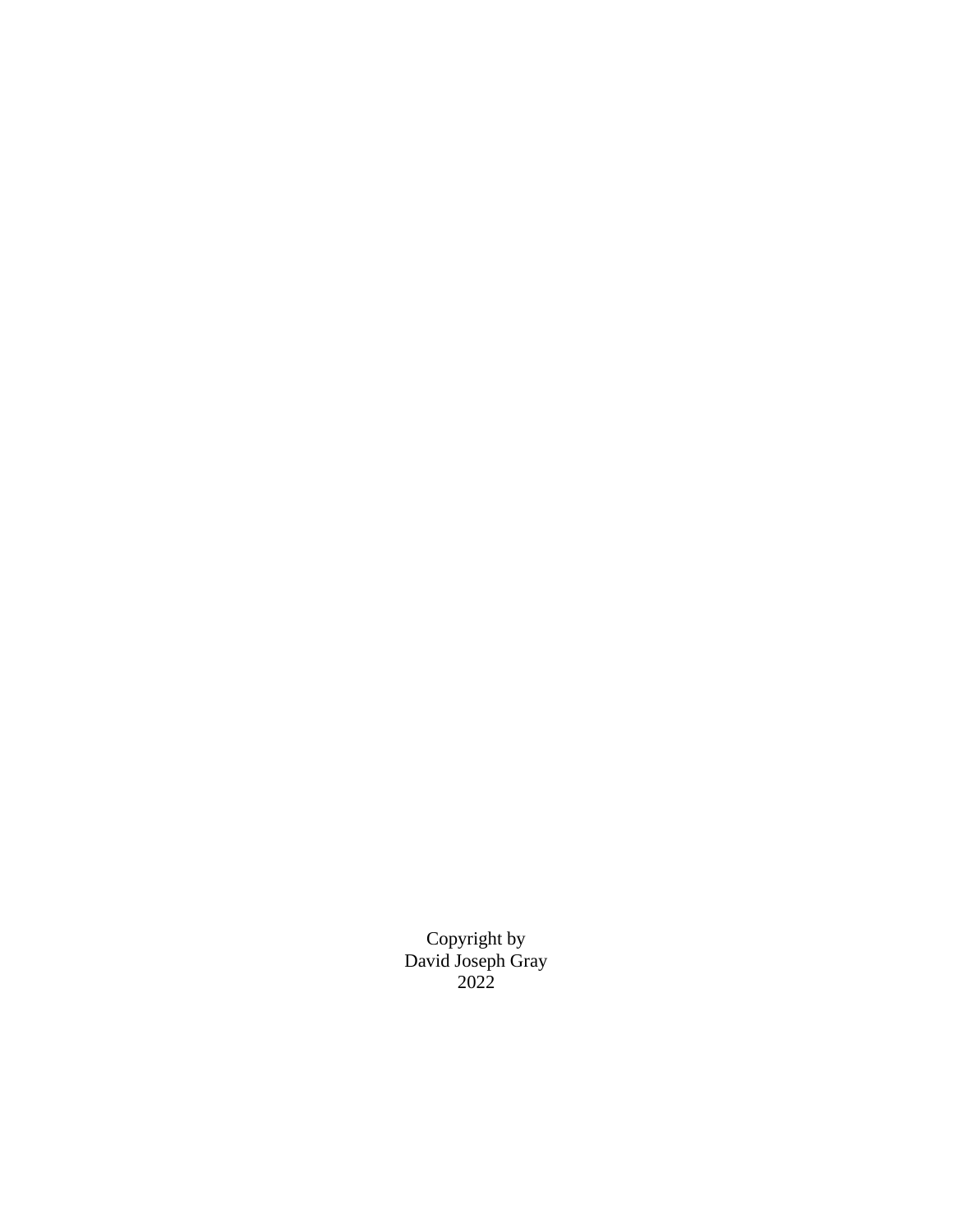Copyright by David Joseph Gray 2022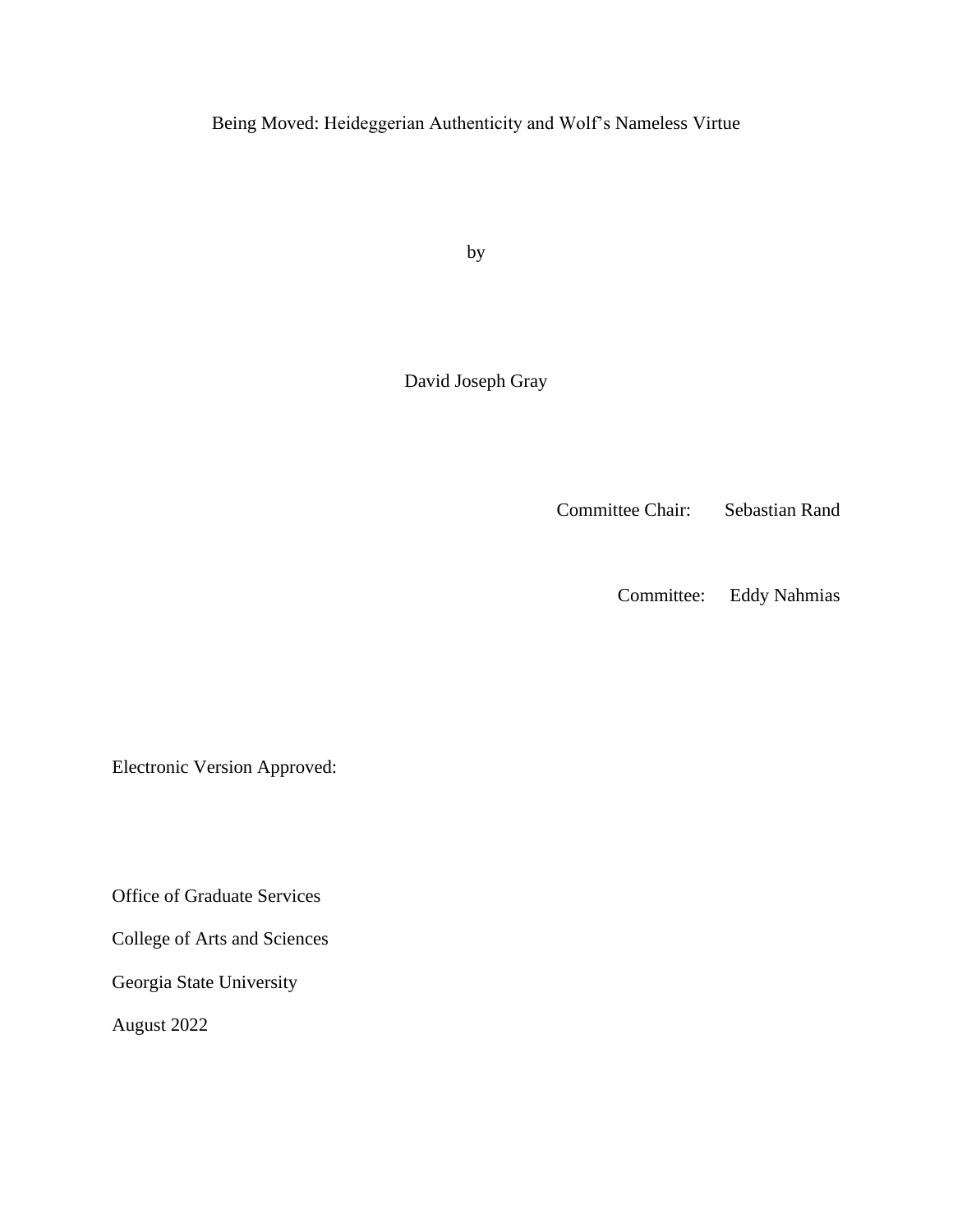Being Moved: Heideggerian Authenticity and Wolf's Nameless Virtue

by

David Joseph Gray

Committee Chair: Sebastian Rand

Committee: Eddy Nahmias

Electronic Version Approved:

Office of Graduate Services

College of Arts and Sciences

Georgia State University

August 2022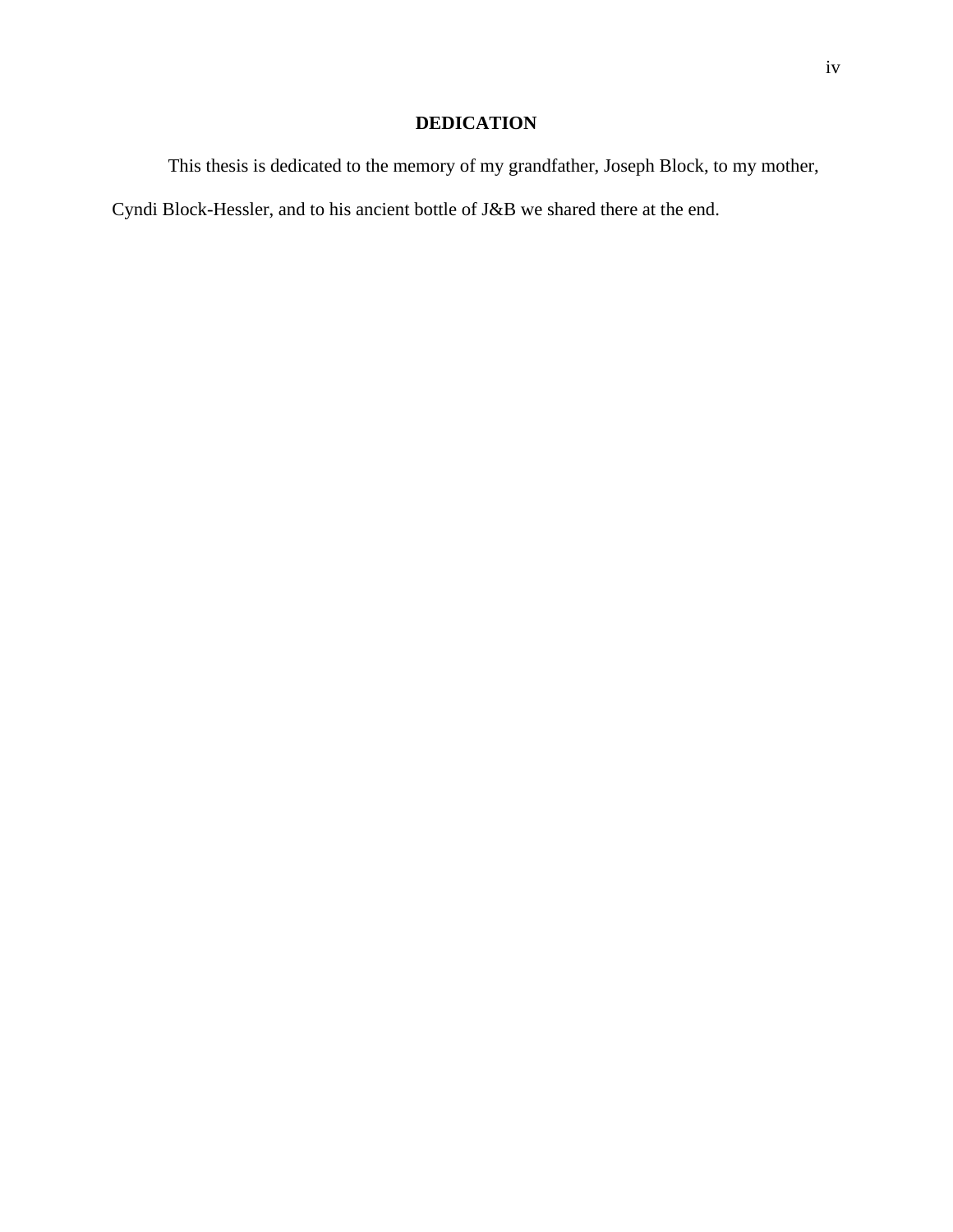# **DEDICATION**

This thesis is dedicated to the memory of my grandfather, Joseph Block, to my mother,

Cyndi Block-Hessler, and to his ancient bottle of J&B we shared there at the end.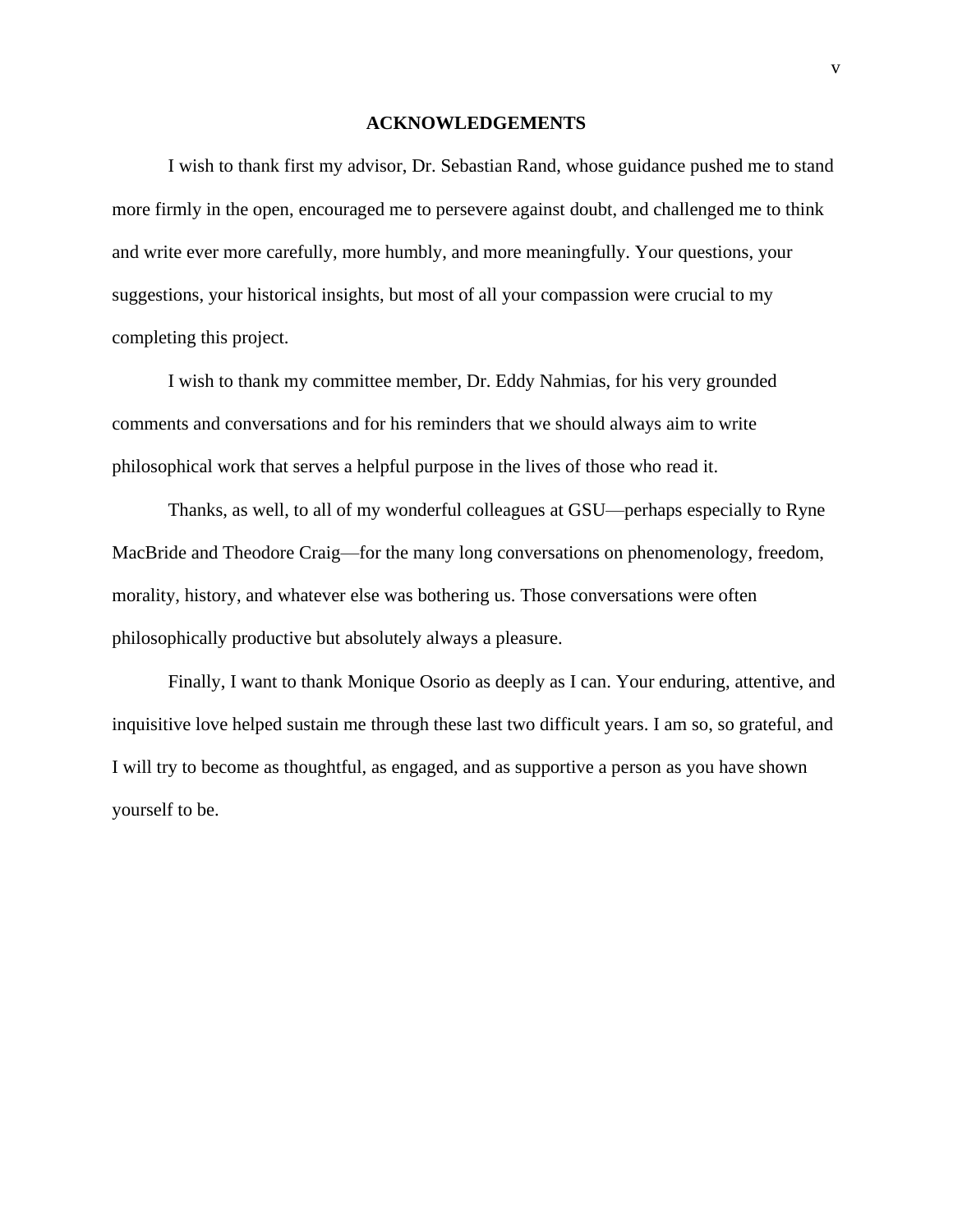#### **ACKNOWLEDGEMENTS**

<span id="page-6-0"></span>I wish to thank first my advisor, Dr. Sebastian Rand, whose guidance pushed me to stand more firmly in the open, encouraged me to persevere against doubt, and challenged me to think and write ever more carefully, more humbly, and more meaningfully. Your questions, your suggestions, your historical insights, but most of all your compassion were crucial to my completing this project.

I wish to thank my committee member, Dr. Eddy Nahmias, for his very grounded comments and conversations and for his reminders that we should always aim to write philosophical work that serves a helpful purpose in the lives of those who read it.

Thanks, as well, to all of my wonderful colleagues at GSU—perhaps especially to Ryne MacBride and Theodore Craig—for the many long conversations on phenomenology, freedom, morality, history, and whatever else was bothering us. Those conversations were often philosophically productive but absolutely always a pleasure.

Finally, I want to thank Monique Osorio as deeply as I can. Your enduring, attentive, and inquisitive love helped sustain me through these last two difficult years. I am so, so grateful, and I will try to become as thoughtful, as engaged, and as supportive a person as you have shown yourself to be.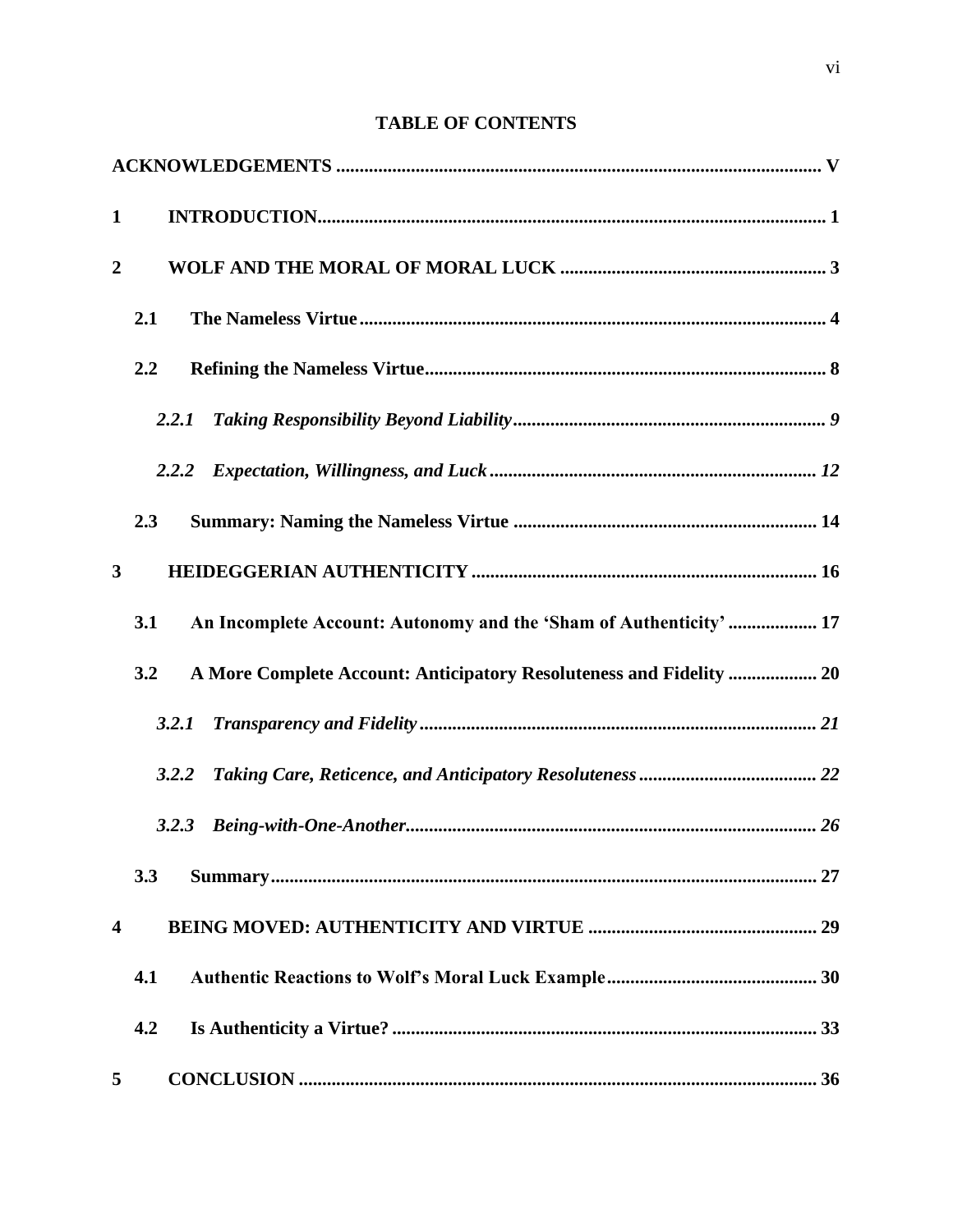# **TABLE OF CONTENTS**

| $\mathbf{1}$            |                                                                            |  |
|-------------------------|----------------------------------------------------------------------------|--|
| $\boldsymbol{2}$        |                                                                            |  |
|                         | 2.1                                                                        |  |
|                         | 2.2                                                                        |  |
|                         | 2.2.1                                                                      |  |
|                         | 2.2.2                                                                      |  |
|                         | 2.3                                                                        |  |
| 3                       |                                                                            |  |
|                         | An Incomplete Account: Autonomy and the 'Sham of Authenticity'  17<br>3.1  |  |
|                         | A More Complete Account: Anticipatory Resoluteness and Fidelity  20<br>3.2 |  |
|                         | 3.2.1                                                                      |  |
|                         | 3.2.2                                                                      |  |
|                         | 3.2.3                                                                      |  |
|                         | 3.3                                                                        |  |
| $\overline{\mathbf{4}}$ |                                                                            |  |
|                         | 4.1                                                                        |  |
|                         | 4.2                                                                        |  |
| 5                       |                                                                            |  |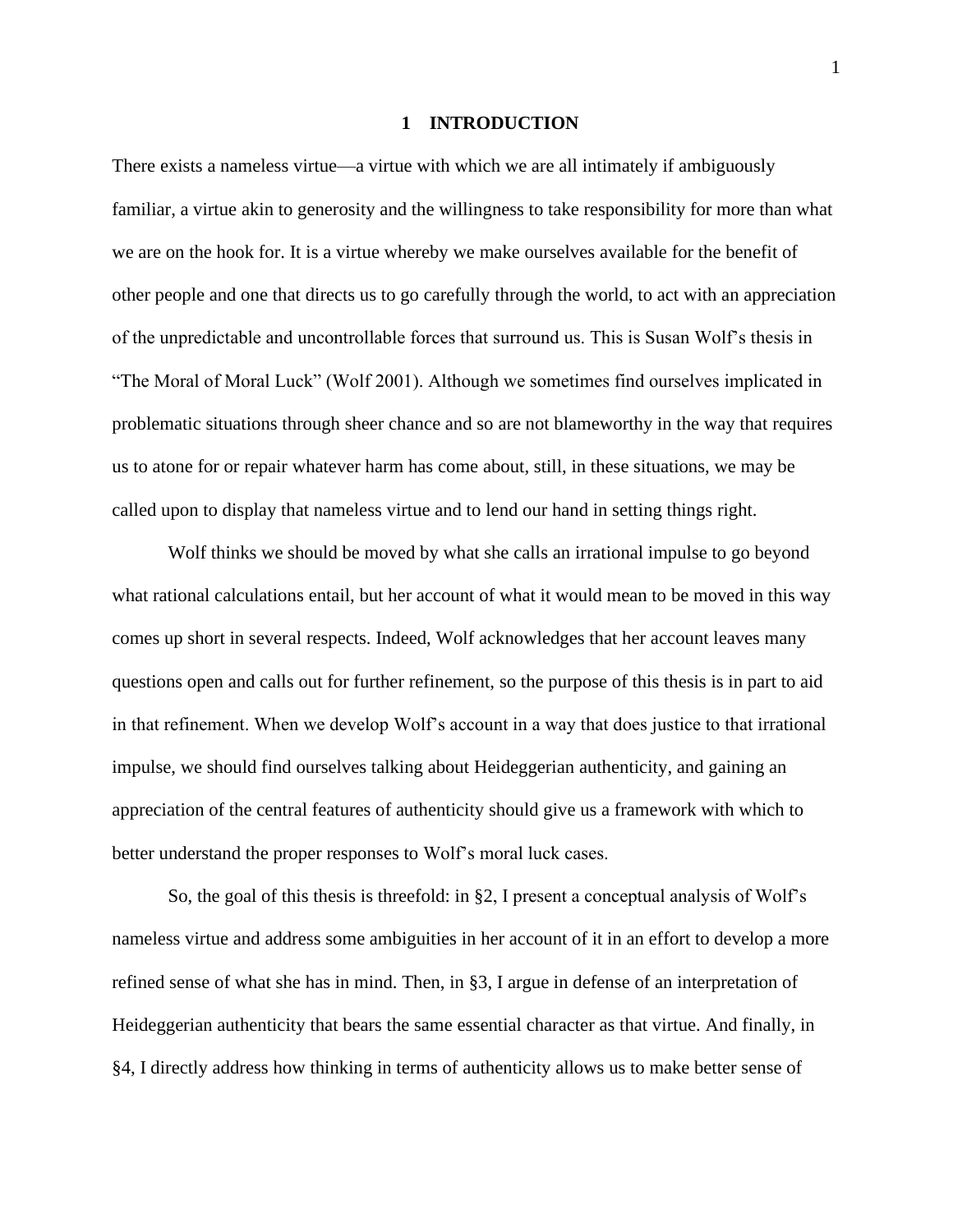#### **1 INTRODUCTION**

<span id="page-9-0"></span>There exists a nameless virtue—a virtue with which we are all intimately if ambiguously familiar, a virtue akin to generosity and the willingness to take responsibility for more than what we are on the hook for. It is a virtue whereby we make ourselves available for the benefit of other people and one that directs us to go carefully through the world, to act with an appreciation of the unpredictable and uncontrollable forces that surround us. This is Susan Wolf's thesis in "The Moral of Moral Luck" (Wolf 2001). Although we sometimes find ourselves implicated in problematic situations through sheer chance and so are not blameworthy in the way that requires us to atone for or repair whatever harm has come about, still, in these situations, we may be called upon to display that nameless virtue and to lend our hand in setting things right.

Wolf thinks we should be moved by what she calls an irrational impulse to go beyond what rational calculations entail, but her account of what it would mean to be moved in this way comes up short in several respects. Indeed, Wolf acknowledges that her account leaves many questions open and calls out for further refinement, so the purpose of this thesis is in part to aid in that refinement. When we develop Wolf's account in a way that does justice to that irrational impulse, we should find ourselves talking about Heideggerian authenticity, and gaining an appreciation of the central features of authenticity should give us a framework with which to better understand the proper responses to Wolf's moral luck cases.

So, the goal of this thesis is threefold: in §2, I present a conceptual analysis of Wolf's nameless virtue and address some ambiguities in her account of it in an effort to develop a more refined sense of what she has in mind. Then, in §3, I argue in defense of an interpretation of Heideggerian authenticity that bears the same essential character as that virtue. And finally, in §4, I directly address how thinking in terms of authenticity allows us to make better sense of

1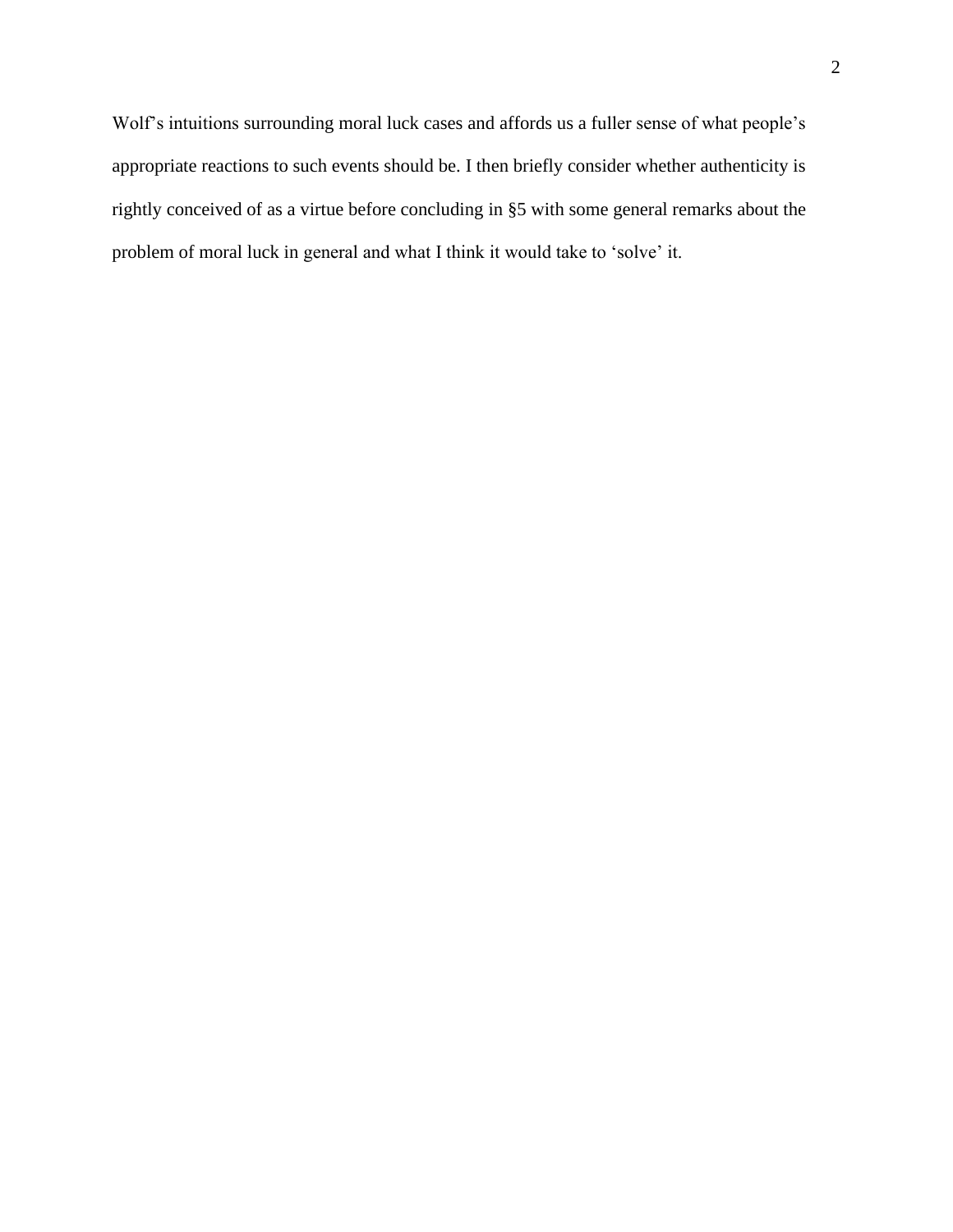Wolf's intuitions surrounding moral luck cases and affords us a fuller sense of what people's appropriate reactions to such events should be. I then briefly consider whether authenticity is rightly conceived of as a virtue before concluding in §5 with some general remarks about the problem of moral luck in general and what I think it would take to 'solve' it.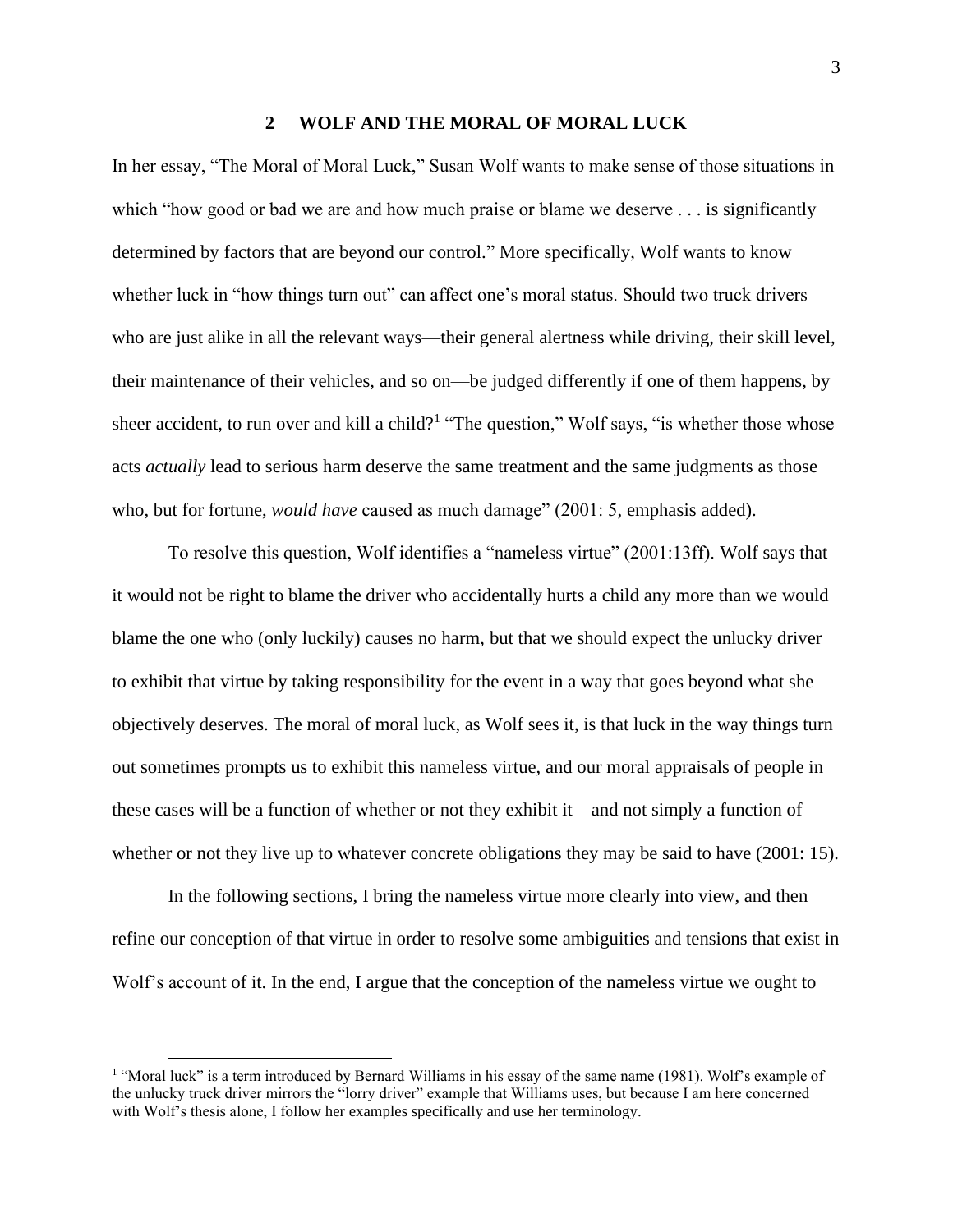#### **2 WOLF AND THE MORAL OF MORAL LUCK**

<span id="page-11-0"></span>In her essay, "The Moral of Moral Luck," Susan Wolf wants to make sense of those situations in which "how good or bad we are and how much praise or blame we deserve . . . is significantly determined by factors that are beyond our control." More specifically, Wolf wants to know whether luck in "how things turn out" can affect one's moral status. Should two truck drivers who are just alike in all the relevant ways—their general alertness while driving, their skill level, their maintenance of their vehicles, and so on—be judged differently if one of them happens, by sheer accident, to run over and kill a child?<sup>1</sup> "The question," Wolf says, "is whether those whose acts *actually* lead to serious harm deserve the same treatment and the same judgments as those who, but for fortune, *would have* caused as much damage" (2001: 5, emphasis added).

To resolve this question, Wolf identifies a "nameless virtue" (2001:13ff). Wolf says that it would not be right to blame the driver who accidentally hurts a child any more than we would blame the one who (only luckily) causes no harm, but that we should expect the unlucky driver to exhibit that virtue by taking responsibility for the event in a way that goes beyond what she objectively deserves. The moral of moral luck, as Wolf sees it, is that luck in the way things turn out sometimes prompts us to exhibit this nameless virtue, and our moral appraisals of people in these cases will be a function of whether or not they exhibit it—and not simply a function of whether or not they live up to whatever concrete obligations they may be said to have (2001: 15).

In the following sections, I bring the nameless virtue more clearly into view, and then refine our conception of that virtue in order to resolve some ambiguities and tensions that exist in Wolf's account of it. In the end, I argue that the conception of the nameless virtue we ought to

<sup>&</sup>lt;sup>1</sup> "Moral luck" is a term introduced by Bernard Williams in his essay of the same name (1981). Wolf's example of the unlucky truck driver mirrors the "lorry driver" example that Williams uses, but because I am here concerned with Wolf's thesis alone, I follow her examples specifically and use her terminology.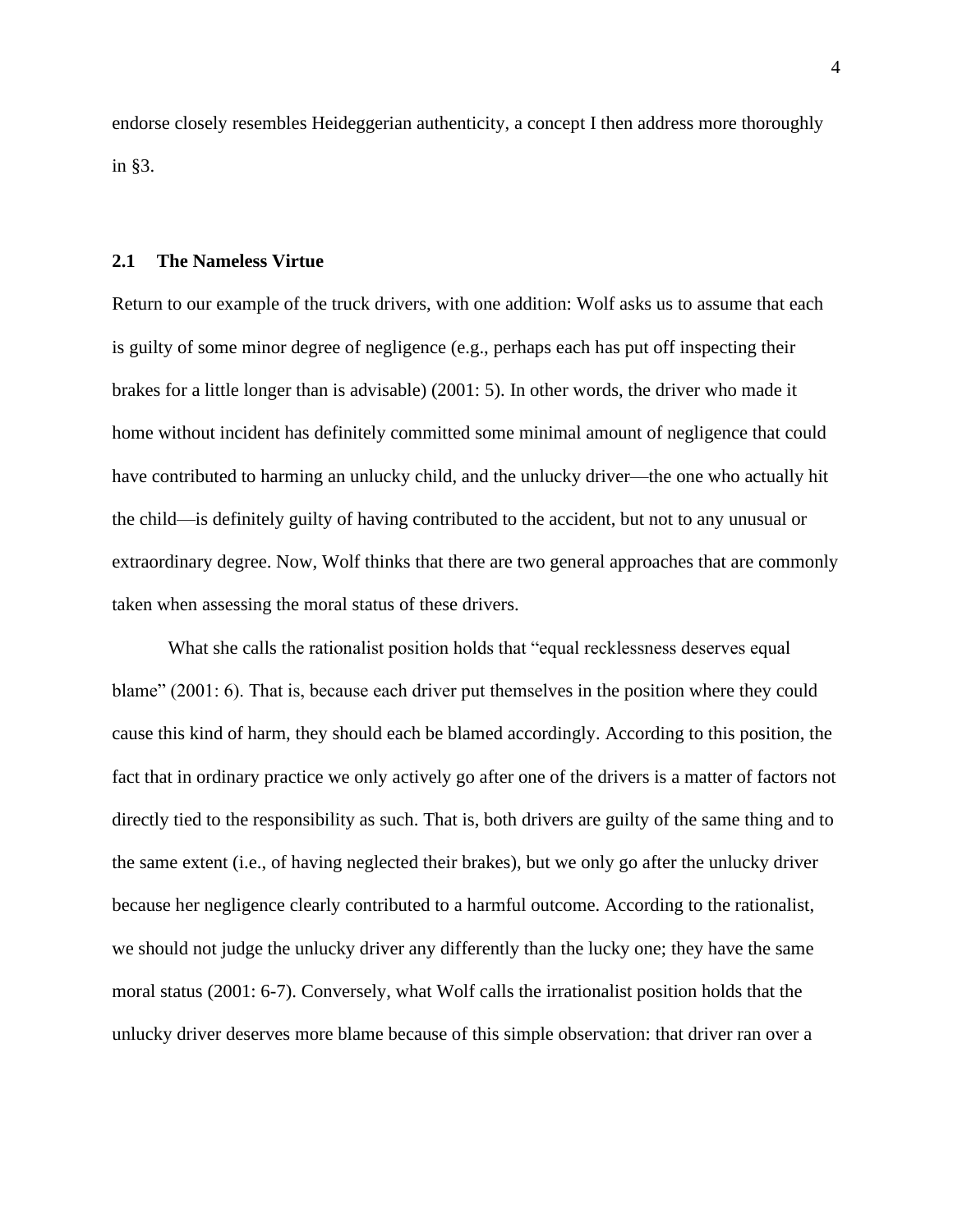endorse closely resembles Heideggerian authenticity, a concept I then address more thoroughly in §3.

#### <span id="page-12-0"></span>**2.1 The Nameless Virtue**

Return to our example of the truck drivers, with one addition: Wolf asks us to assume that each is guilty of some minor degree of negligence (e.g., perhaps each has put off inspecting their brakes for a little longer than is advisable) (2001: 5). In other words, the driver who made it home without incident has definitely committed some minimal amount of negligence that could have contributed to harming an unlucky child, and the unlucky driver—the one who actually hit the child—is definitely guilty of having contributed to the accident, but not to any unusual or extraordinary degree. Now, Wolf thinks that there are two general approaches that are commonly taken when assessing the moral status of these drivers.

What she calls the rationalist position holds that "equal recklessness deserves equal blame" (2001: 6). That is, because each driver put themselves in the position where they could cause this kind of harm, they should each be blamed accordingly. According to this position, the fact that in ordinary practice we only actively go after one of the drivers is a matter of factors not directly tied to the responsibility as such. That is, both drivers are guilty of the same thing and to the same extent (i.e., of having neglected their brakes), but we only go after the unlucky driver because her negligence clearly contributed to a harmful outcome. According to the rationalist, we should not judge the unlucky driver any differently than the lucky one; they have the same moral status (2001: 6-7). Conversely, what Wolf calls the irrationalist position holds that the unlucky driver deserves more blame because of this simple observation: that driver ran over a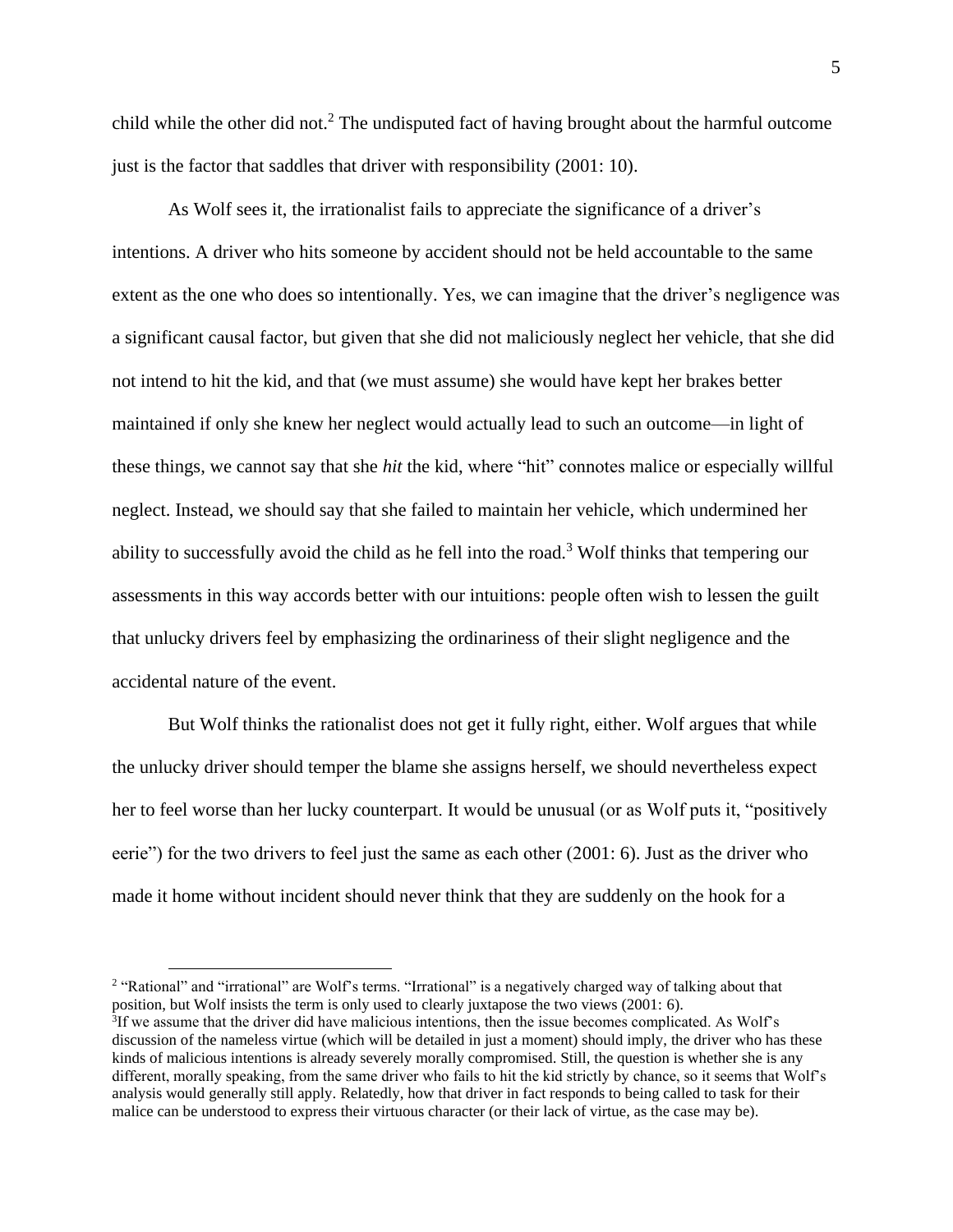child while the other did not.<sup>2</sup> The undisputed fact of having brought about the harmful outcome just is the factor that saddles that driver with responsibility (2001: 10).

As Wolf sees it, the irrationalist fails to appreciate the significance of a driver's intentions. A driver who hits someone by accident should not be held accountable to the same extent as the one who does so intentionally. Yes, we can imagine that the driver's negligence was a significant causal factor, but given that she did not maliciously neglect her vehicle, that she did not intend to hit the kid, and that (we must assume) she would have kept her brakes better maintained if only she knew her neglect would actually lead to such an outcome—in light of these things, we cannot say that she *hit* the kid, where "hit" connotes malice or especially willful neglect. Instead, we should say that she failed to maintain her vehicle, which undermined her ability to successfully avoid the child as he fell into the road.<sup>3</sup> Wolf thinks that tempering our assessments in this way accords better with our intuitions: people often wish to lessen the guilt that unlucky drivers feel by emphasizing the ordinariness of their slight negligence and the accidental nature of the event.

But Wolf thinks the rationalist does not get it fully right, either. Wolf argues that while the unlucky driver should temper the blame she assigns herself, we should nevertheless expect her to feel worse than her lucky counterpart. It would be unusual (or as Wolf puts it, "positively eerie") for the two drivers to feel just the same as each other (2001: 6). Just as the driver who made it home without incident should never think that they are suddenly on the hook for a

<sup>2</sup> "Rational" and "irrational" are Wolf's terms. "Irrational" is a negatively charged way of talking about that position, but Wolf insists the term is only used to clearly juxtapose the two views (2001: 6). <sup>3</sup>If we assume that the driver did have malicious intentions, then the issue becomes complicated. As Wolf's discussion of the nameless virtue (which will be detailed in just a moment) should imply, the driver who has these kinds of malicious intentions is already severely morally compromised. Still, the question is whether she is any different, morally speaking, from the same driver who fails to hit the kid strictly by chance, so it seems that Wolf's analysis would generally still apply. Relatedly, how that driver in fact responds to being called to task for their malice can be understood to express their virtuous character (or their lack of virtue, as the case may be).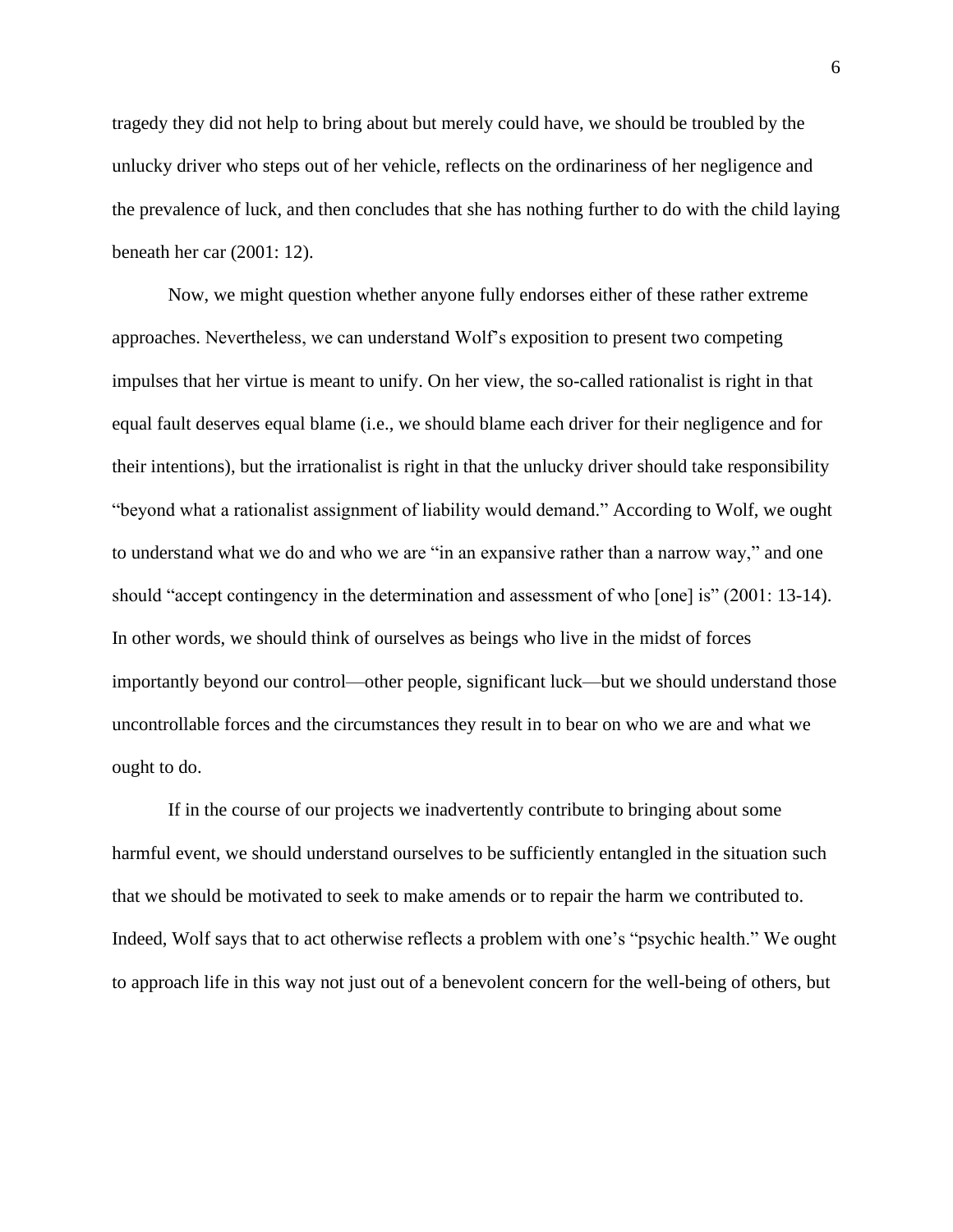tragedy they did not help to bring about but merely could have, we should be troubled by the unlucky driver who steps out of her vehicle, reflects on the ordinariness of her negligence and the prevalence of luck, and then concludes that she has nothing further to do with the child laying beneath her car (2001: 12).

Now, we might question whether anyone fully endorses either of these rather extreme approaches. Nevertheless, we can understand Wolf's exposition to present two competing impulses that her virtue is meant to unify. On her view, the so-called rationalist is right in that equal fault deserves equal blame (i.e., we should blame each driver for their negligence and for their intentions), but the irrationalist is right in that the unlucky driver should take responsibility "beyond what a rationalist assignment of liability would demand." According to Wolf, we ought to understand what we do and who we are "in an expansive rather than a narrow way," and one should "accept contingency in the determination and assessment of who [one] is" (2001: 13-14). In other words, we should think of ourselves as beings who live in the midst of forces importantly beyond our control—other people, significant luck—but we should understand those uncontrollable forces and the circumstances they result in to bear on who we are and what we ought to do.

If in the course of our projects we inadvertently contribute to bringing about some harmful event, we should understand ourselves to be sufficiently entangled in the situation such that we should be motivated to seek to make amends or to repair the harm we contributed to. Indeed, Wolf says that to act otherwise reflects a problem with one's "psychic health." We ought to approach life in this way not just out of a benevolent concern for the well-being of others, but

6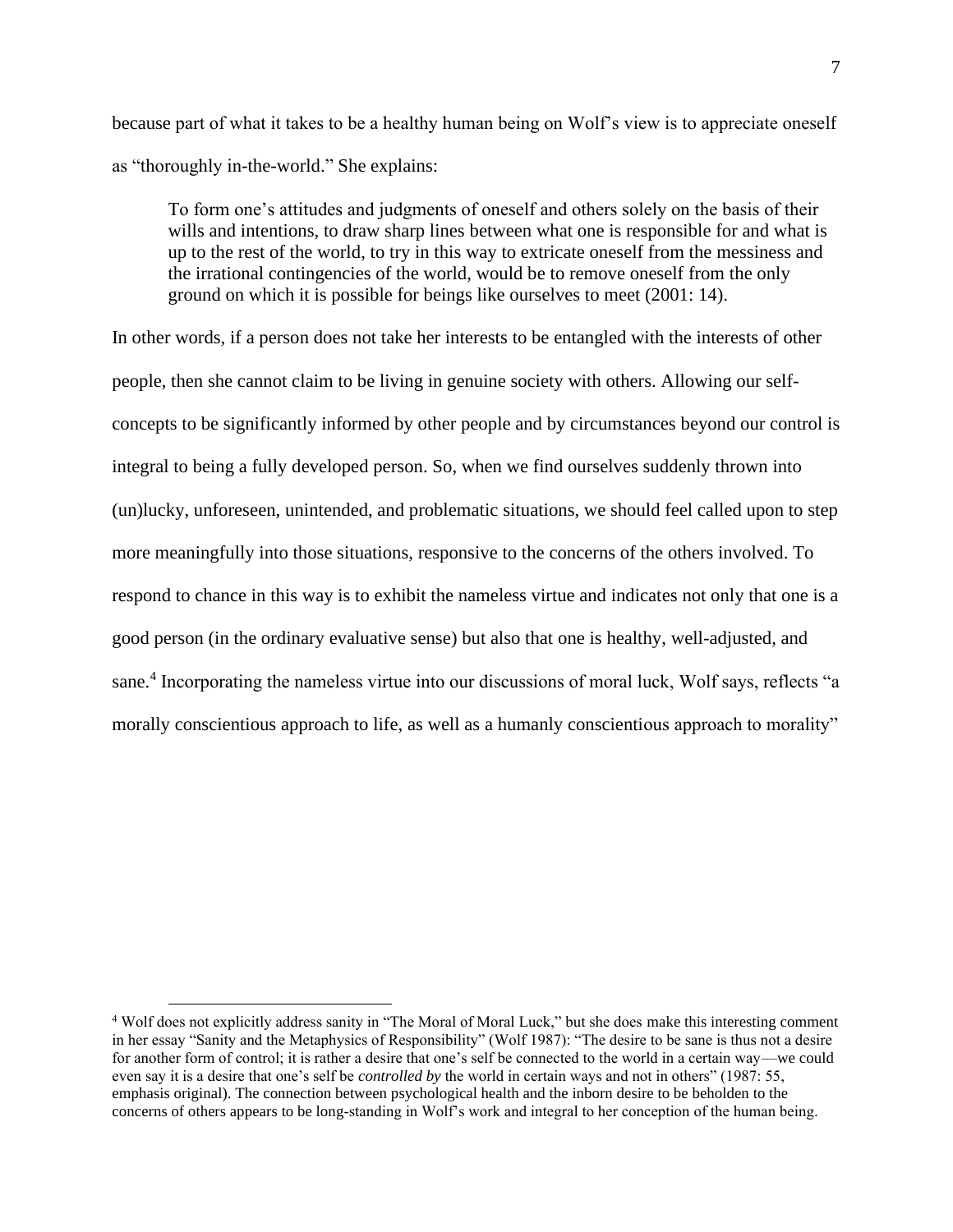because part of what it takes to be a healthy human being on Wolf's view is to appreciate oneself as "thoroughly in-the-world." She explains:

To form one's attitudes and judgments of oneself and others solely on the basis of their wills and intentions, to draw sharp lines between what one is responsible for and what is up to the rest of the world, to try in this way to extricate oneself from the messiness and the irrational contingencies of the world, would be to remove oneself from the only ground on which it is possible for beings like ourselves to meet (2001: 14).

In other words, if a person does not take her interests to be entangled with the interests of other people, then she cannot claim to be living in genuine society with others. Allowing our selfconcepts to be significantly informed by other people and by circumstances beyond our control is integral to being a fully developed person. So, when we find ourselves suddenly thrown into (un)lucky, unforeseen, unintended, and problematic situations, we should feel called upon to step more meaningfully into those situations, responsive to the concerns of the others involved. To respond to chance in this way is to exhibit the nameless virtue and indicates not only that one is a good person (in the ordinary evaluative sense) but also that one is healthy, well-adjusted, and sane.<sup>4</sup> Incorporating the nameless virtue into our discussions of moral luck, Wolf says, reflects "a morally conscientious approach to life, as well as a humanly conscientious approach to morality"

<sup>4</sup> Wolf does not explicitly address sanity in "The Moral of Moral Luck," but she does make this interesting comment in her essay "Sanity and the Metaphysics of Responsibility" (Wolf 1987): "The desire to be sane is thus not a desire for another form of control; it is rather a desire that one's self be connected to the world in a certain way—we could even say it is a desire that one's self be *controlled by* the world in certain ways and not in others" (1987: 55, emphasis original). The connection between psychological health and the inborn desire to be beholden to the concerns of others appears to be long-standing in Wolf's work and integral to her conception of the human being.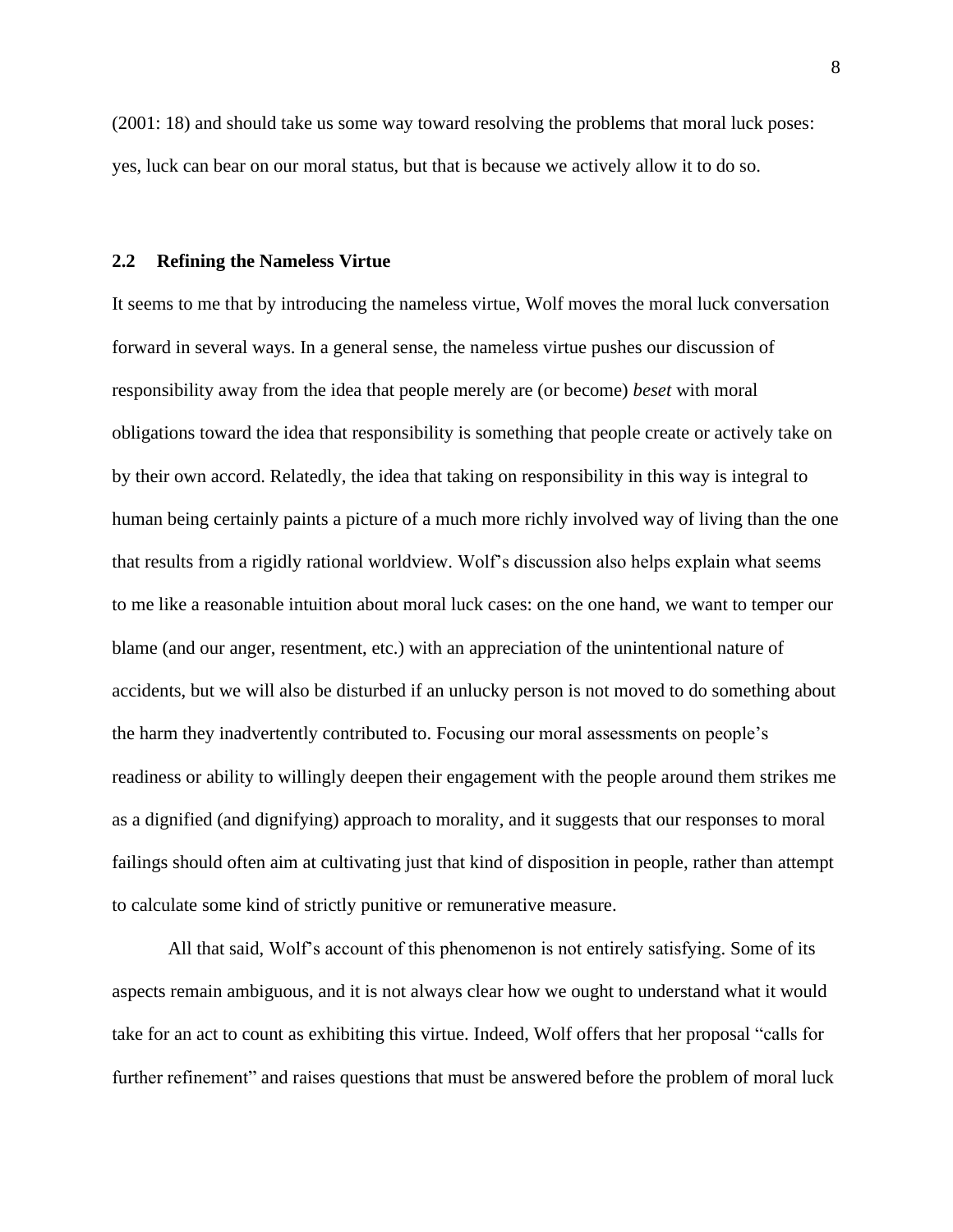(2001: 18) and should take us some way toward resolving the problems that moral luck poses: yes, luck can bear on our moral status, but that is because we actively allow it to do so.

## <span id="page-16-0"></span>**2.2 Refining the Nameless Virtue**

It seems to me that by introducing the nameless virtue, Wolf moves the moral luck conversation forward in several ways. In a general sense, the nameless virtue pushes our discussion of responsibility away from the idea that people merely are (or become) *beset* with moral obligations toward the idea that responsibility is something that people create or actively take on by their own accord. Relatedly, the idea that taking on responsibility in this way is integral to human being certainly paints a picture of a much more richly involved way of living than the one that results from a rigidly rational worldview. Wolf's discussion also helps explain what seems to me like a reasonable intuition about moral luck cases: on the one hand, we want to temper our blame (and our anger, resentment, etc.) with an appreciation of the unintentional nature of accidents, but we will also be disturbed if an unlucky person is not moved to do something about the harm they inadvertently contributed to. Focusing our moral assessments on people's readiness or ability to willingly deepen their engagement with the people around them strikes me as a dignified (and dignifying) approach to morality, and it suggests that our responses to moral failings should often aim at cultivating just that kind of disposition in people, rather than attempt to calculate some kind of strictly punitive or remunerative measure.

All that said, Wolf's account of this phenomenon is not entirely satisfying. Some of its aspects remain ambiguous, and it is not always clear how we ought to understand what it would take for an act to count as exhibiting this virtue. Indeed, Wolf offers that her proposal "calls for further refinement" and raises questions that must be answered before the problem of moral luck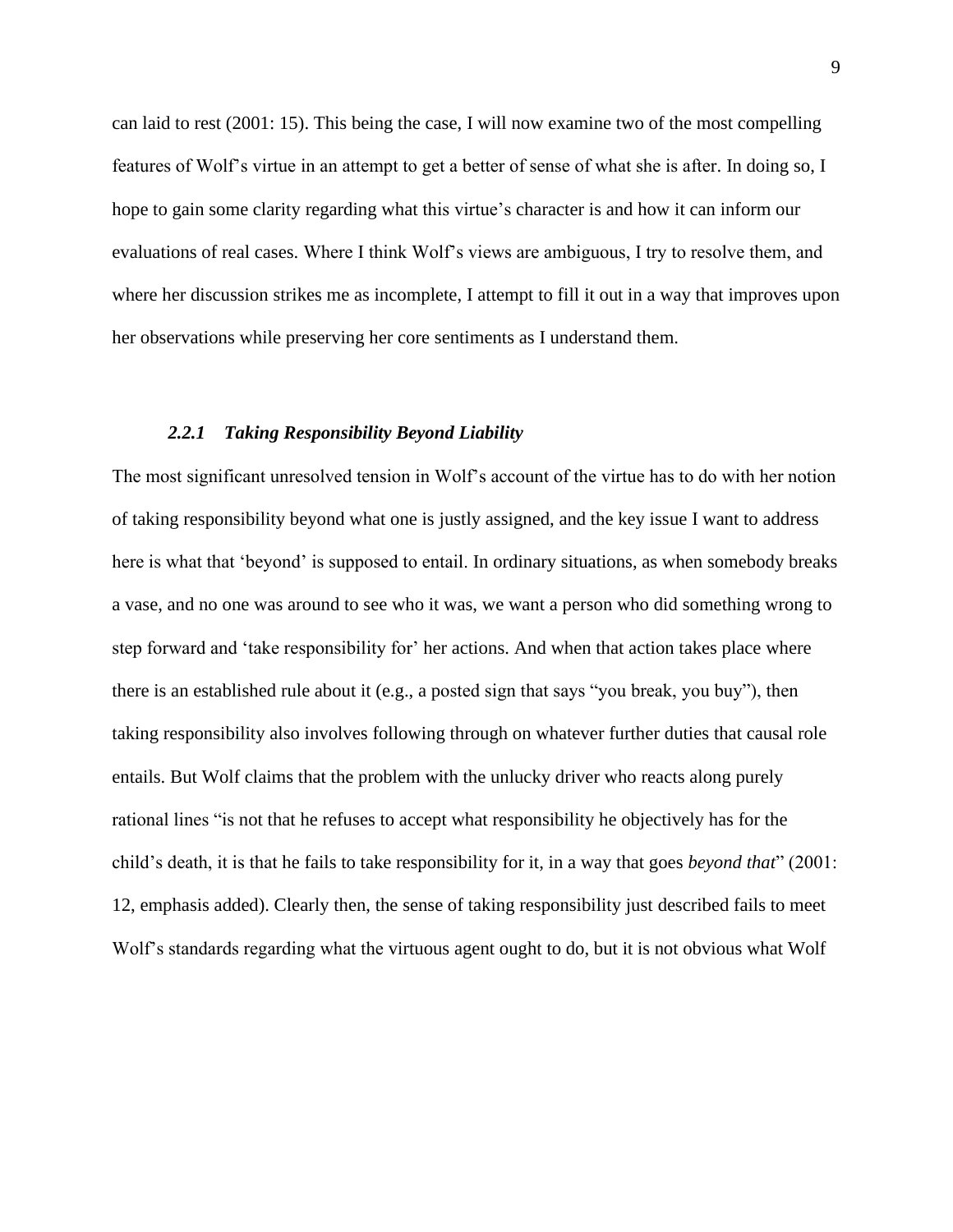can laid to rest (2001: 15). This being the case, I will now examine two of the most compelling features of Wolf's virtue in an attempt to get a better of sense of what she is after. In doing so, I hope to gain some clarity regarding what this virtue's character is and how it can inform our evaluations of real cases. Where I think Wolf's views are ambiguous, I try to resolve them, and where her discussion strikes me as incomplete, I attempt to fill it out in a way that improves upon her observations while preserving her core sentiments as I understand them.

#### *2.2.1 Taking Responsibility Beyond Liability*

<span id="page-17-0"></span>The most significant unresolved tension in Wolf's account of the virtue has to do with her notion of taking responsibility beyond what one is justly assigned, and the key issue I want to address here is what that 'beyond' is supposed to entail. In ordinary situations, as when somebody breaks a vase, and no one was around to see who it was, we want a person who did something wrong to step forward and 'take responsibility for' her actions. And when that action takes place where there is an established rule about it (e.g., a posted sign that says "you break, you buy"), then taking responsibility also involves following through on whatever further duties that causal role entails. But Wolf claims that the problem with the unlucky driver who reacts along purely rational lines "is not that he refuses to accept what responsibility he objectively has for the child's death, it is that he fails to take responsibility for it, in a way that goes *beyond that*" (2001: 12, emphasis added). Clearly then, the sense of taking responsibility just described fails to meet Wolf's standards regarding what the virtuous agent ought to do, but it is not obvious what Wolf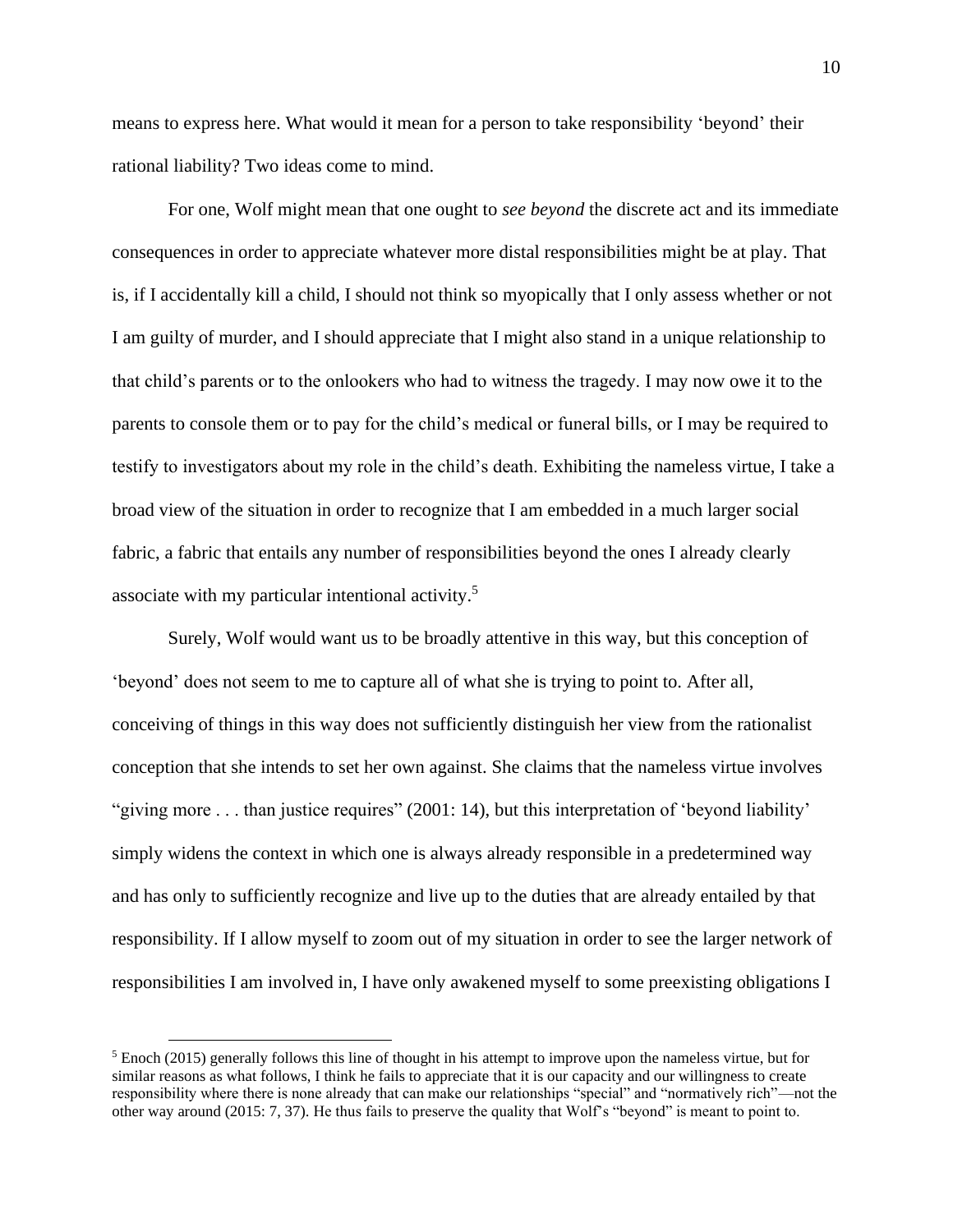means to express here. What would it mean for a person to take responsibility 'beyond' their rational liability? Two ideas come to mind.

For one, Wolf might mean that one ought to *see beyond* the discrete act and its immediate consequences in order to appreciate whatever more distal responsibilities might be at play. That is, if I accidentally kill a child, I should not think so myopically that I only assess whether or not I am guilty of murder, and I should appreciate that I might also stand in a unique relationship to that child's parents or to the onlookers who had to witness the tragedy. I may now owe it to the parents to console them or to pay for the child's medical or funeral bills, or I may be required to testify to investigators about my role in the child's death. Exhibiting the nameless virtue, I take a broad view of the situation in order to recognize that I am embedded in a much larger social fabric, a fabric that entails any number of responsibilities beyond the ones I already clearly associate with my particular intentional activity. 5

Surely, Wolf would want us to be broadly attentive in this way, but this conception of 'beyond' does not seem to me to capture all of what she is trying to point to. After all, conceiving of things in this way does not sufficiently distinguish her view from the rationalist conception that she intends to set her own against. She claims that the nameless virtue involves "giving more ... than justice requires" (2001: 14), but this interpretation of 'beyond liability' simply widens the context in which one is always already responsible in a predetermined way and has only to sufficiently recognize and live up to the duties that are already entailed by that responsibility. If I allow myself to zoom out of my situation in order to see the larger network of responsibilities I am involved in, I have only awakened myself to some preexisting obligations I

 $<sup>5</sup>$  Enoch (2015) generally follows this line of thought in his attempt to improve upon the nameless virtue, but for</sup> similar reasons as what follows, I think he fails to appreciate that it is our capacity and our willingness to create responsibility where there is none already that can make our relationships "special" and "normatively rich"—not the other way around (2015: 7, 37). He thus fails to preserve the quality that Wolf's "beyond" is meant to point to.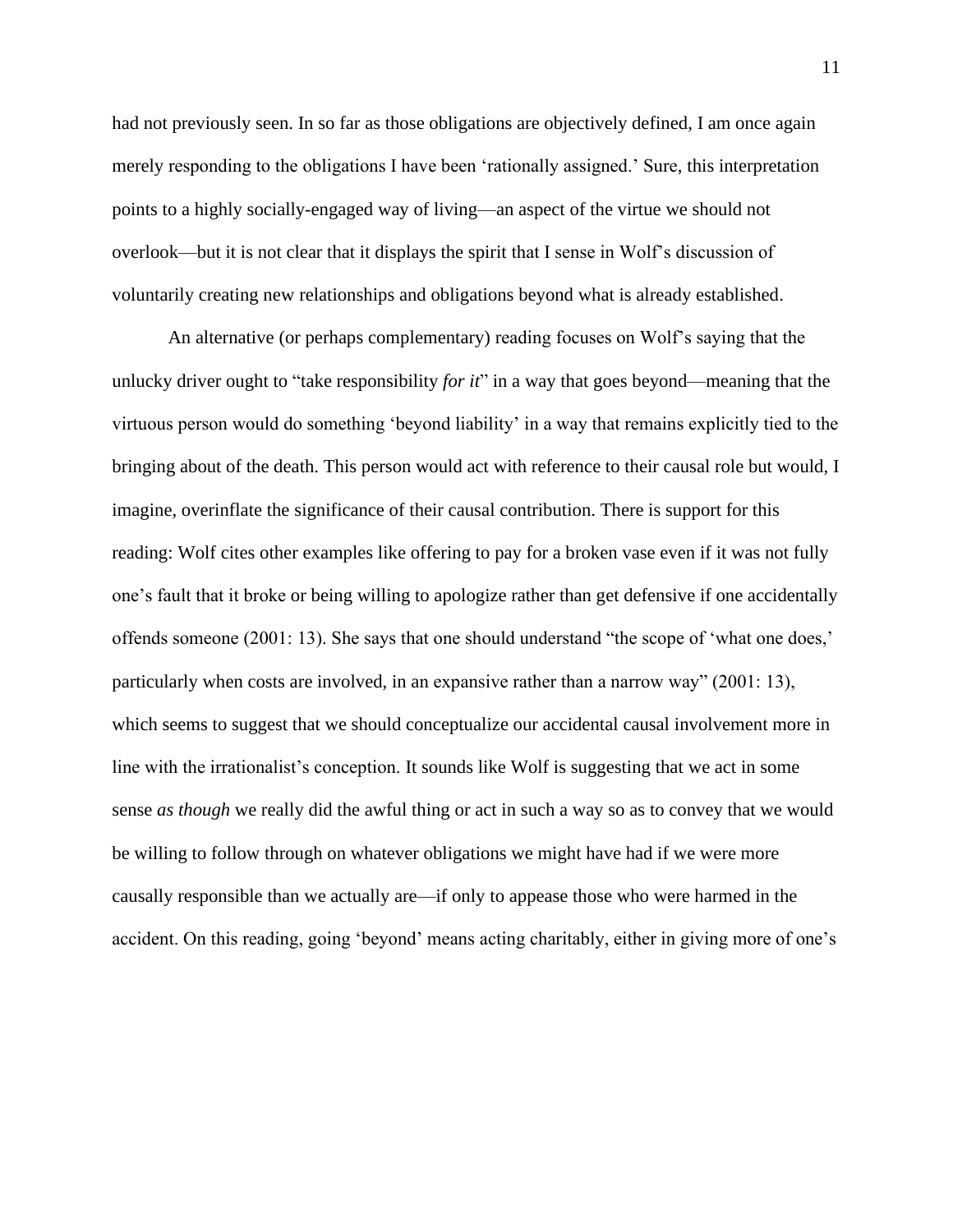had not previously seen. In so far as those obligations are objectively defined, I am once again merely responding to the obligations I have been 'rationally assigned.' Sure, this interpretation points to a highly socially-engaged way of living—an aspect of the virtue we should not overlook—but it is not clear that it displays the spirit that I sense in Wolf's discussion of voluntarily creating new relationships and obligations beyond what is already established.

An alternative (or perhaps complementary) reading focuses on Wolf's saying that the unlucky driver ought to "take responsibility *for it*" in a way that goes beyond—meaning that the virtuous person would do something 'beyond liability' in a way that remains explicitly tied to the bringing about of the death. This person would act with reference to their causal role but would, I imagine, overinflate the significance of their causal contribution. There is support for this reading: Wolf cites other examples like offering to pay for a broken vase even if it was not fully one's fault that it broke or being willing to apologize rather than get defensive if one accidentally offends someone (2001: 13). She says that one should understand "the scope of 'what one does,' particularly when costs are involved, in an expansive rather than a narrow way" (2001: 13), which seems to suggest that we should conceptualize our accidental causal involvement more in line with the irrationalist's conception. It sounds like Wolf is suggesting that we act in some sense *as though* we really did the awful thing or act in such a way so as to convey that we would be willing to follow through on whatever obligations we might have had if we were more causally responsible than we actually are—if only to appease those who were harmed in the accident. On this reading, going 'beyond' means acting charitably, either in giving more of one's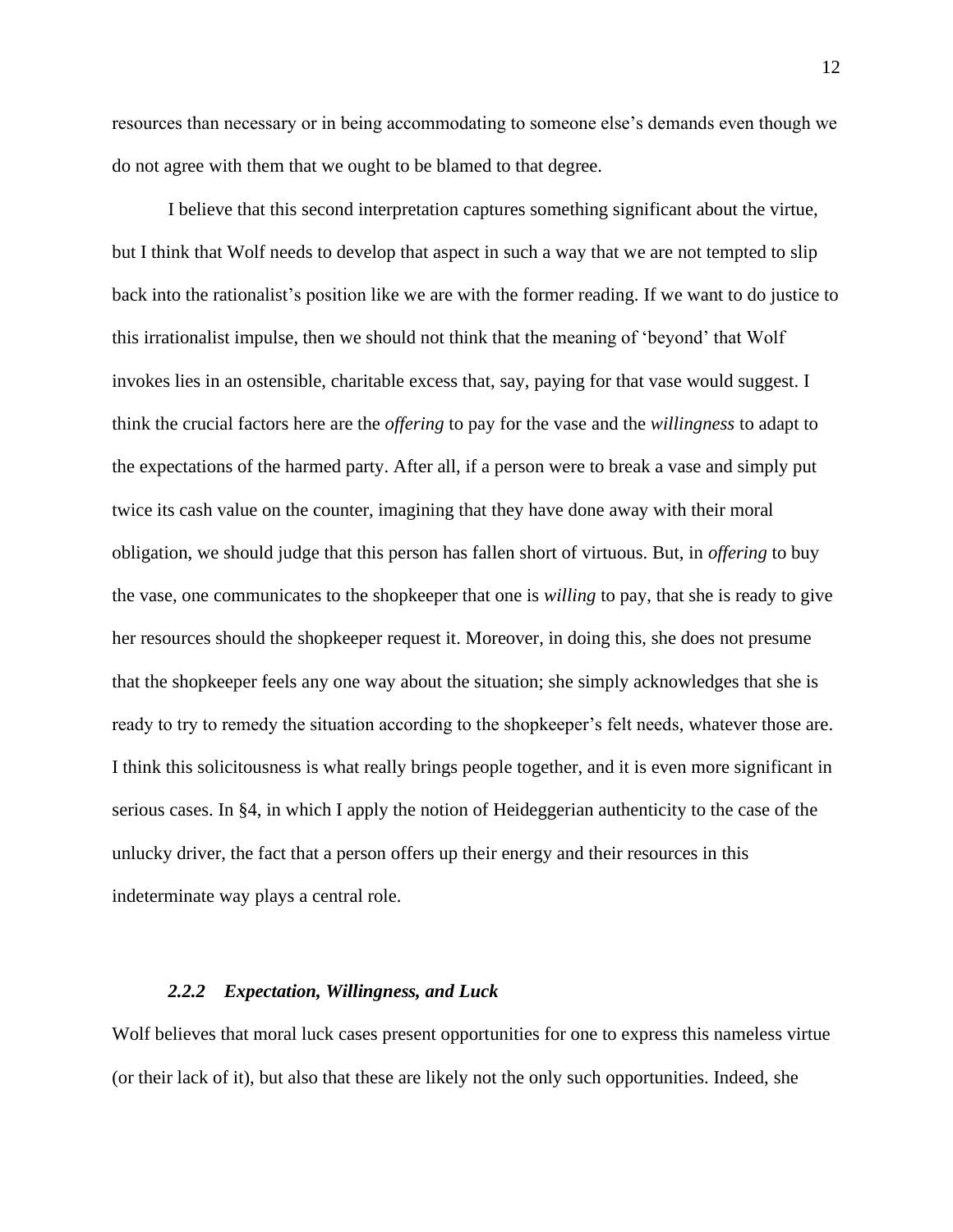resources than necessary or in being accommodating to someone else's demands even though we do not agree with them that we ought to be blamed to that degree.

I believe that this second interpretation captures something significant about the virtue, but I think that Wolf needs to develop that aspect in such a way that we are not tempted to slip back into the rationalist's position like we are with the former reading. If we want to do justice to this irrationalist impulse, then we should not think that the meaning of 'beyond' that Wolf invokes lies in an ostensible, charitable excess that, say, paying for that vase would suggest. I think the crucial factors here are the *offering* to pay for the vase and the *willingness* to adapt to the expectations of the harmed party. After all, if a person were to break a vase and simply put twice its cash value on the counter, imagining that they have done away with their moral obligation, we should judge that this person has fallen short of virtuous. But, in *offering* to buy the vase, one communicates to the shopkeeper that one is *willing* to pay, that she is ready to give her resources should the shopkeeper request it. Moreover, in doing this, she does not presume that the shopkeeper feels any one way about the situation; she simply acknowledges that she is ready to try to remedy the situation according to the shopkeeper's felt needs, whatever those are. I think this solicitousness is what really brings people together, and it is even more significant in serious cases. In §4, in which I apply the notion of Heideggerian authenticity to the case of the unlucky driver, the fact that a person offers up their energy and their resources in this indeterminate way plays a central role.

## *2.2.2 Expectation, Willingness, and Luck*

<span id="page-20-0"></span>Wolf believes that moral luck cases present opportunities for one to express this nameless virtue (or their lack of it), but also that these are likely not the only such opportunities. Indeed, she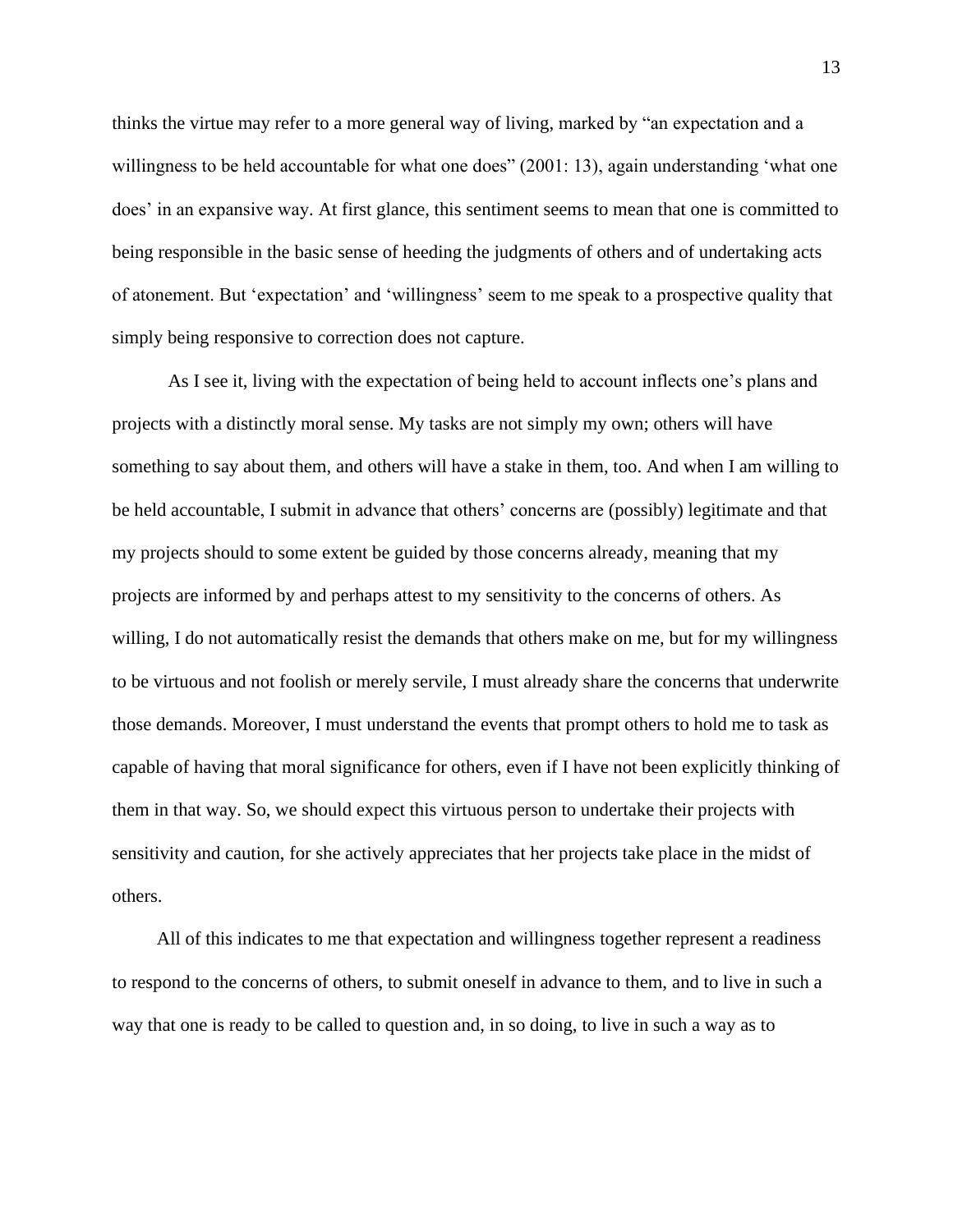thinks the virtue may refer to a more general way of living, marked by "an expectation and a willingness to be held accountable for what one does" (2001: 13), again understanding 'what one does' in an expansive way. At first glance, this sentiment seems to mean that one is committed to being responsible in the basic sense of heeding the judgments of others and of undertaking acts of atonement. But 'expectation' and 'willingness' seem to me speak to a prospective quality that simply being responsive to correction does not capture.

As I see it, living with the expectation of being held to account inflects one's plans and projects with a distinctly moral sense. My tasks are not simply my own; others will have something to say about them, and others will have a stake in them, too. And when I am willing to be held accountable, I submit in advance that others' concerns are (possibly) legitimate and that my projects should to some extent be guided by those concerns already, meaning that my projects are informed by and perhaps attest to my sensitivity to the concerns of others. As willing, I do not automatically resist the demands that others make on me, but for my willingness to be virtuous and not foolish or merely servile, I must already share the concerns that underwrite those demands. Moreover, I must understand the events that prompt others to hold me to task as capable of having that moral significance for others, even if I have not been explicitly thinking of them in that way. So, we should expect this virtuous person to undertake their projects with sensitivity and caution, for she actively appreciates that her projects take place in the midst of others.

All of this indicates to me that expectation and willingness together represent a readiness to respond to the concerns of others, to submit oneself in advance to them, and to live in such a way that one is ready to be called to question and, in so doing, to live in such a way as to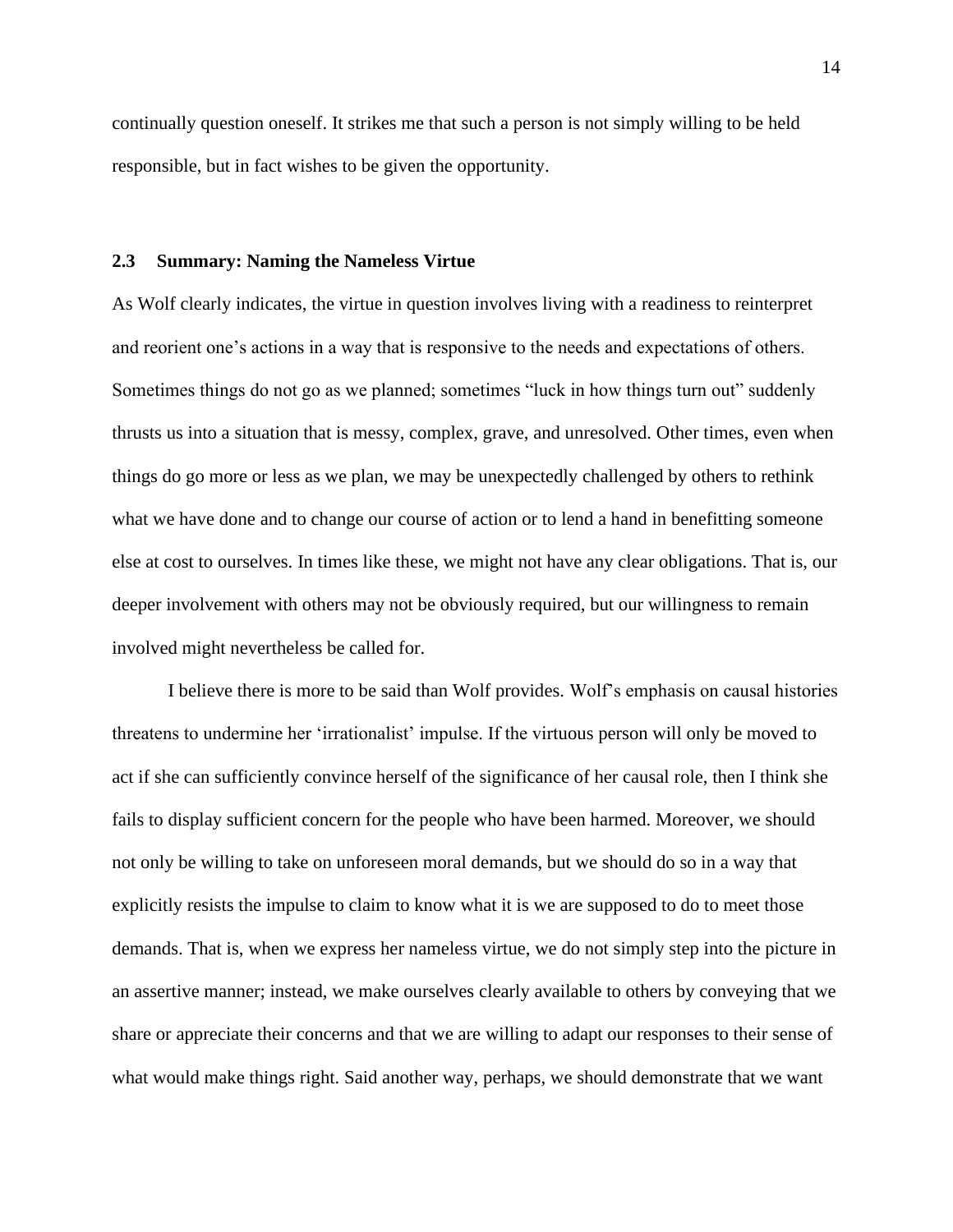continually question oneself. It strikes me that such a person is not simply willing to be held responsible, but in fact wishes to be given the opportunity.

#### <span id="page-22-0"></span>**2.3 Summary: Naming the Nameless Virtue**

As Wolf clearly indicates, the virtue in question involves living with a readiness to reinterpret and reorient one's actions in a way that is responsive to the needs and expectations of others. Sometimes things do not go as we planned; sometimes "luck in how things turn out" suddenly thrusts us into a situation that is messy, complex, grave, and unresolved. Other times, even when things do go more or less as we plan, we may be unexpectedly challenged by others to rethink what we have done and to change our course of action or to lend a hand in benefitting someone else at cost to ourselves. In times like these, we might not have any clear obligations. That is, our deeper involvement with others may not be obviously required, but our willingness to remain involved might nevertheless be called for.

I believe there is more to be said than Wolf provides. Wolf's emphasis on causal histories threatens to undermine her 'irrationalist' impulse. If the virtuous person will only be moved to act if she can sufficiently convince herself of the significance of her causal role, then I think she fails to display sufficient concern for the people who have been harmed. Moreover, we should not only be willing to take on unforeseen moral demands, but we should do so in a way that explicitly resists the impulse to claim to know what it is we are supposed to do to meet those demands. That is, when we express her nameless virtue, we do not simply step into the picture in an assertive manner; instead, we make ourselves clearly available to others by conveying that we share or appreciate their concerns and that we are willing to adapt our responses to their sense of what would make things right. Said another way, perhaps, we should demonstrate that we want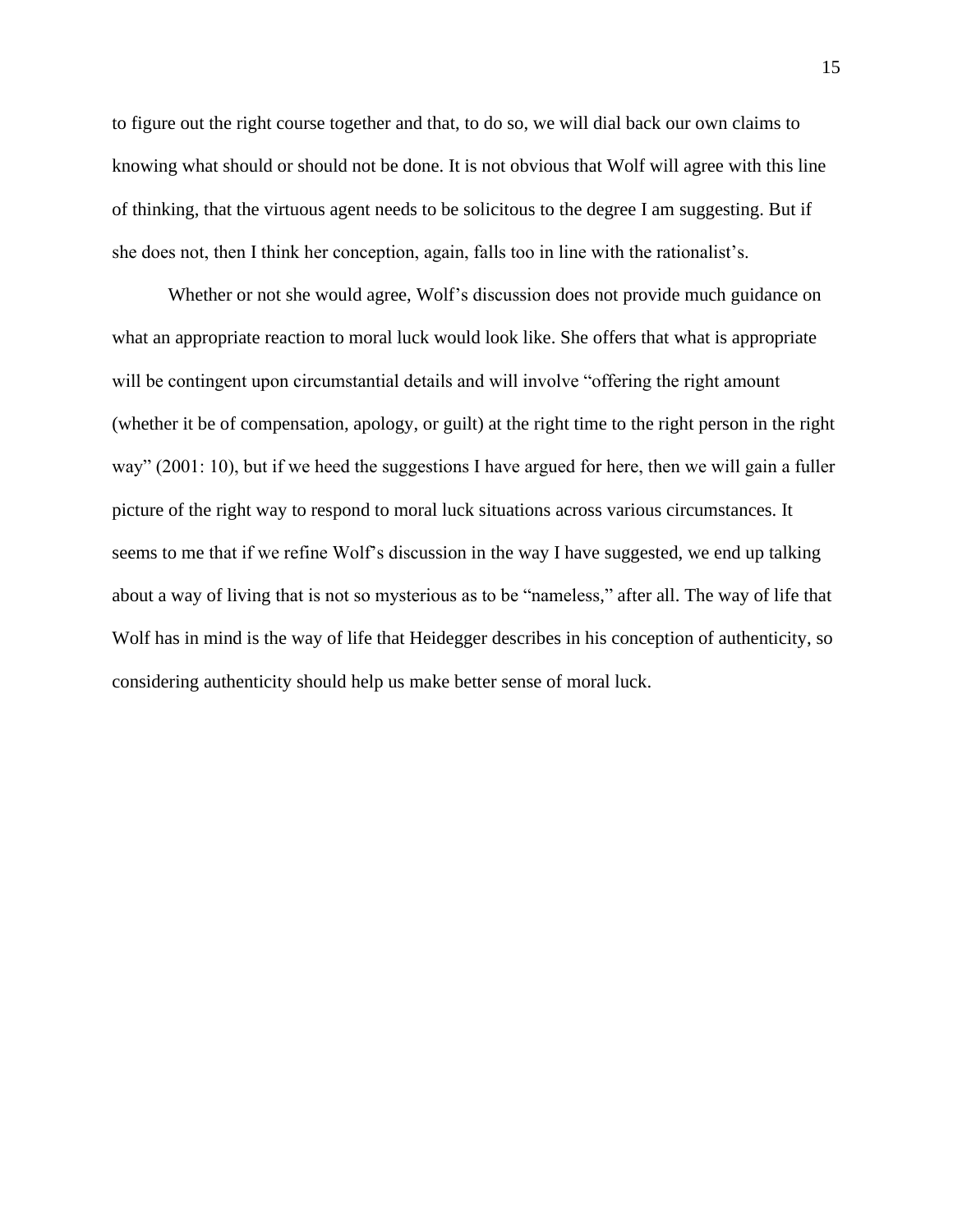to figure out the right course together and that, to do so, we will dial back our own claims to knowing what should or should not be done. It is not obvious that Wolf will agree with this line of thinking, that the virtuous agent needs to be solicitous to the degree I am suggesting. But if she does not, then I think her conception, again, falls too in line with the rationalist's.

Whether or not she would agree, Wolf's discussion does not provide much guidance on what an appropriate reaction to moral luck would look like. She offers that what is appropriate will be contingent upon circumstantial details and will involve "offering the right amount (whether it be of compensation, apology, or guilt) at the right time to the right person in the right way" (2001: 10), but if we heed the suggestions I have argued for here, then we will gain a fuller picture of the right way to respond to moral luck situations across various circumstances. It seems to me that if we refine Wolf's discussion in the way I have suggested, we end up talking about a way of living that is not so mysterious as to be "nameless," after all. The way of life that Wolf has in mind is the way of life that Heidegger describes in his conception of authenticity, so considering authenticity should help us make better sense of moral luck.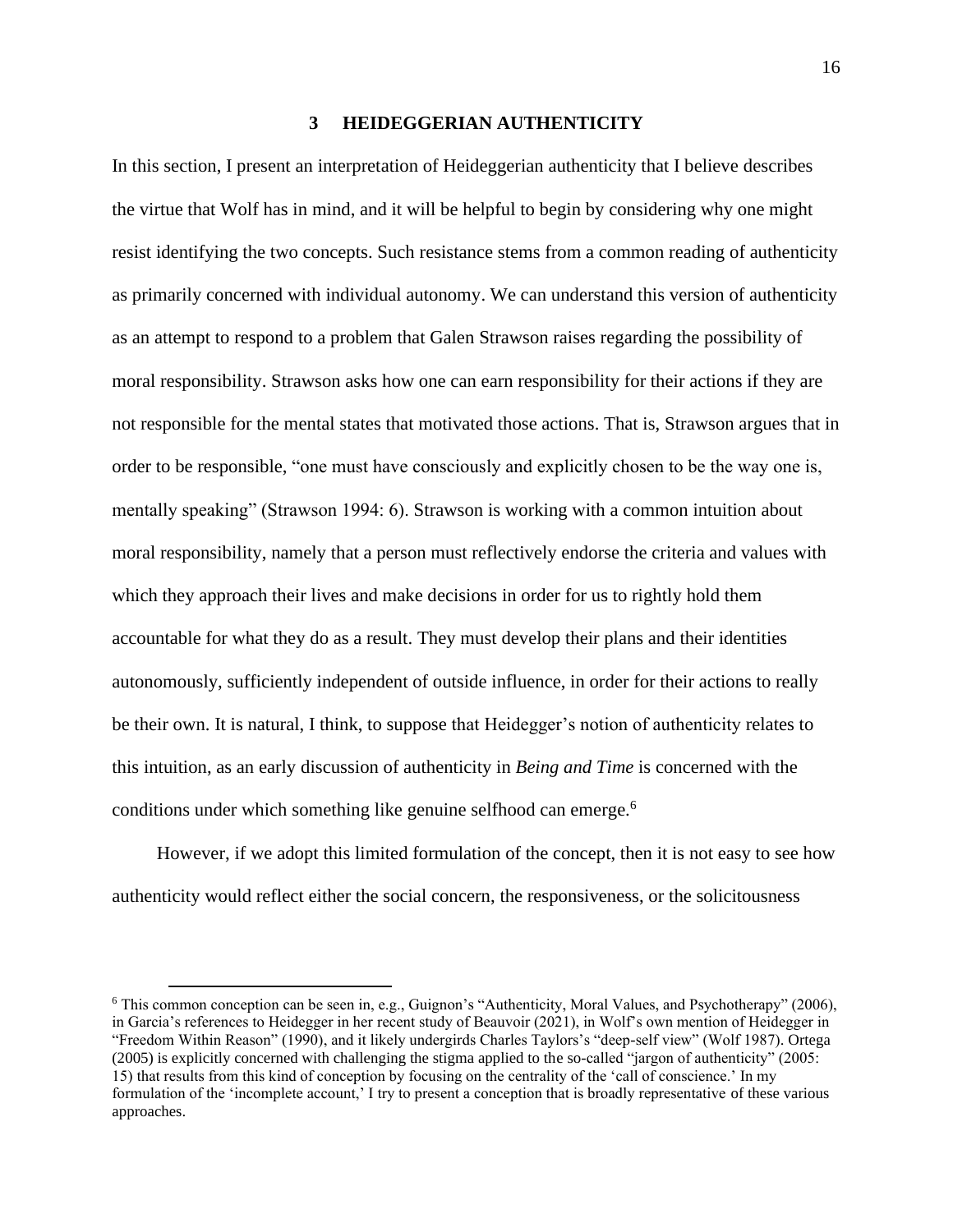## **3 HEIDEGGERIAN AUTHENTICITY**

<span id="page-24-0"></span>In this section, I present an interpretation of Heideggerian authenticity that I believe describes the virtue that Wolf has in mind, and it will be helpful to begin by considering why one might resist identifying the two concepts. Such resistance stems from a common reading of authenticity as primarily concerned with individual autonomy. We can understand this version of authenticity as an attempt to respond to a problem that Galen Strawson raises regarding the possibility of moral responsibility. Strawson asks how one can earn responsibility for their actions if they are not responsible for the mental states that motivated those actions. That is, Strawson argues that in order to be responsible, "one must have consciously and explicitly chosen to be the way one is, mentally speaking" (Strawson 1994: 6). Strawson is working with a common intuition about moral responsibility, namely that a person must reflectively endorse the criteria and values with which they approach their lives and make decisions in order for us to rightly hold them accountable for what they do as a result. They must develop their plans and their identities autonomously, sufficiently independent of outside influence, in order for their actions to really be their own. It is natural, I think, to suppose that Heidegger's notion of authenticity relates to this intuition, as an early discussion of authenticity in *Being and Time* is concerned with the conditions under which something like genuine selfhood can emerge.<sup>6</sup>

However, if we adopt this limited formulation of the concept, then it is not easy to see how authenticity would reflect either the social concern, the responsiveness, or the solicitousness

 $6$  This common conception can be seen in, e.g., Guignon's "Authenticity, Moral Values, and Psychotherapy" (2006), in Garcia's references to Heidegger in her recent study of Beauvoir (2021), in Wolf's own mention of Heidegger in "Freedom Within Reason" (1990), and it likely undergirds Charles Taylors's "deep-self view" (Wolf 1987). Ortega (2005) is explicitly concerned with challenging the stigma applied to the so-called "jargon of authenticity" (2005: 15) that results from this kind of conception by focusing on the centrality of the 'call of conscience.' In my formulation of the 'incomplete account,' I try to present a conception that is broadly representative of these various approaches.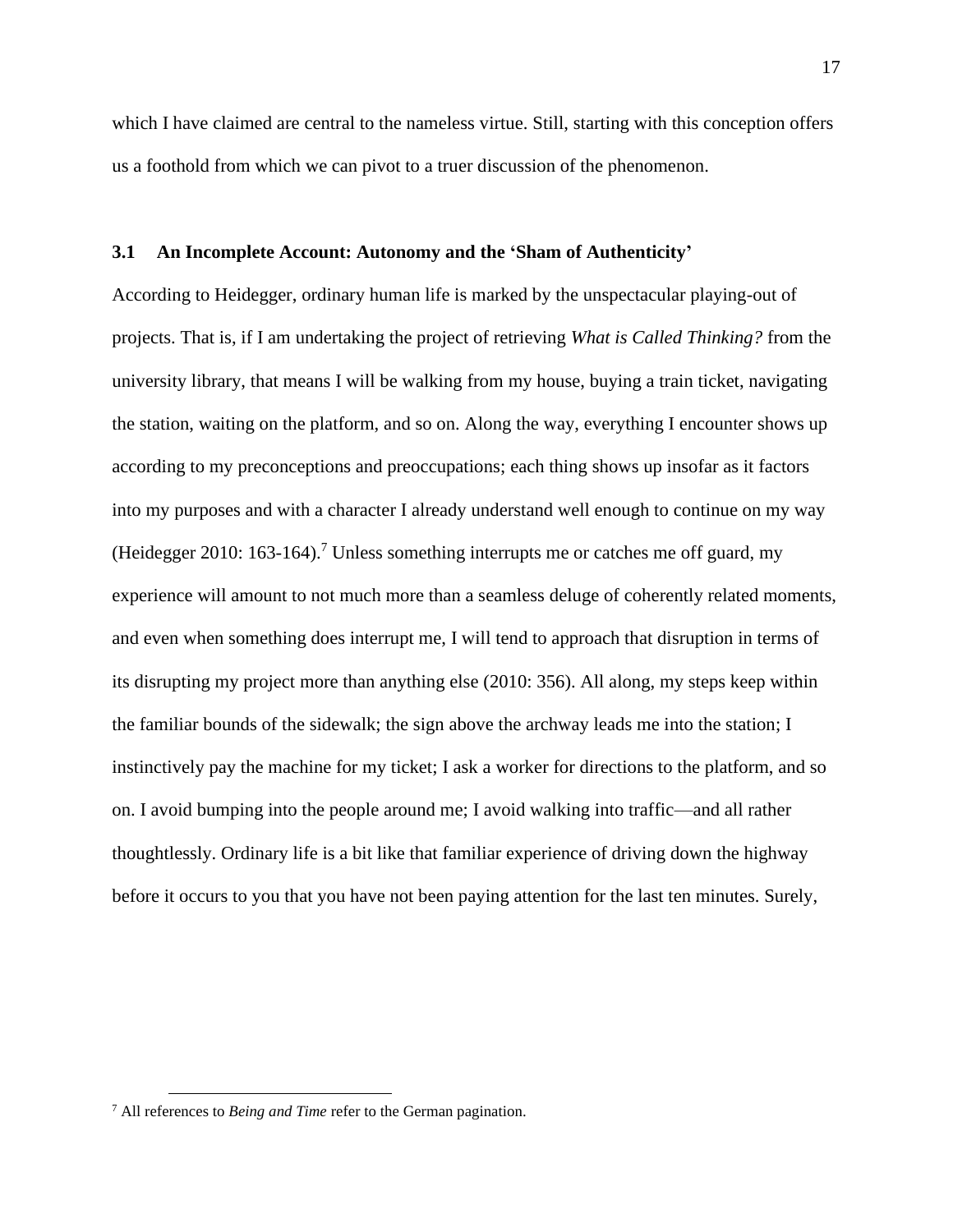which I have claimed are central to the nameless virtue. Still, starting with this conception offers us a foothold from which we can pivot to a truer discussion of the phenomenon.

# <span id="page-25-0"></span>**3.1 An Incomplete Account: Autonomy and the 'Sham of Authenticity'**

According to Heidegger, ordinary human life is marked by the unspectacular playing-out of projects. That is, if I am undertaking the project of retrieving *What is Called Thinking?* from the university library, that means I will be walking from my house, buying a train ticket, navigating the station, waiting on the platform, and so on. Along the way, everything I encounter shows up according to my preconceptions and preoccupations; each thing shows up insofar as it factors into my purposes and with a character I already understand well enough to continue on my way (Heidegger 2010: 163-164).<sup>7</sup> Unless something interrupts me or catches me off guard, my experience will amount to not much more than a seamless deluge of coherently related moments, and even when something does interrupt me, I will tend to approach that disruption in terms of its disrupting my project more than anything else (2010: 356). All along, my steps keep within the familiar bounds of the sidewalk; the sign above the archway leads me into the station; I instinctively pay the machine for my ticket; I ask a worker for directions to the platform, and so on. I avoid bumping into the people around me; I avoid walking into traffic—and all rather thoughtlessly. Ordinary life is a bit like that familiar experience of driving down the highway before it occurs to you that you have not been paying attention for the last ten minutes. Surely,

<sup>7</sup> All references to *Being and Time* refer to the German pagination.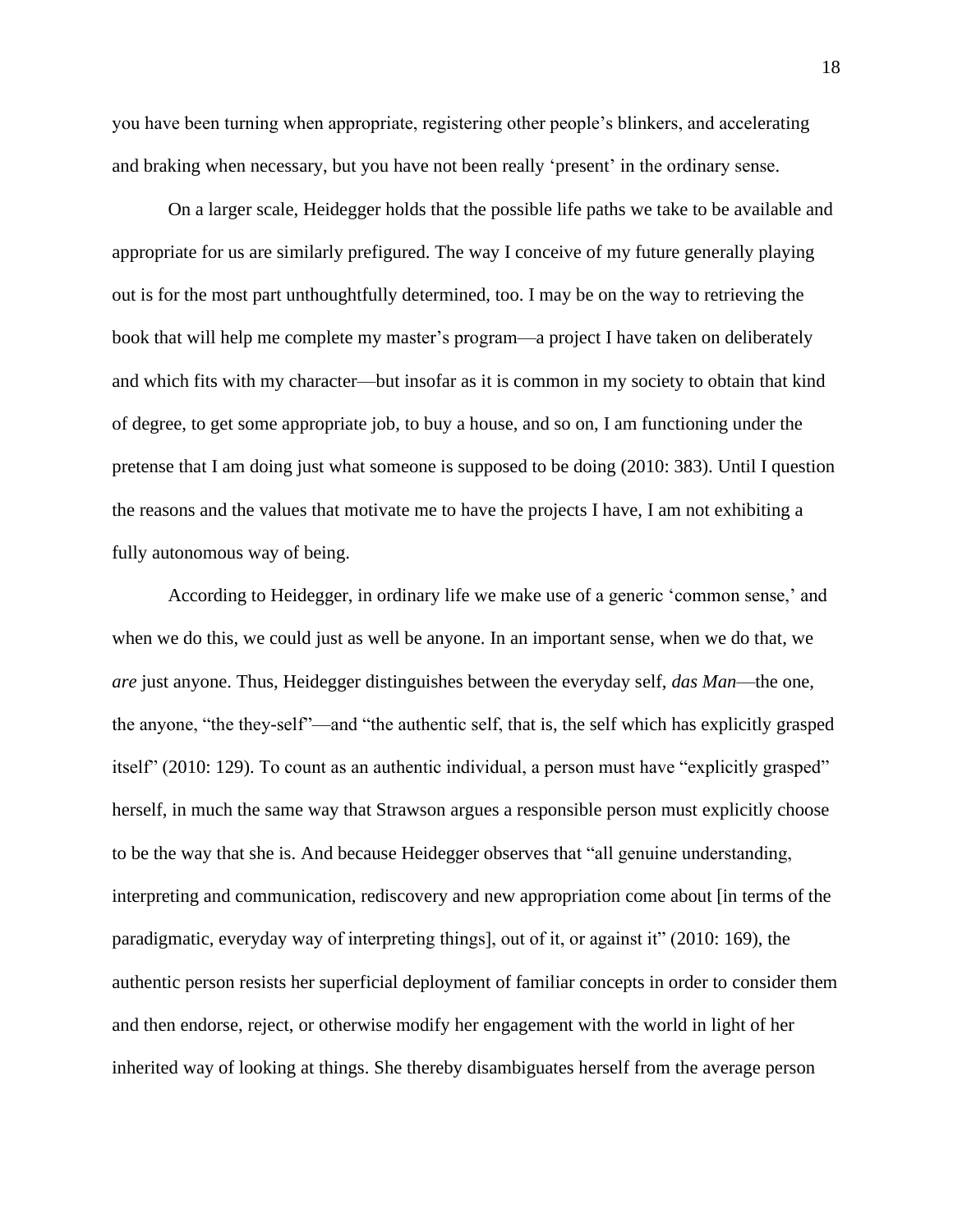you have been turning when appropriate, registering other people's blinkers, and accelerating and braking when necessary, but you have not been really 'present' in the ordinary sense.

On a larger scale, Heidegger holds that the possible life paths we take to be available and appropriate for us are similarly prefigured. The way I conceive of my future generally playing out is for the most part unthoughtfully determined, too. I may be on the way to retrieving the book that will help me complete my master's program—a project I have taken on deliberately and which fits with my character—but insofar as it is common in my society to obtain that kind of degree, to get some appropriate job, to buy a house, and so on, I am functioning under the pretense that I am doing just what someone is supposed to be doing (2010: 383). Until I question the reasons and the values that motivate me to have the projects I have, I am not exhibiting a fully autonomous way of being.

According to Heidegger, in ordinary life we make use of a generic 'common sense,' and when we do this, we could just as well be anyone. In an important sense, when we do that, we *are* just anyone. Thus, Heidegger distinguishes between the everyday self, *das Man*—the one, the anyone, "the they-self"—and "the authentic self, that is, the self which has explicitly grasped itself" (2010: 129). To count as an authentic individual, a person must have "explicitly grasped" herself, in much the same way that Strawson argues a responsible person must explicitly choose to be the way that she is. And because Heidegger observes that "all genuine understanding, interpreting and communication, rediscovery and new appropriation come about [in terms of the paradigmatic, everyday way of interpreting things], out of it, or against it" (2010: 169), the authentic person resists her superficial deployment of familiar concepts in order to consider them and then endorse, reject, or otherwise modify her engagement with the world in light of her inherited way of looking at things. She thereby disambiguates herself from the average person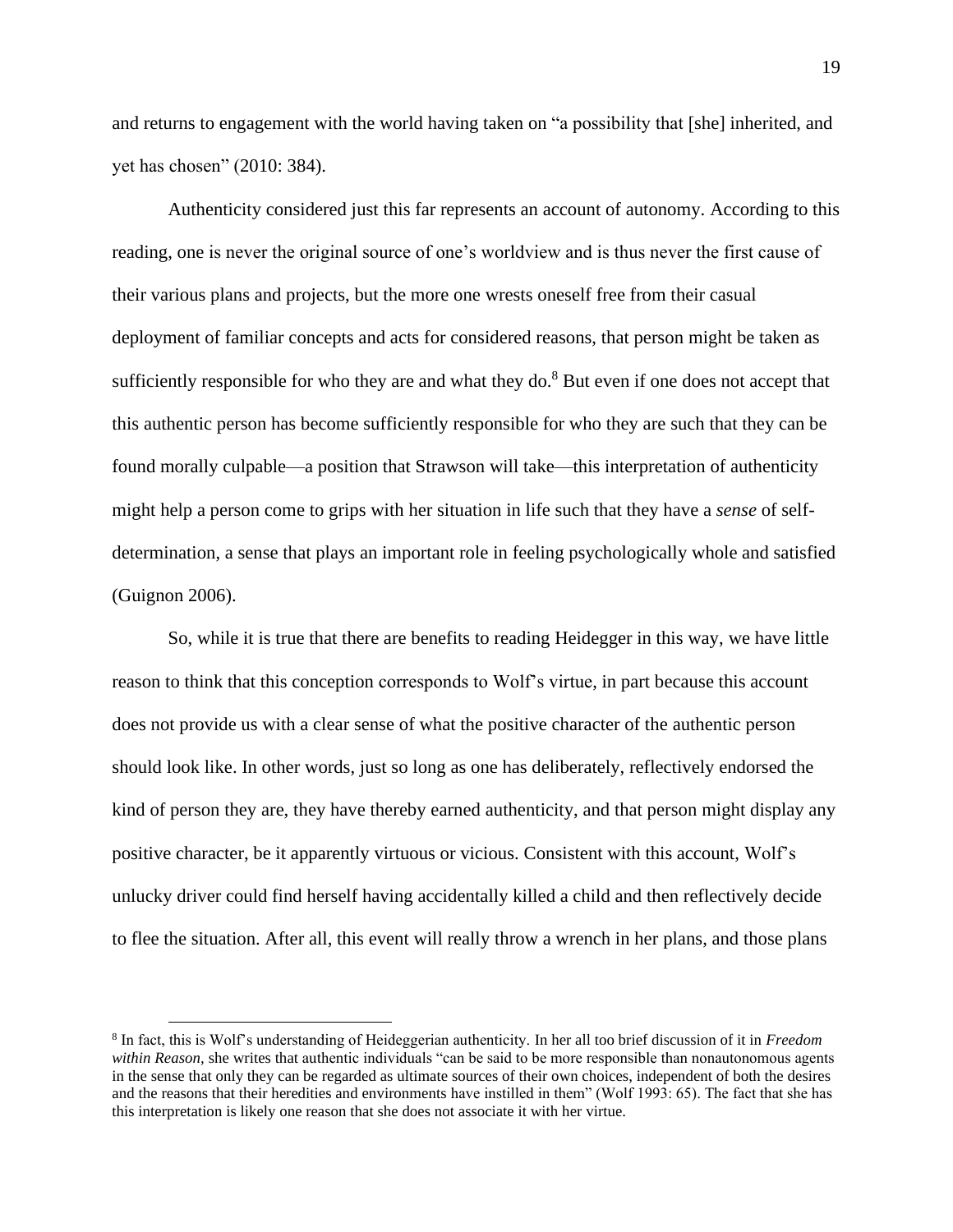and returns to engagement with the world having taken on "a possibility that [she] inherited, and yet has chosen" (2010: 384).

Authenticity considered just this far represents an account of autonomy. According to this reading, one is never the original source of one's worldview and is thus never the first cause of their various plans and projects, but the more one wrests oneself free from their casual deployment of familiar concepts and acts for considered reasons, that person might be taken as sufficiently responsible for who they are and what they do. $8$  But even if one does not accept that this authentic person has become sufficiently responsible for who they are such that they can be found morally culpable—a position that Strawson will take—this interpretation of authenticity might help a person come to grips with her situation in life such that they have a *sense* of selfdetermination, a sense that plays an important role in feeling psychologically whole and satisfied (Guignon 2006).

So, while it is true that there are benefits to reading Heidegger in this way, we have little reason to think that this conception corresponds to Wolf's virtue, in part because this account does not provide us with a clear sense of what the positive character of the authentic person should look like. In other words, just so long as one has deliberately, reflectively endorsed the kind of person they are, they have thereby earned authenticity, and that person might display any positive character, be it apparently virtuous or vicious. Consistent with this account, Wolf's unlucky driver could find herself having accidentally killed a child and then reflectively decide to flee the situation. After all, this event will really throw a wrench in her plans, and those plans

<sup>8</sup> In fact, this is Wolf's understanding of Heideggerian authenticity. In her all too brief discussion of it in *Freedom within Reason,* she writes that authentic individuals "can be said to be more responsible than nonautonomous agents in the sense that only they can be regarded as ultimate sources of their own choices, independent of both the desires and the reasons that their heredities and environments have instilled in them" (Wolf 1993: 65). The fact that she has this interpretation is likely one reason that she does not associate it with her virtue.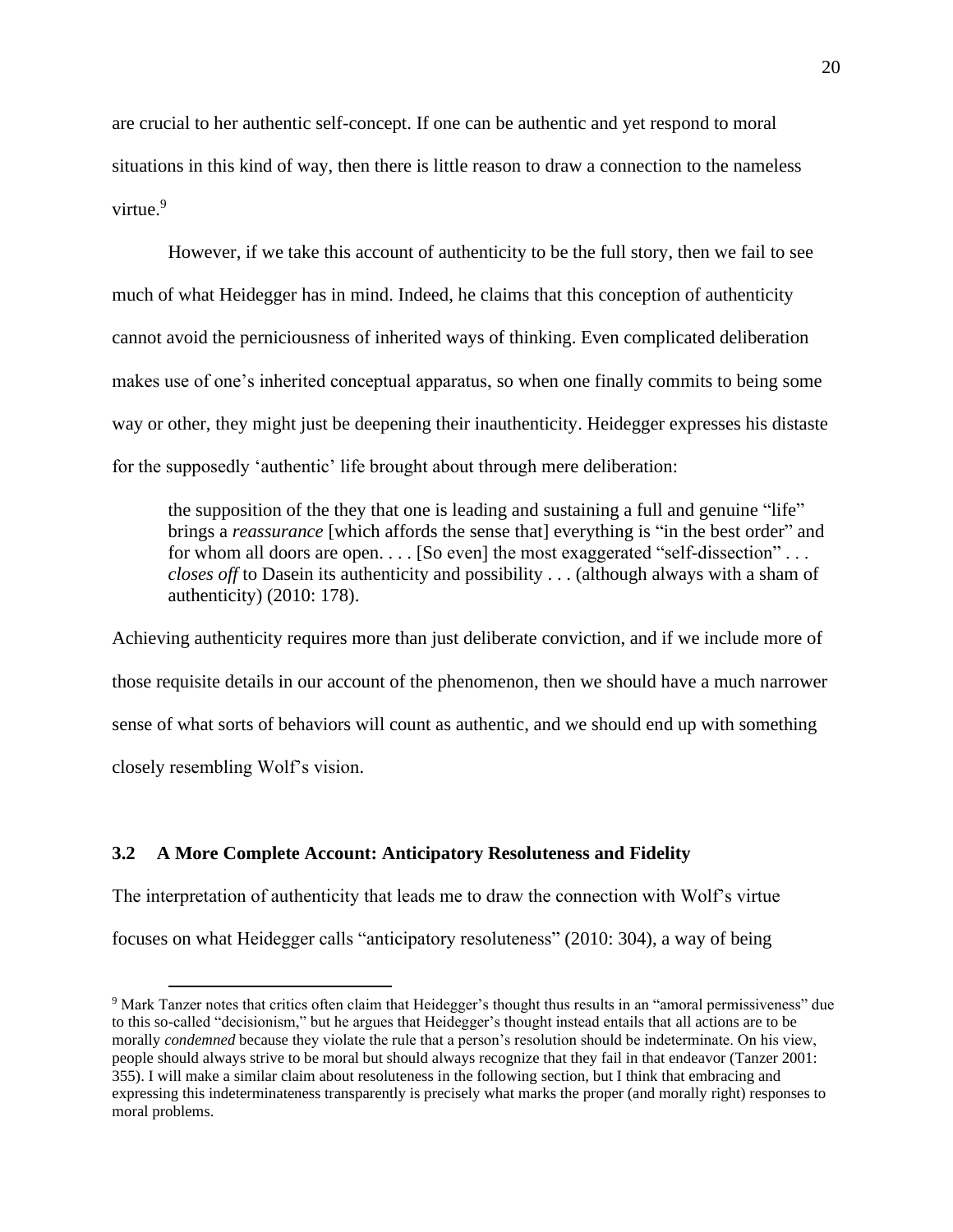are crucial to her authentic self-concept. If one can be authentic and yet respond to moral situations in this kind of way, then there is little reason to draw a connection to the nameless virtue. 9

However, if we take this account of authenticity to be the full story, then we fail to see much of what Heidegger has in mind. Indeed, he claims that this conception of authenticity cannot avoid the perniciousness of inherited ways of thinking. Even complicated deliberation makes use of one's inherited conceptual apparatus, so when one finally commits to being some way or other, they might just be deepening their inauthenticity. Heidegger expresses his distaste for the supposedly 'authentic' life brought about through mere deliberation:

the supposition of the they that one is leading and sustaining a full and genuine "life" brings a *reassurance* [which affords the sense that] everything is "in the best order" and for whom all doors are open. . . . [So even] the most exaggerated "self-dissection" . . . *closes off* to Dasein its authenticity and possibility . . . (although always with a sham of authenticity) (2010: 178).

Achieving authenticity requires more than just deliberate conviction, and if we include more of those requisite details in our account of the phenomenon, then we should have a much narrower sense of what sorts of behaviors will count as authentic, and we should end up with something closely resembling Wolf's vision.

# <span id="page-28-0"></span>**3.2 A More Complete Account: Anticipatory Resoluteness and Fidelity**

The interpretation of authenticity that leads me to draw the connection with Wolf's virtue

focuses on what Heidegger calls "anticipatory resoluteness" (2010: 304), a way of being

<sup>9</sup> Mark Tanzer notes that critics often claim that Heidegger's thought thus results in an "amoral permissiveness" due to this so-called "decisionism," but he argues that Heidegger's thought instead entails that all actions are to be morally *condemned* because they violate the rule that a person's resolution should be indeterminate. On his view, people should always strive to be moral but should always recognize that they fail in that endeavor (Tanzer 2001: 355). I will make a similar claim about resoluteness in the following section, but I think that embracing and expressing this indeterminateness transparently is precisely what marks the proper (and morally right) responses to moral problems.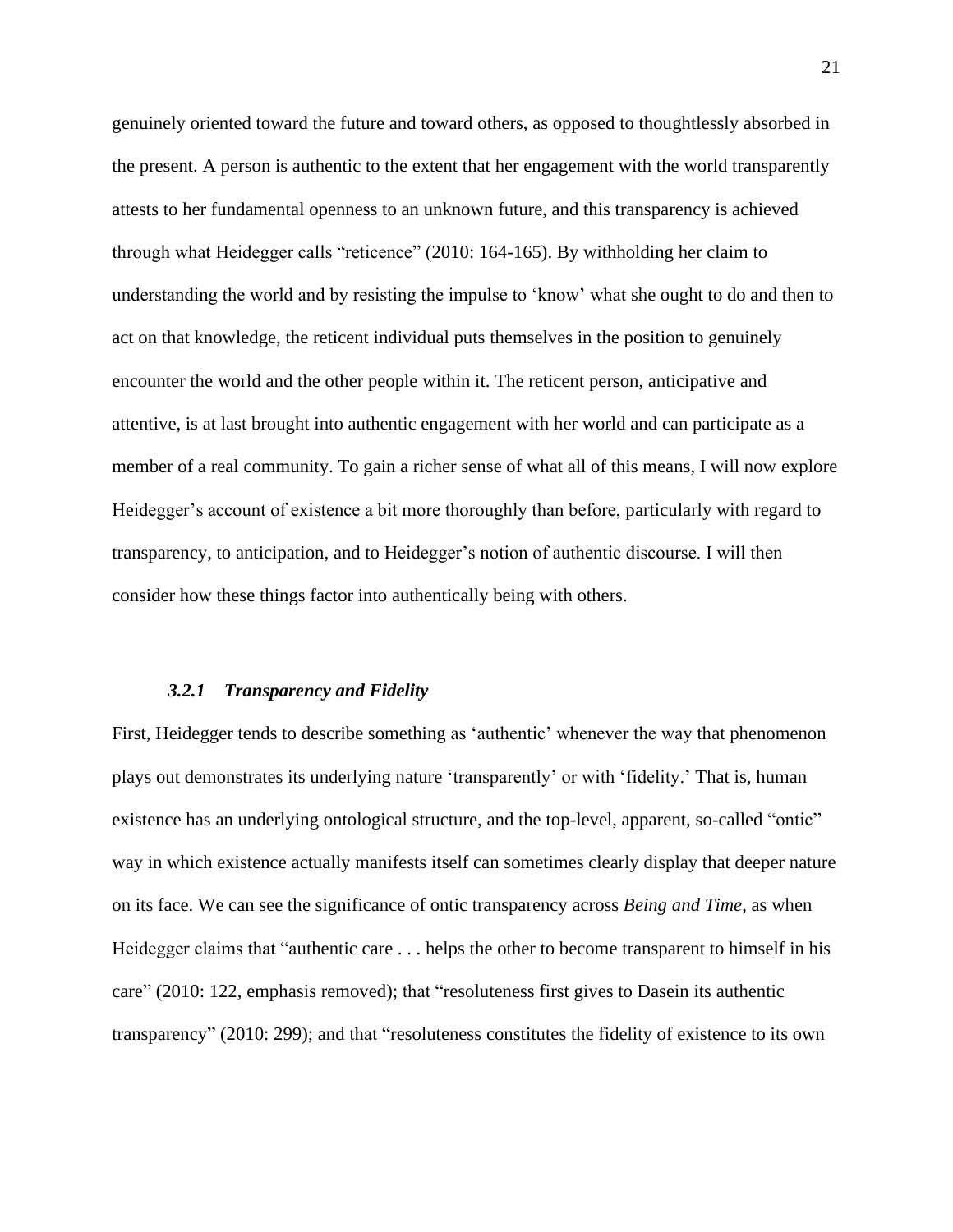genuinely oriented toward the future and toward others, as opposed to thoughtlessly absorbed in the present. A person is authentic to the extent that her engagement with the world transparently attests to her fundamental openness to an unknown future, and this transparency is achieved through what Heidegger calls "reticence" (2010: 164-165). By withholding her claim to understanding the world and by resisting the impulse to 'know' what she ought to do and then to act on that knowledge, the reticent individual puts themselves in the position to genuinely encounter the world and the other people within it. The reticent person, anticipative and attentive, is at last brought into authentic engagement with her world and can participate as a member of a real community. To gain a richer sense of what all of this means, I will now explore Heidegger's account of existence a bit more thoroughly than before, particularly with regard to transparency, to anticipation, and to Heidegger's notion of authentic discourse. I will then consider how these things factor into authentically being with others.

#### *3.2.1 Transparency and Fidelity*

<span id="page-29-0"></span>First, Heidegger tends to describe something as 'authentic' whenever the way that phenomenon plays out demonstrates its underlying nature 'transparently' or with 'fidelity.' That is, human existence has an underlying ontological structure, and the top-level, apparent, so-called "ontic" way in which existence actually manifests itself can sometimes clearly display that deeper nature on its face. We can see the significance of ontic transparency across *Being and Time*, as when Heidegger claims that "authentic care . . . helps the other to become transparent to himself in his care" (2010: 122, emphasis removed); that "resoluteness first gives to Dasein its authentic transparency" (2010: 299); and that "resoluteness constitutes the fidelity of existence to its own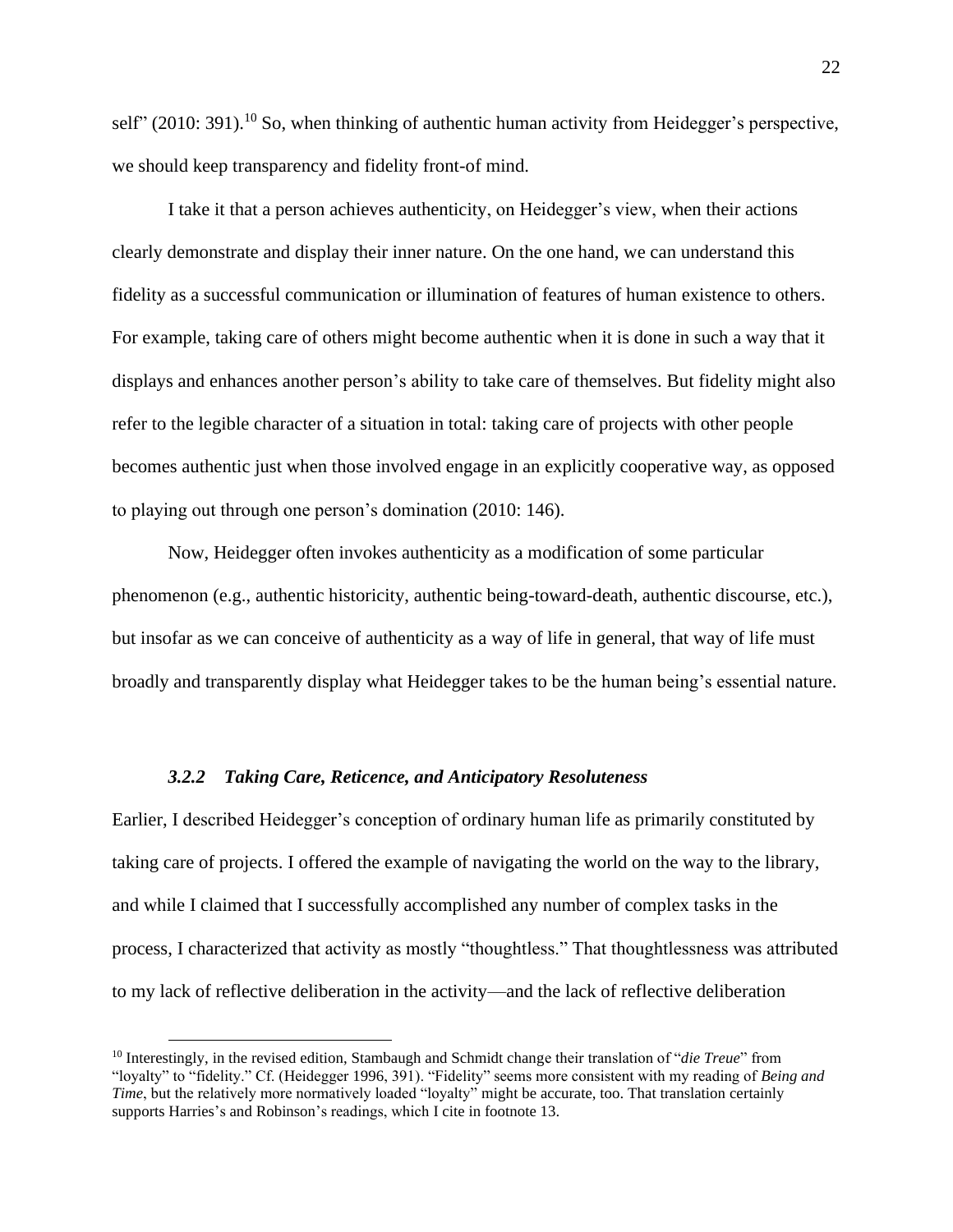self" (2010: 391).<sup>10</sup> So, when thinking of authentic human activity from Heidegger's perspective, we should keep transparency and fidelity front-of mind.

I take it that a person achieves authenticity, on Heidegger's view, when their actions clearly demonstrate and display their inner nature. On the one hand, we can understand this fidelity as a successful communication or illumination of features of human existence to others. For example, taking care of others might become authentic when it is done in such a way that it displays and enhances another person's ability to take care of themselves. But fidelity might also refer to the legible character of a situation in total: taking care of projects with other people becomes authentic just when those involved engage in an explicitly cooperative way, as opposed to playing out through one person's domination (2010: 146).

Now, Heidegger often invokes authenticity as a modification of some particular phenomenon (e.g., authentic historicity, authentic being-toward-death, authentic discourse, etc.), but insofar as we can conceive of authenticity as a way of life in general, that way of life must broadly and transparently display what Heidegger takes to be the human being's essential nature.

#### *3.2.2 Taking Care, Reticence, and Anticipatory Resoluteness*

<span id="page-30-0"></span>Earlier, I described Heidegger's conception of ordinary human life as primarily constituted by taking care of projects. I offered the example of navigating the world on the way to the library, and while I claimed that I successfully accomplished any number of complex tasks in the process, I characterized that activity as mostly "thoughtless." That thoughtlessness was attributed to my lack of reflective deliberation in the activity—and the lack of reflective deliberation

<sup>10</sup> Interestingly, in the revised edition, Stambaugh and Schmidt change their translation of "*die Treue*" from "loyalty" to "fidelity." Cf. (Heidegger 1996, 391). "Fidelity" seems more consistent with my reading of *Being and Time*, but the relatively more normatively loaded "loyalty" might be accurate, too. That translation certainly supports Harries's and Robinson's readings, which I cite in footnote 13.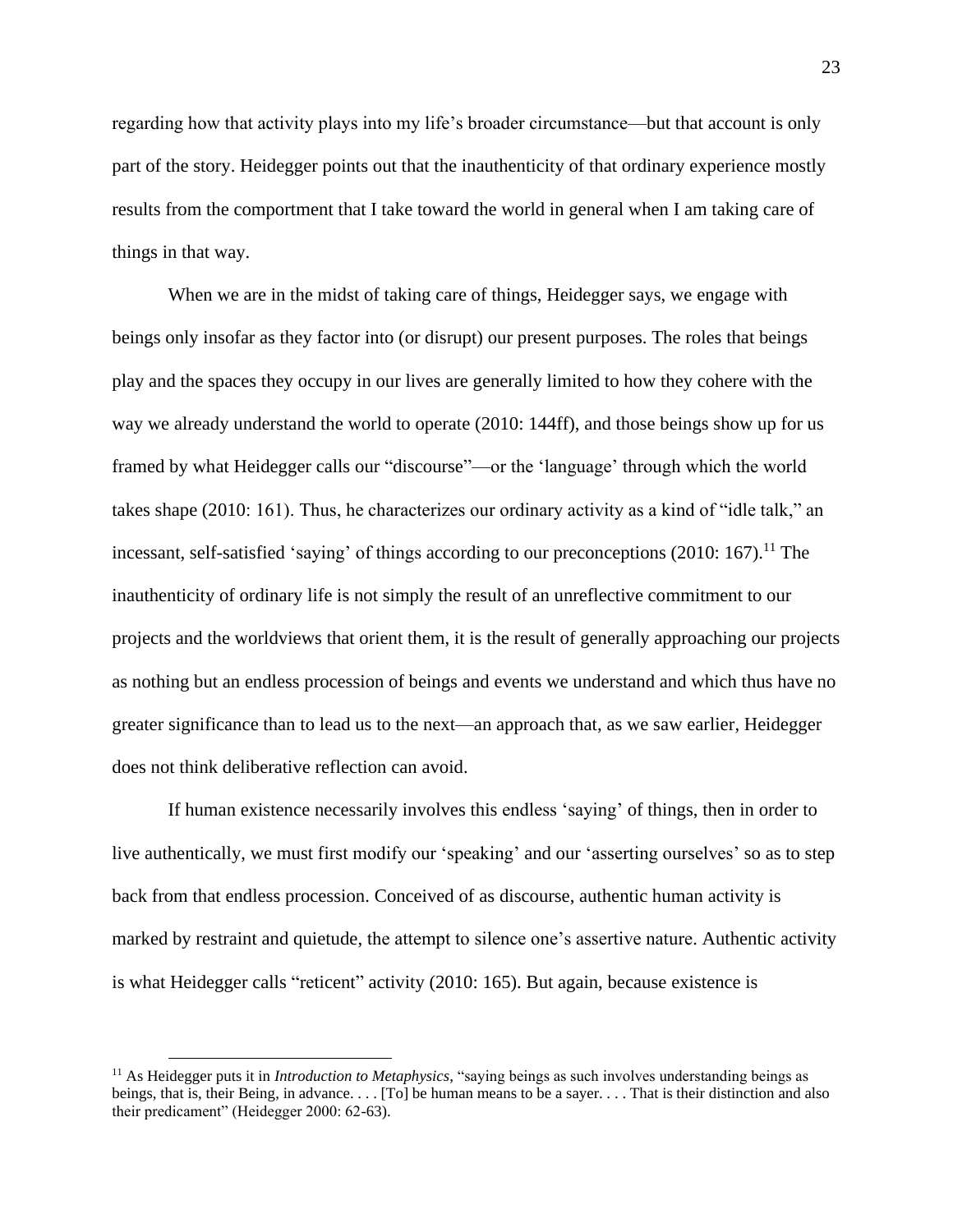regarding how that activity plays into my life's broader circumstance—but that account is only part of the story. Heidegger points out that the inauthenticity of that ordinary experience mostly results from the comportment that I take toward the world in general when I am taking care of things in that way.

When we are in the midst of taking care of things, Heidegger says, we engage with beings only insofar as they factor into (or disrupt) our present purposes. The roles that beings play and the spaces they occupy in our lives are generally limited to how they cohere with the way we already understand the world to operate (2010: 144ff), and those beings show up for us framed by what Heidegger calls our "discourse"—or the 'language' through which the world takes shape (2010: 161). Thus, he characterizes our ordinary activity as a kind of "idle talk," an incessant, self-satisfied 'saying' of things according to our preconceptions  $(2010: 167)$ .<sup>11</sup> The inauthenticity of ordinary life is not simply the result of an unreflective commitment to our projects and the worldviews that orient them, it is the result of generally approaching our projects as nothing but an endless procession of beings and events we understand and which thus have no greater significance than to lead us to the next—an approach that, as we saw earlier, Heidegger does not think deliberative reflection can avoid.

If human existence necessarily involves this endless 'saying' of things, then in order to live authentically, we must first modify our 'speaking' and our 'asserting ourselves' so as to step back from that endless procession. Conceived of as discourse, authentic human activity is marked by restraint and quietude, the attempt to silence one's assertive nature. Authentic activity is what Heidegger calls "reticent" activity (2010: 165). But again, because existence is

<sup>11</sup> As Heidegger puts it in *Introduction to Metaphysics*, "saying beings as such involves understanding beings as beings, that is, their Being, in advance. . . . [To] be human means to be a sayer. . . . That is their distinction and also their predicament" (Heidegger 2000: 62-63).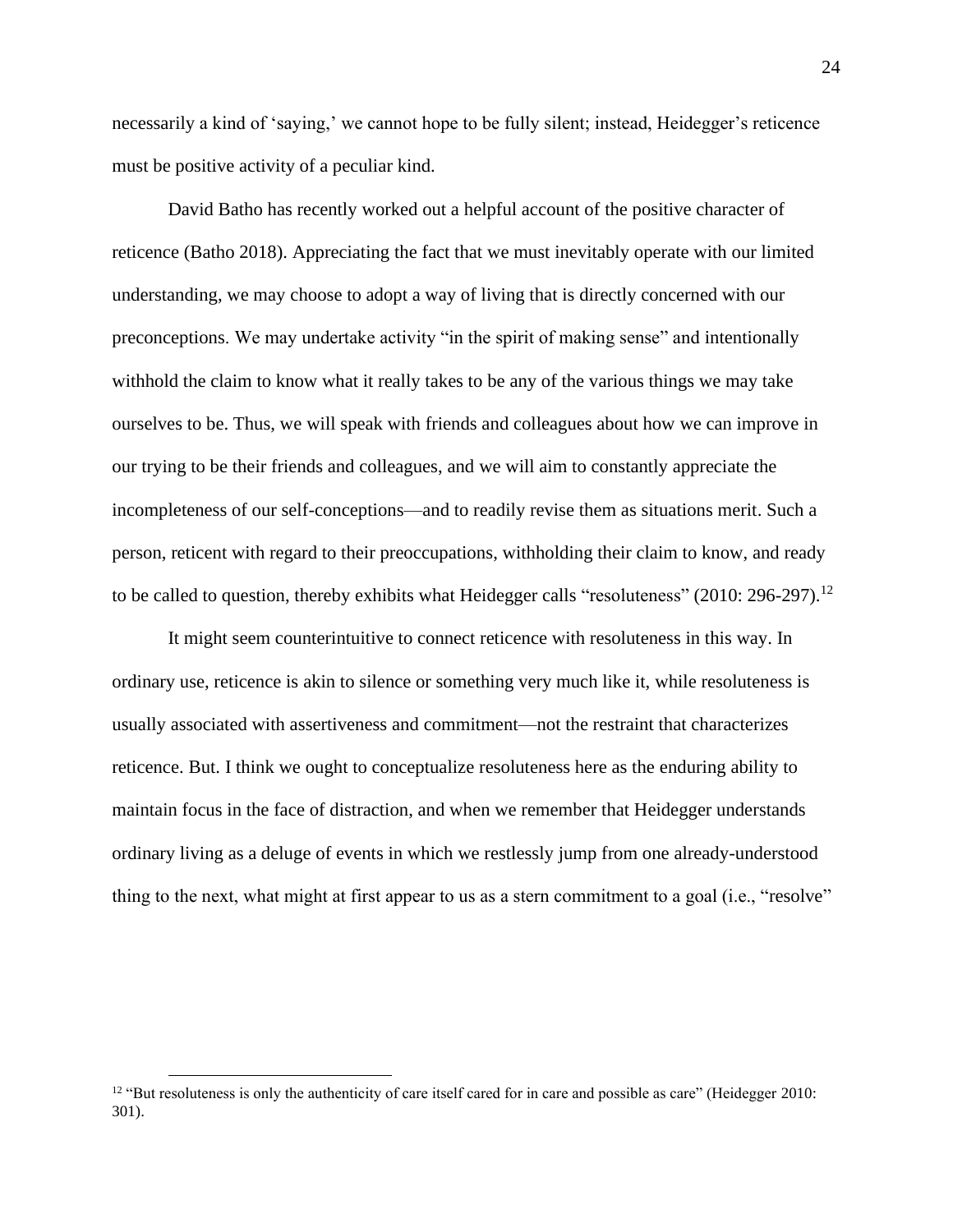necessarily a kind of 'saying,' we cannot hope to be fully silent; instead, Heidegger's reticence must be positive activity of a peculiar kind.

David Batho has recently worked out a helpful account of the positive character of reticence (Batho 2018). Appreciating the fact that we must inevitably operate with our limited understanding, we may choose to adopt a way of living that is directly concerned with our preconceptions. We may undertake activity "in the spirit of making sense" and intentionally withhold the claim to know what it really takes to be any of the various things we may take ourselves to be. Thus, we will speak with friends and colleagues about how we can improve in our trying to be their friends and colleagues, and we will aim to constantly appreciate the incompleteness of our self-conceptions—and to readily revise them as situations merit. Such a person, reticent with regard to their preoccupations, withholding their claim to know, and ready to be called to question, thereby exhibits what Heidegger calls "resoluteness" (2010: 296-297).<sup>12</sup>

It might seem counterintuitive to connect reticence with resoluteness in this way. In ordinary use, reticence is akin to silence or something very much like it, while resoluteness is usually associated with assertiveness and commitment—not the restraint that characterizes reticence. But. I think we ought to conceptualize resoluteness here as the enduring ability to maintain focus in the face of distraction, and when we remember that Heidegger understands ordinary living as a deluge of events in which we restlessly jump from one already-understood thing to the next, what might at first appear to us as a stern commitment to a goal (i.e., "resolve"

 $12$  "But resoluteness is only the authenticity of care itself cared for in care and possible as care" (Heidegger 2010: 301).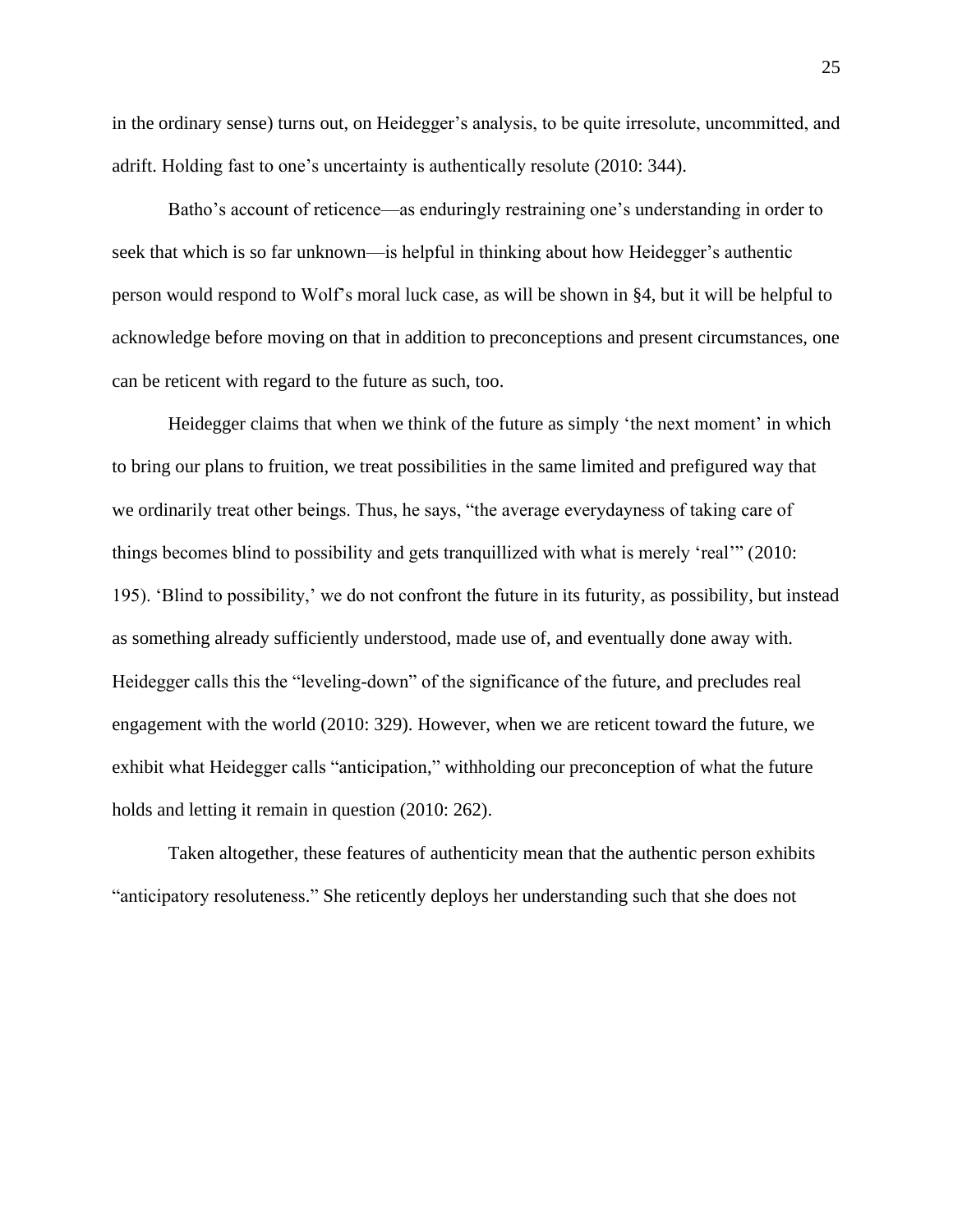in the ordinary sense) turns out, on Heidegger's analysis, to be quite irresolute, uncommitted, and adrift. Holding fast to one's uncertainty is authentically resolute (2010: 344).

Batho's account of reticence—as enduringly restraining one's understanding in order to seek that which is so far unknown—is helpful in thinking about how Heidegger's authentic person would respond to Wolf's moral luck case, as will be shown in §4, but it will be helpful to acknowledge before moving on that in addition to preconceptions and present circumstances, one can be reticent with regard to the future as such, too.

Heidegger claims that when we think of the future as simply 'the next moment' in which to bring our plans to fruition, we treat possibilities in the same limited and prefigured way that we ordinarily treat other beings. Thus, he says, "the average everydayness of taking care of things becomes blind to possibility and gets tranquillized with what is merely 'real'" (2010: 195). 'Blind to possibility,' we do not confront the future in its futurity, as possibility, but instead as something already sufficiently understood, made use of, and eventually done away with. Heidegger calls this the "leveling-down" of the significance of the future, and precludes real engagement with the world (2010: 329). However, when we are reticent toward the future, we exhibit what Heidegger calls "anticipation," withholding our preconception of what the future holds and letting it remain in question (2010: 262).

Taken altogether, these features of authenticity mean that the authentic person exhibits "anticipatory resoluteness." She reticently deploys her understanding such that she does not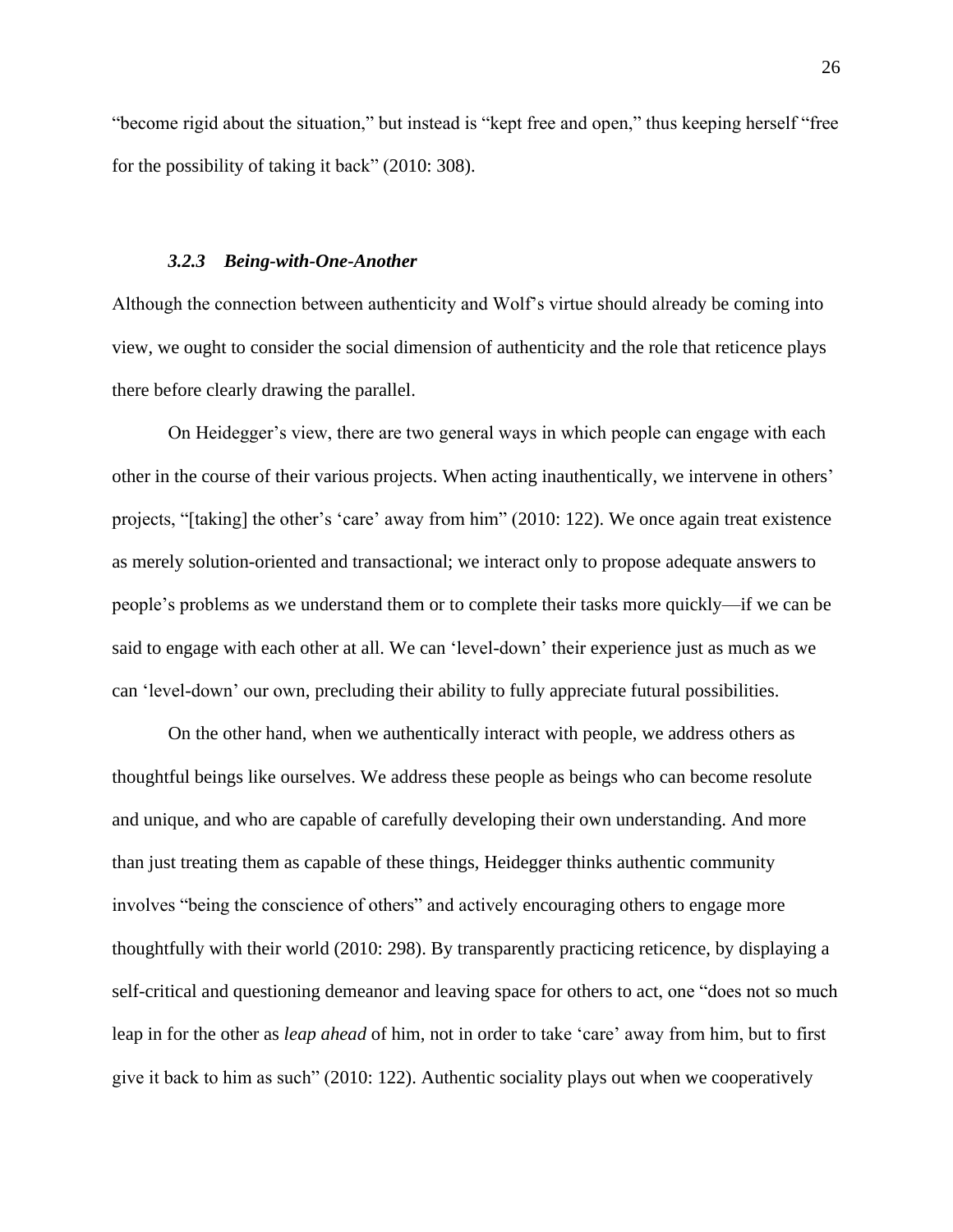"become rigid about the situation," but instead is "kept free and open," thus keeping herself "free for the possibility of taking it back" (2010: 308).

#### *3.2.3 Being-with-One-Another*

<span id="page-34-0"></span>Although the connection between authenticity and Wolf's virtue should already be coming into view, we ought to consider the social dimension of authenticity and the role that reticence plays there before clearly drawing the parallel.

On Heidegger's view, there are two general ways in which people can engage with each other in the course of their various projects. When acting inauthentically, we intervene in others' projects, "[taking] the other's 'care' away from him" (2010: 122). We once again treat existence as merely solution-oriented and transactional; we interact only to propose adequate answers to people's problems as we understand them or to complete their tasks more quickly—if we can be said to engage with each other at all. We can 'level-down' their experience just as much as we can 'level-down' our own, precluding their ability to fully appreciate futural possibilities.

On the other hand, when we authentically interact with people, we address others as thoughtful beings like ourselves. We address these people as beings who can become resolute and unique, and who are capable of carefully developing their own understanding. And more than just treating them as capable of these things, Heidegger thinks authentic community involves "being the conscience of others" and actively encouraging others to engage more thoughtfully with their world (2010: 298). By transparently practicing reticence, by displaying a self-critical and questioning demeanor and leaving space for others to act, one "does not so much leap in for the other as *leap ahead* of him, not in order to take 'care' away from him, but to first give it back to him as such" (2010: 122). Authentic sociality plays out when we cooperatively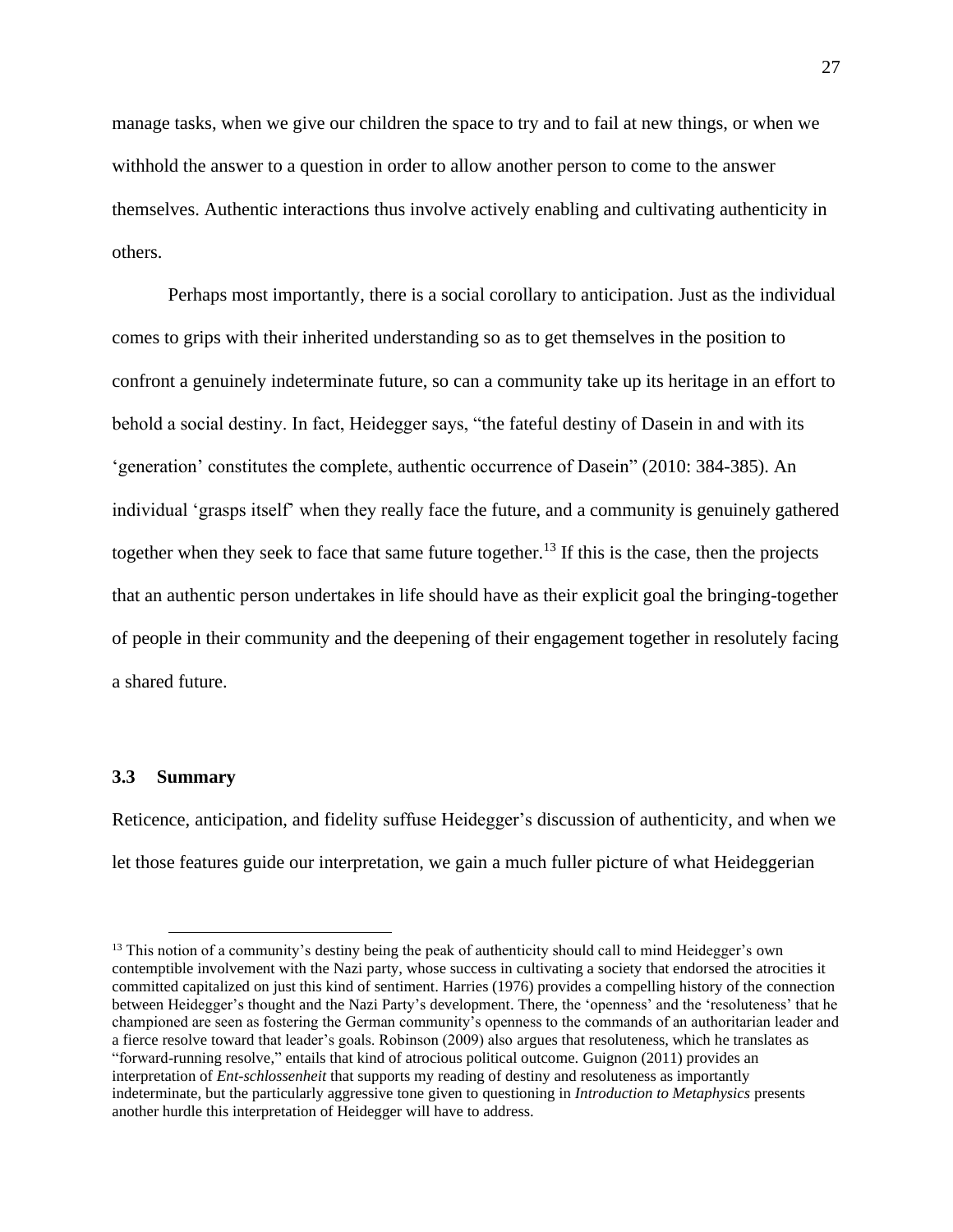manage tasks, when we give our children the space to try and to fail at new things, or when we withhold the answer to a question in order to allow another person to come to the answer themselves. Authentic interactions thus involve actively enabling and cultivating authenticity in others.

Perhaps most importantly, there is a social corollary to anticipation. Just as the individual comes to grips with their inherited understanding so as to get themselves in the position to confront a genuinely indeterminate future, so can a community take up its heritage in an effort to behold a social destiny. In fact, Heidegger says, "the fateful destiny of Dasein in and with its 'generation' constitutes the complete, authentic occurrence of Dasein" (2010: 384-385). An individual 'grasps itself' when they really face the future, and a community is genuinely gathered together when they seek to face that same future together.<sup>13</sup> If this is the case, then the projects that an authentic person undertakes in life should have as their explicit goal the bringing-together of people in their community and the deepening of their engagement together in resolutely facing a shared future.

#### <span id="page-35-0"></span>**3.3 Summary**

Reticence, anticipation, and fidelity suffuse Heidegger's discussion of authenticity, and when we let those features guide our interpretation, we gain a much fuller picture of what Heideggerian

<sup>&</sup>lt;sup>13</sup> This notion of a community's destiny being the peak of authenticity should call to mind Heidegger's own contemptible involvement with the Nazi party, whose success in cultivating a society that endorsed the atrocities it committed capitalized on just this kind of sentiment. Harries (1976) provides a compelling history of the connection between Heidegger's thought and the Nazi Party's development. There, the 'openness' and the 'resoluteness' that he championed are seen as fostering the German community's openness to the commands of an authoritarian leader and a fierce resolve toward that leader's goals. Robinson (2009) also argues that resoluteness, which he translates as "forward-running resolve," entails that kind of atrocious political outcome. Guignon (2011) provides an interpretation of *Ent-schlossenheit* that supports my reading of destiny and resoluteness as importantly indeterminate, but the particularly aggressive tone given to questioning in *Introduction to Metaphysics* presents another hurdle this interpretation of Heidegger will have to address.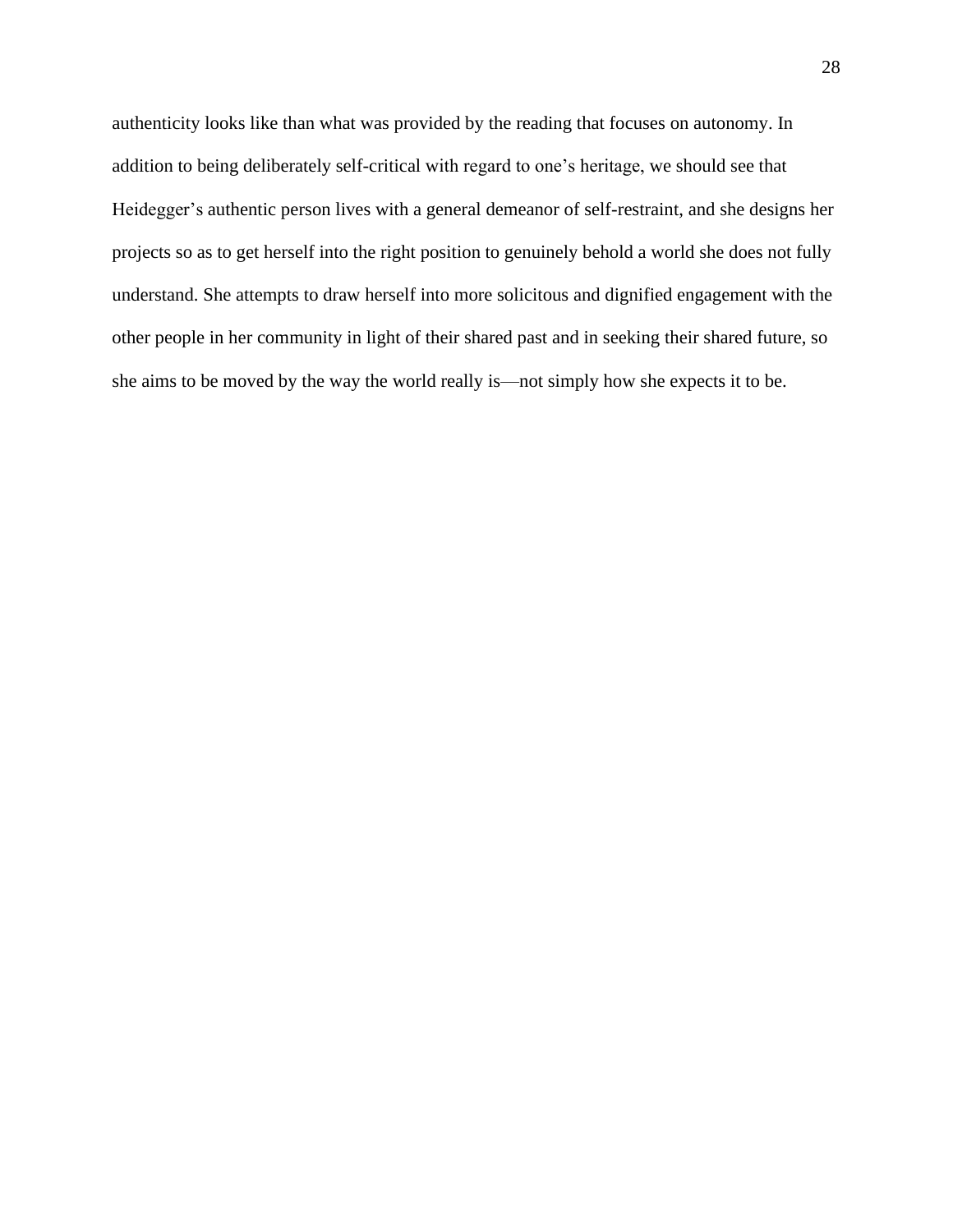authenticity looks like than what was provided by the reading that focuses on autonomy. In addition to being deliberately self-critical with regard to one's heritage, we should see that Heidegger's authentic person lives with a general demeanor of self-restraint, and she designs her projects so as to get herself into the right position to genuinely behold a world she does not fully understand. She attempts to draw herself into more solicitous and dignified engagement with the other people in her community in light of their shared past and in seeking their shared future, so she aims to be moved by the way the world really is—not simply how she expects it to be.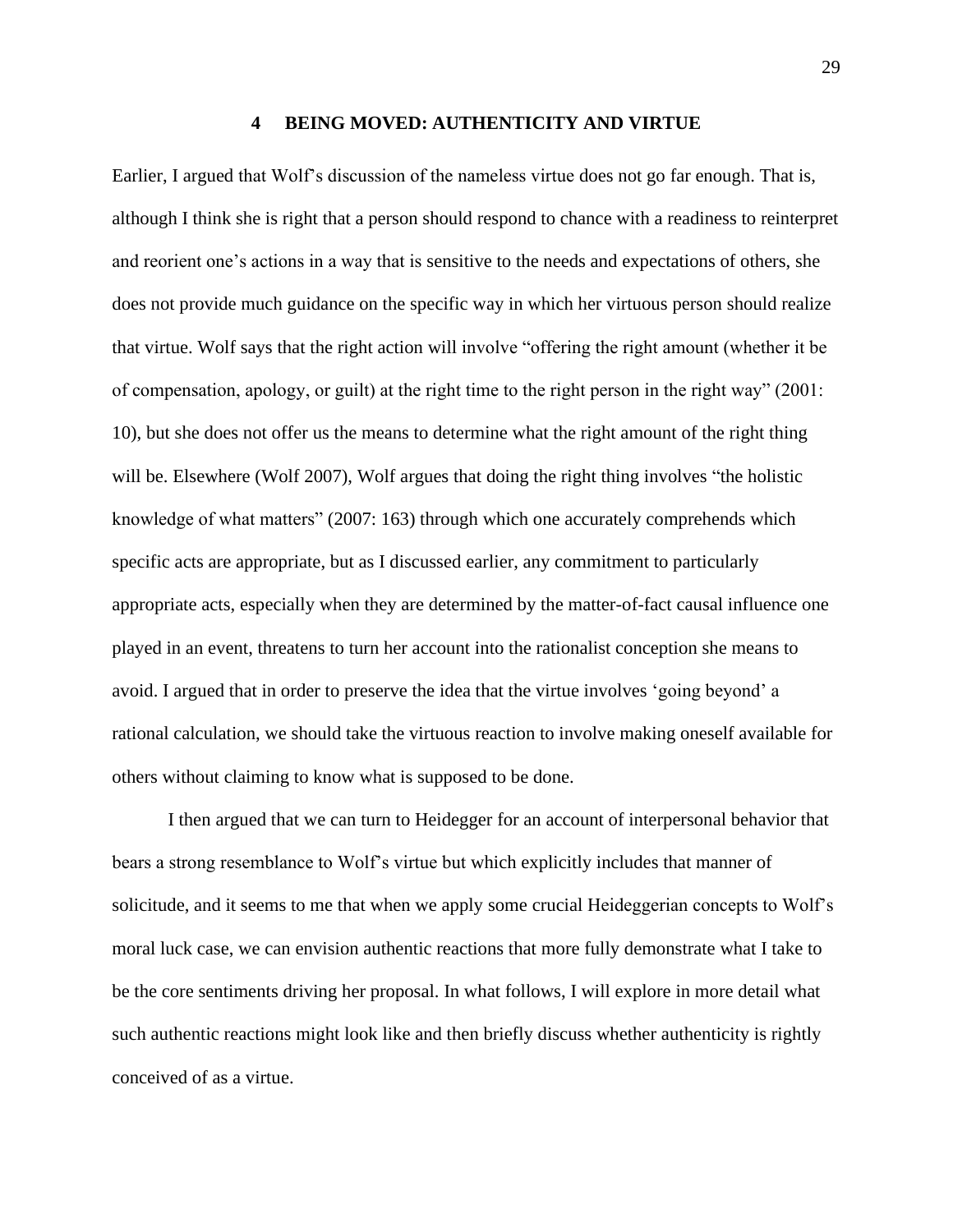#### **4 BEING MOVED: AUTHENTICITY AND VIRTUE**

<span id="page-37-0"></span>Earlier, I argued that Wolf's discussion of the nameless virtue does not go far enough. That is, although I think she is right that a person should respond to chance with a readiness to reinterpret and reorient one's actions in a way that is sensitive to the needs and expectations of others, she does not provide much guidance on the specific way in which her virtuous person should realize that virtue. Wolf says that the right action will involve "offering the right amount (whether it be of compensation, apology, or guilt) at the right time to the right person in the right way" (2001: 10), but she does not offer us the means to determine what the right amount of the right thing will be. Elsewhere (Wolf 2007), Wolf argues that doing the right thing involves "the holistic knowledge of what matters" (2007: 163) through which one accurately comprehends which specific acts are appropriate, but as I discussed earlier, any commitment to particularly appropriate acts, especially when they are determined by the matter-of-fact causal influence one played in an event, threatens to turn her account into the rationalist conception she means to avoid. I argued that in order to preserve the idea that the virtue involves 'going beyond' a rational calculation, we should take the virtuous reaction to involve making oneself available for others without claiming to know what is supposed to be done.

I then argued that we can turn to Heidegger for an account of interpersonal behavior that bears a strong resemblance to Wolf's virtue but which explicitly includes that manner of solicitude, and it seems to me that when we apply some crucial Heideggerian concepts to Wolf's moral luck case, we can envision authentic reactions that more fully demonstrate what I take to be the core sentiments driving her proposal. In what follows, I will explore in more detail what such authentic reactions might look like and then briefly discuss whether authenticity is rightly conceived of as a virtue.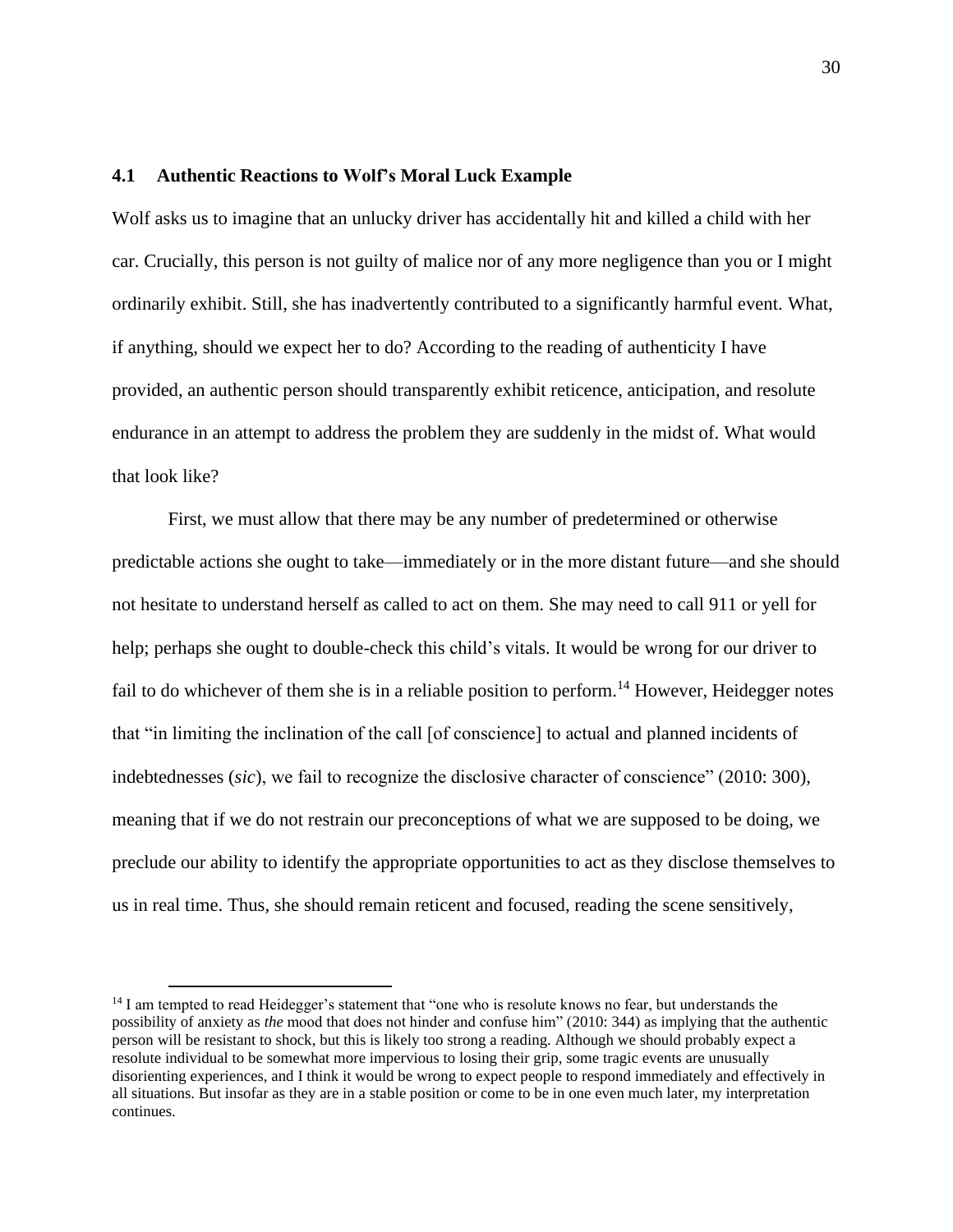# <span id="page-38-0"></span>**4.1 Authentic Reactions to Wolf's Moral Luck Example**

Wolf asks us to imagine that an unlucky driver has accidentally hit and killed a child with her car. Crucially, this person is not guilty of malice nor of any more negligence than you or I might ordinarily exhibit. Still, she has inadvertently contributed to a significantly harmful event. What, if anything, should we expect her to do? According to the reading of authenticity I have provided, an authentic person should transparently exhibit reticence, anticipation, and resolute endurance in an attempt to address the problem they are suddenly in the midst of. What would that look like?

First, we must allow that there may be any number of predetermined or otherwise predictable actions she ought to take—immediately or in the more distant future—and she should not hesitate to understand herself as called to act on them. She may need to call 911 or yell for help; perhaps she ought to double-check this child's vitals. It would be wrong for our driver to fail to do whichever of them she is in a reliable position to perform.<sup>14</sup> However, Heidegger notes that "in limiting the inclination of the call [of conscience] to actual and planned incidents of indebtednesses (*sic*), we fail to recognize the disclosive character of conscience" (2010: 300), meaning that if we do not restrain our preconceptions of what we are supposed to be doing, we preclude our ability to identify the appropriate opportunities to act as they disclose themselves to us in real time. Thus, she should remain reticent and focused, reading the scene sensitively,

<sup>&</sup>lt;sup>14</sup> I am tempted to read Heidegger's statement that "one who is resolute knows no fear, but understands the possibility of anxiety as *the* mood that does not hinder and confuse him" (2010: 344) as implying that the authentic person will be resistant to shock, but this is likely too strong a reading. Although we should probably expect a resolute individual to be somewhat more impervious to losing their grip, some tragic events are unusually disorienting experiences, and I think it would be wrong to expect people to respond immediately and effectively in all situations. But insofar as they are in a stable position or come to be in one even much later, my interpretation continues.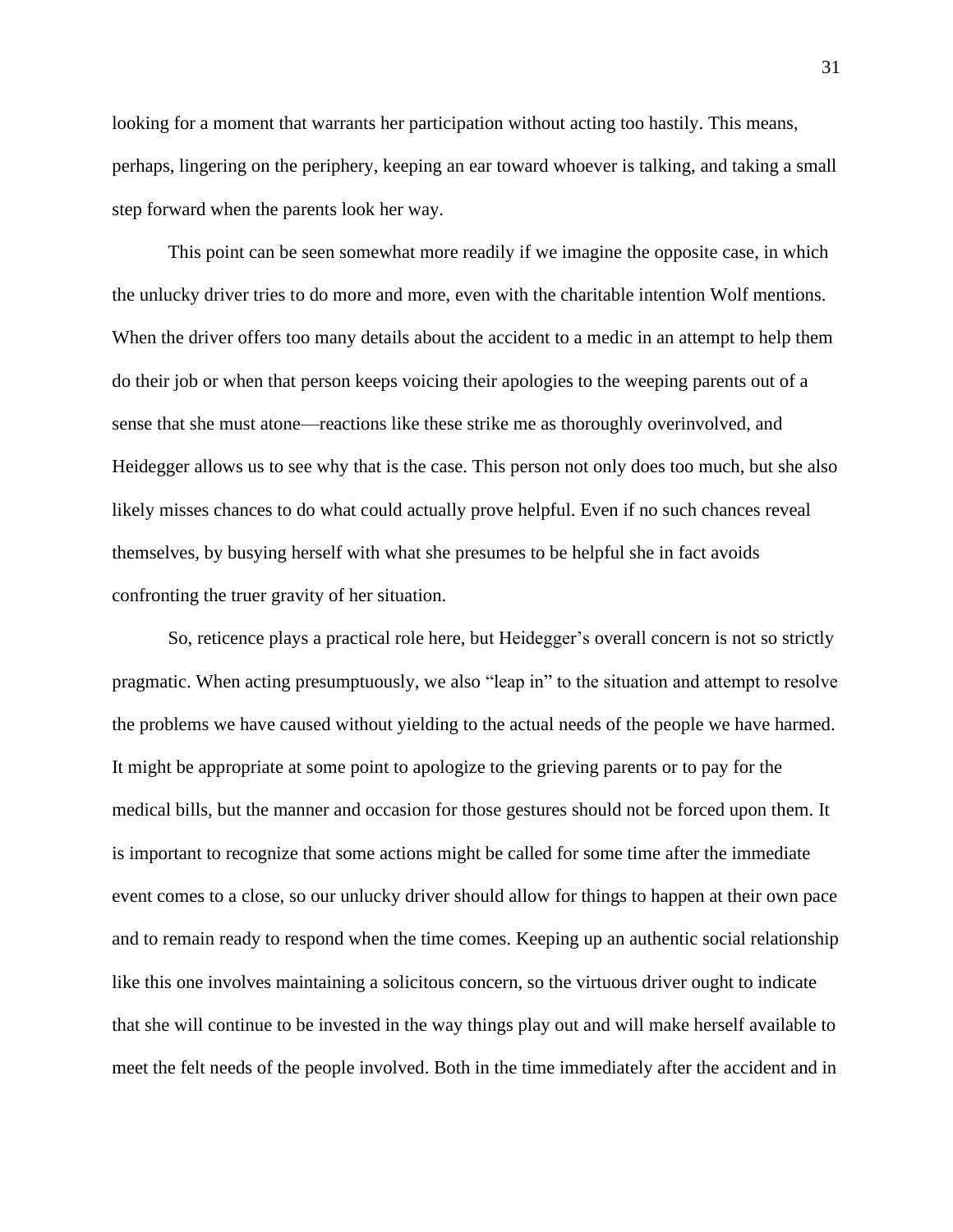looking for a moment that warrants her participation without acting too hastily. This means, perhaps, lingering on the periphery, keeping an ear toward whoever is talking, and taking a small step forward when the parents look her way.

This point can be seen somewhat more readily if we imagine the opposite case, in which the unlucky driver tries to do more and more, even with the charitable intention Wolf mentions. When the driver offers too many details about the accident to a medic in an attempt to help them do their job or when that person keeps voicing their apologies to the weeping parents out of a sense that she must atone—reactions like these strike me as thoroughly overinvolved, and Heidegger allows us to see why that is the case. This person not only does too much, but she also likely misses chances to do what could actually prove helpful. Even if no such chances reveal themselves, by busying herself with what she presumes to be helpful she in fact avoids confronting the truer gravity of her situation.

So, reticence plays a practical role here, but Heidegger's overall concern is not so strictly pragmatic. When acting presumptuously, we also "leap in" to the situation and attempt to resolve the problems we have caused without yielding to the actual needs of the people we have harmed. It might be appropriate at some point to apologize to the grieving parents or to pay for the medical bills, but the manner and occasion for those gestures should not be forced upon them. It is important to recognize that some actions might be called for some time after the immediate event comes to a close, so our unlucky driver should allow for things to happen at their own pace and to remain ready to respond when the time comes. Keeping up an authentic social relationship like this one involves maintaining a solicitous concern, so the virtuous driver ought to indicate that she will continue to be invested in the way things play out and will make herself available to meet the felt needs of the people involved. Both in the time immediately after the accident and in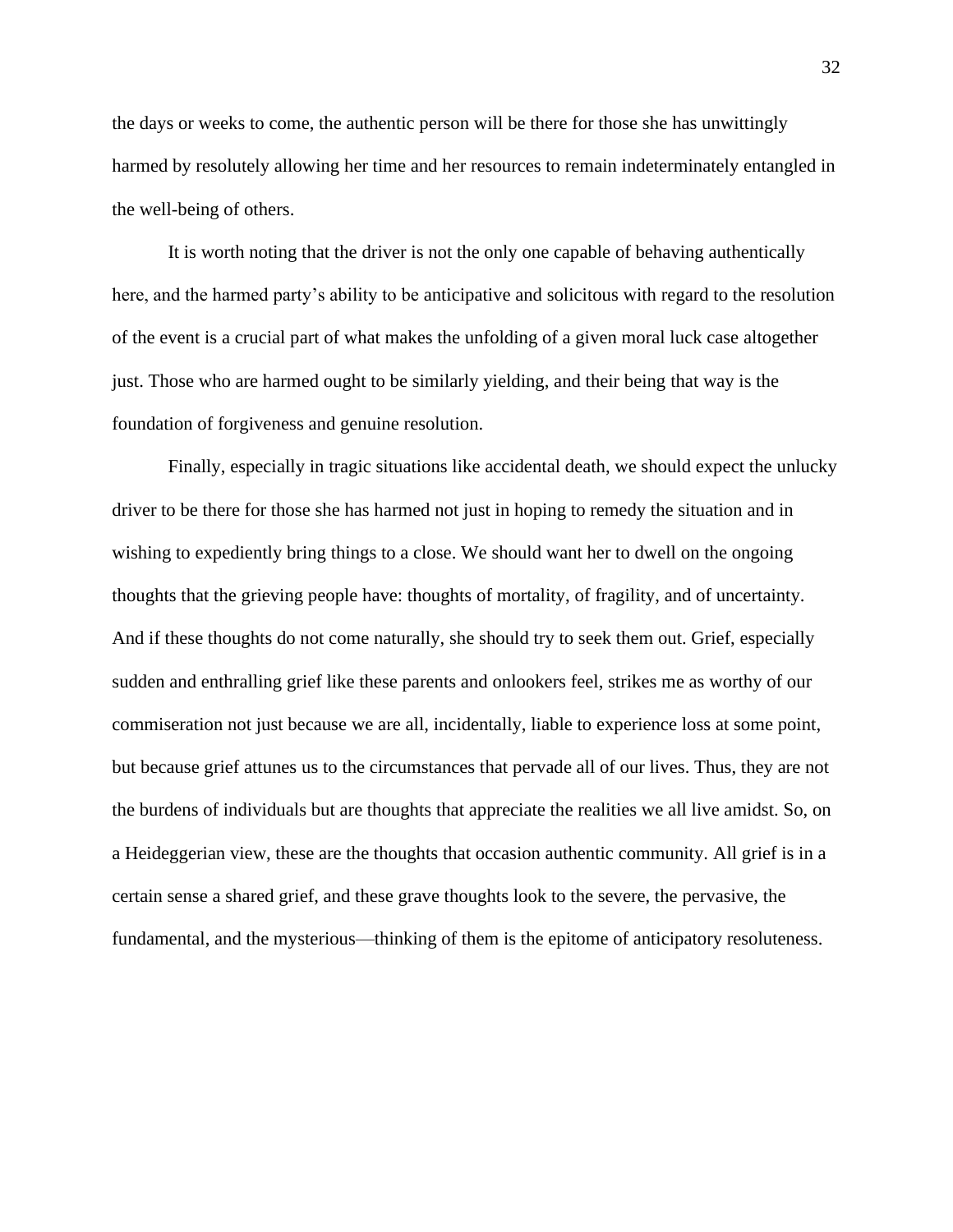the days or weeks to come, the authentic person will be there for those she has unwittingly harmed by resolutely allowing her time and her resources to remain indeterminately entangled in the well-being of others.

It is worth noting that the driver is not the only one capable of behaving authentically here, and the harmed party's ability to be anticipative and solicitous with regard to the resolution of the event is a crucial part of what makes the unfolding of a given moral luck case altogether just. Those who are harmed ought to be similarly yielding, and their being that way is the foundation of forgiveness and genuine resolution.

Finally, especially in tragic situations like accidental death, we should expect the unlucky driver to be there for those she has harmed not just in hoping to remedy the situation and in wishing to expediently bring things to a close. We should want her to dwell on the ongoing thoughts that the grieving people have: thoughts of mortality, of fragility, and of uncertainty. And if these thoughts do not come naturally, she should try to seek them out. Grief, especially sudden and enthralling grief like these parents and onlookers feel, strikes me as worthy of our commiseration not just because we are all, incidentally, liable to experience loss at some point, but because grief attunes us to the circumstances that pervade all of our lives. Thus, they are not the burdens of individuals but are thoughts that appreciate the realities we all live amidst. So, on a Heideggerian view, these are the thoughts that occasion authentic community. All grief is in a certain sense a shared grief, and these grave thoughts look to the severe, the pervasive, the fundamental, and the mysterious—thinking of them is the epitome of anticipatory resoluteness.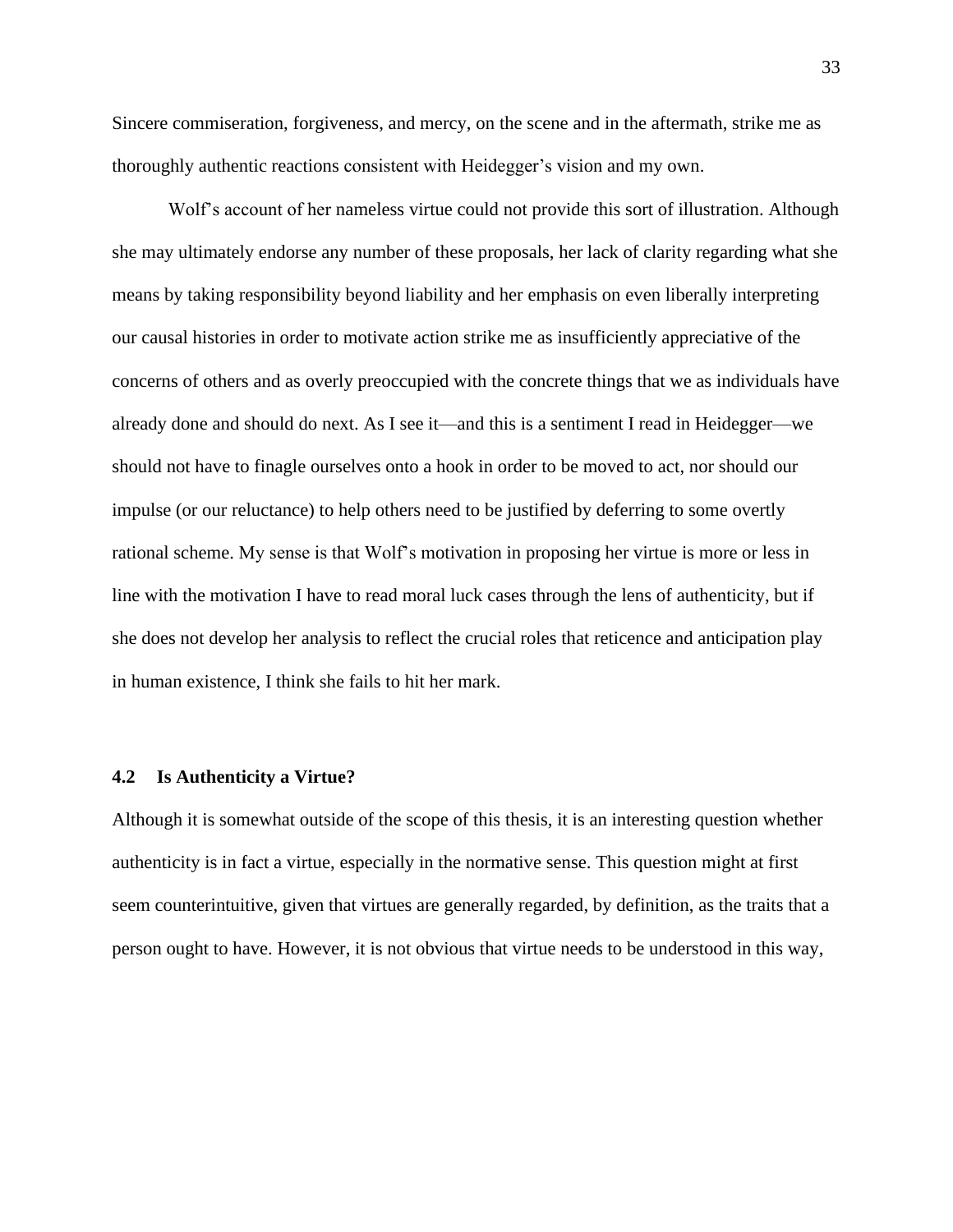Sincere commiseration, forgiveness, and mercy, on the scene and in the aftermath, strike me as thoroughly authentic reactions consistent with Heidegger's vision and my own.

Wolf's account of her nameless virtue could not provide this sort of illustration. Although she may ultimately endorse any number of these proposals, her lack of clarity regarding what she means by taking responsibility beyond liability and her emphasis on even liberally interpreting our causal histories in order to motivate action strike me as insufficiently appreciative of the concerns of others and as overly preoccupied with the concrete things that we as individuals have already done and should do next. As I see it—and this is a sentiment I read in Heidegger—we should not have to finagle ourselves onto a hook in order to be moved to act, nor should our impulse (or our reluctance) to help others need to be justified by deferring to some overtly rational scheme. My sense is that Wolf's motivation in proposing her virtue is more or less in line with the motivation I have to read moral luck cases through the lens of authenticity, but if she does not develop her analysis to reflect the crucial roles that reticence and anticipation play in human existence, I think she fails to hit her mark.

#### <span id="page-41-0"></span>**4.2 Is Authenticity a Virtue?**

Although it is somewhat outside of the scope of this thesis, it is an interesting question whether authenticity is in fact a virtue, especially in the normative sense. This question might at first seem counterintuitive, given that virtues are generally regarded, by definition, as the traits that a person ought to have. However, it is not obvious that virtue needs to be understood in this way,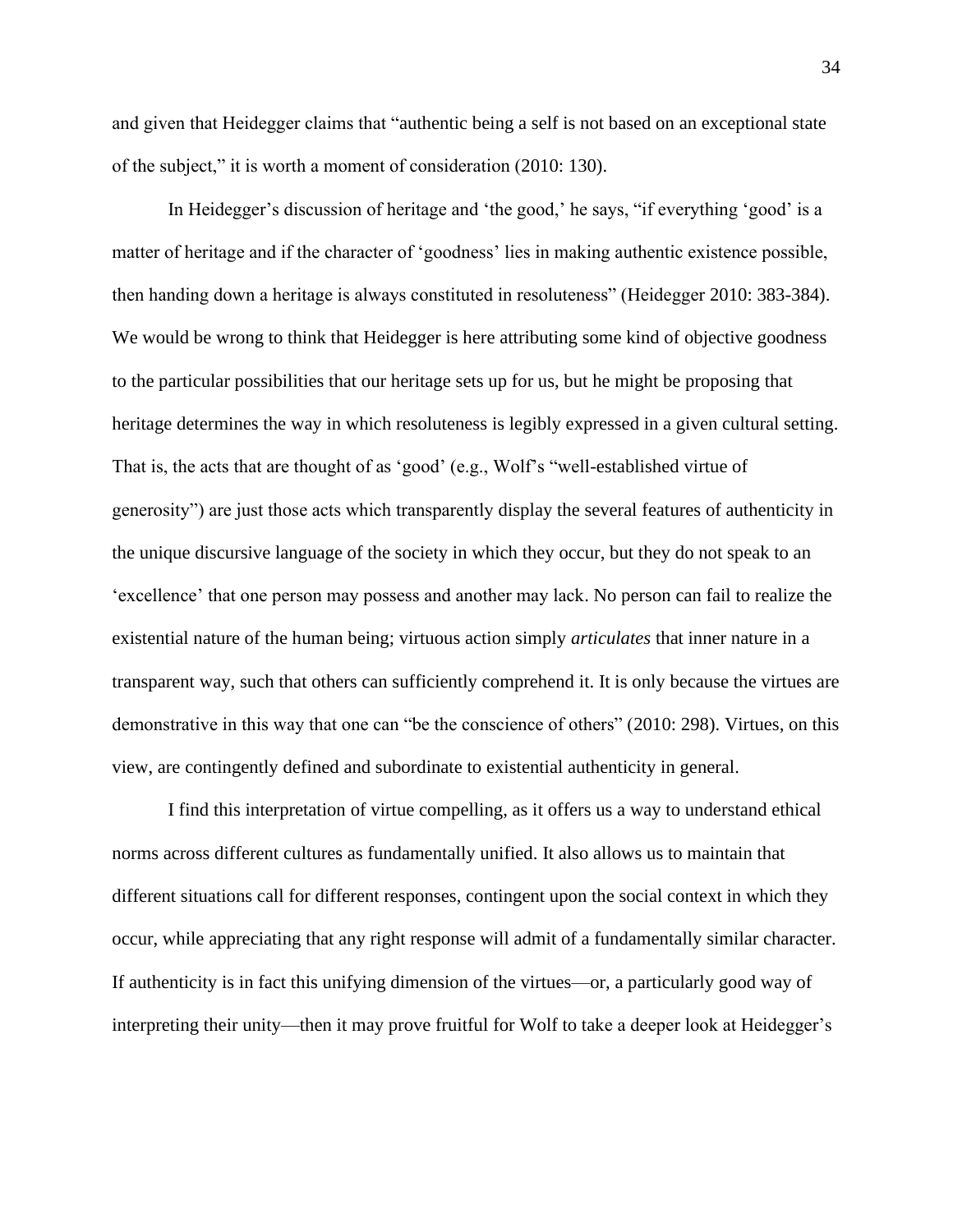and given that Heidegger claims that "authentic being a self is not based on an exceptional state of the subject," it is worth a moment of consideration (2010: 130).

In Heidegger's discussion of heritage and 'the good,' he says, "if everything 'good' is a matter of heritage and if the character of 'goodness' lies in making authentic existence possible, then handing down a heritage is always constituted in resoluteness" (Heidegger 2010: 383-384). We would be wrong to think that Heidegger is here attributing some kind of objective goodness to the particular possibilities that our heritage sets up for us, but he might be proposing that heritage determines the way in which resoluteness is legibly expressed in a given cultural setting. That is, the acts that are thought of as 'good' (e.g., Wolf's "well-established virtue of generosity") are just those acts which transparently display the several features of authenticity in the unique discursive language of the society in which they occur, but they do not speak to an 'excellence' that one person may possess and another may lack. No person can fail to realize the existential nature of the human being; virtuous action simply *articulates* that inner nature in a transparent way, such that others can sufficiently comprehend it. It is only because the virtues are demonstrative in this way that one can "be the conscience of others" (2010: 298). Virtues, on this view, are contingently defined and subordinate to existential authenticity in general.

I find this interpretation of virtue compelling, as it offers us a way to understand ethical norms across different cultures as fundamentally unified. It also allows us to maintain that different situations call for different responses, contingent upon the social context in which they occur, while appreciating that any right response will admit of a fundamentally similar character. If authenticity is in fact this unifying dimension of the virtues—or, a particularly good way of interpreting their unity—then it may prove fruitful for Wolf to take a deeper look at Heidegger's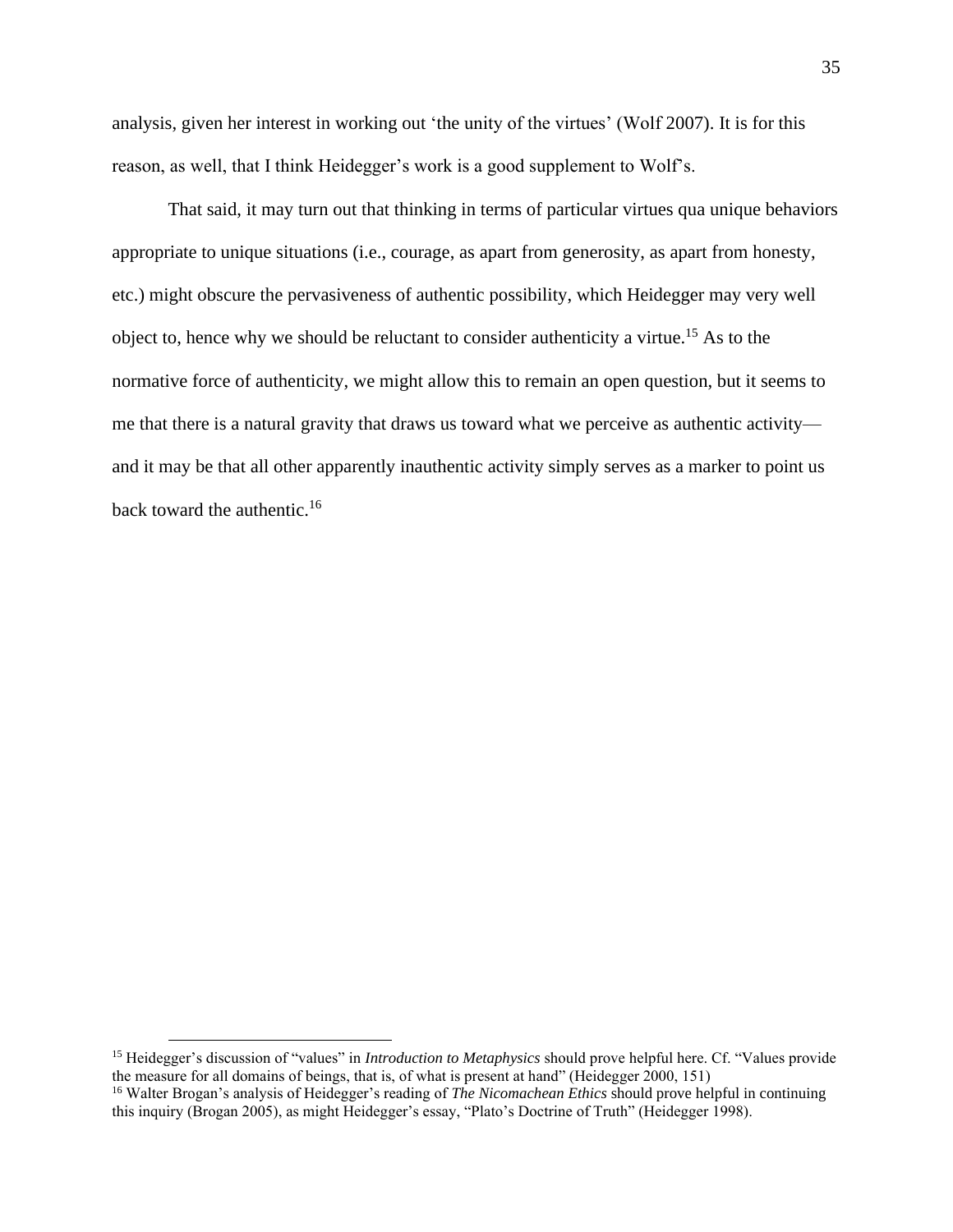analysis, given her interest in working out 'the unity of the virtues' (Wolf 2007). It is for this reason, as well, that I think Heidegger's work is a good supplement to Wolf's.

That said, it may turn out that thinking in terms of particular virtues qua unique behaviors appropriate to unique situations (i.e., courage, as apart from generosity, as apart from honesty, etc.) might obscure the pervasiveness of authentic possibility, which Heidegger may very well object to, hence why we should be reluctant to consider authenticity a virtue.<sup>15</sup> As to the normative force of authenticity, we might allow this to remain an open question, but it seems to me that there is a natural gravity that draws us toward what we perceive as authentic activity and it may be that all other apparently inauthentic activity simply serves as a marker to point us back toward the authentic.<sup>16</sup>

<sup>15</sup> Heidegger's discussion of "values" in *Introduction to Metaphysics* should prove helpful here. Cf. "Values provide the measure for all domains of beings, that is, of what is present at hand" (Heidegger 2000, 151)

<sup>16</sup> Walter Brogan's analysis of Heidegger's reading of *The Nicomachean Ethics* should prove helpful in continuing this inquiry (Brogan 2005), as might Heidegger's essay, "Plato's Doctrine of Truth" (Heidegger 1998).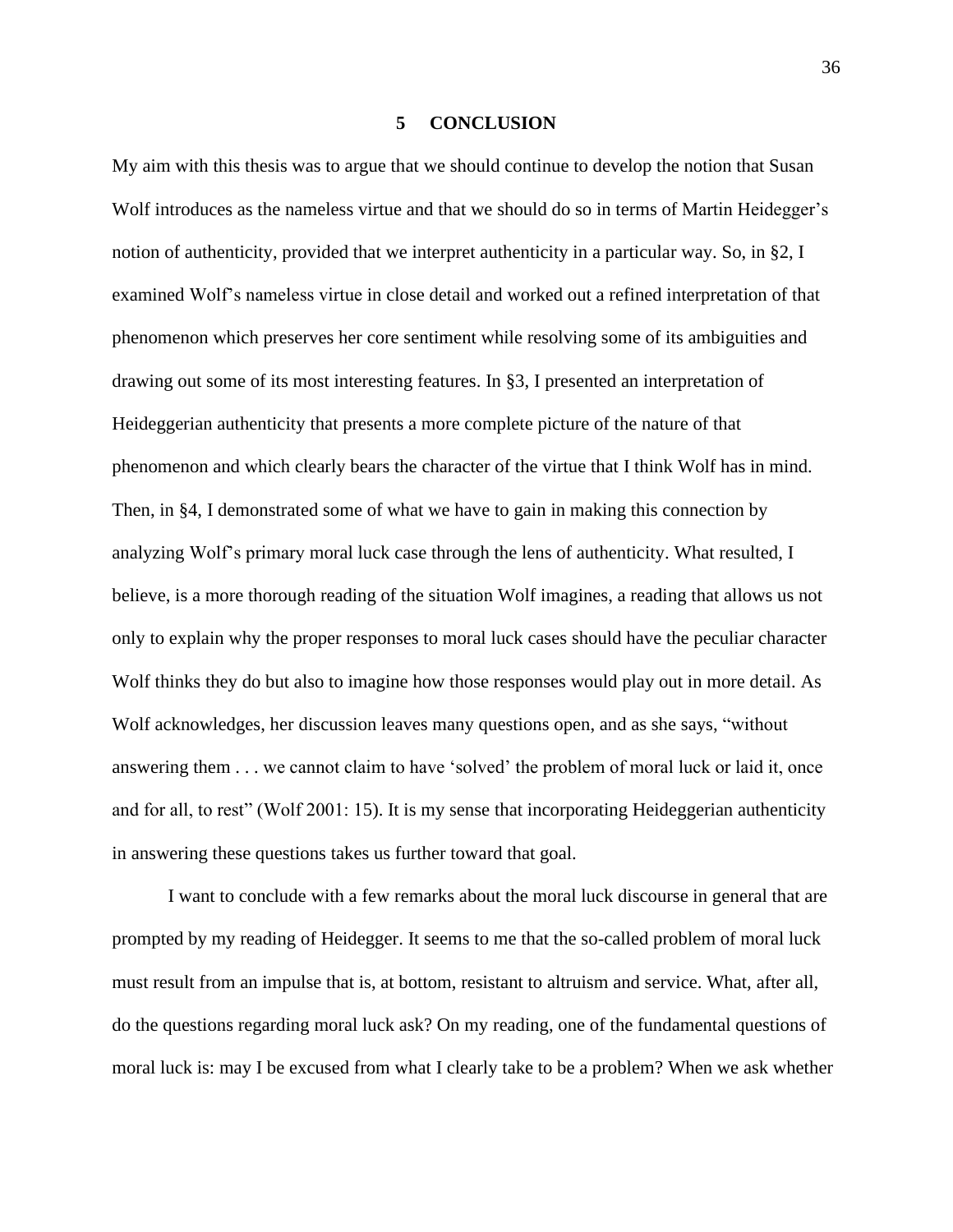# **5 CONCLUSION**

<span id="page-44-0"></span>My aim with this thesis was to argue that we should continue to develop the notion that Susan Wolf introduces as the nameless virtue and that we should do so in terms of Martin Heidegger's notion of authenticity, provided that we interpret authenticity in a particular way. So, in §2, I examined Wolf's nameless virtue in close detail and worked out a refined interpretation of that phenomenon which preserves her core sentiment while resolving some of its ambiguities and drawing out some of its most interesting features. In §3, I presented an interpretation of Heideggerian authenticity that presents a more complete picture of the nature of that phenomenon and which clearly bears the character of the virtue that I think Wolf has in mind. Then, in §4, I demonstrated some of what we have to gain in making this connection by analyzing Wolf's primary moral luck case through the lens of authenticity. What resulted, I believe, is a more thorough reading of the situation Wolf imagines, a reading that allows us not only to explain why the proper responses to moral luck cases should have the peculiar character Wolf thinks they do but also to imagine how those responses would play out in more detail. As Wolf acknowledges, her discussion leaves many questions open, and as she says, "without answering them . . . we cannot claim to have 'solved' the problem of moral luck or laid it, once and for all, to rest" (Wolf 2001: 15). It is my sense that incorporating Heideggerian authenticity in answering these questions takes us further toward that goal.

I want to conclude with a few remarks about the moral luck discourse in general that are prompted by my reading of Heidegger. It seems to me that the so-called problem of moral luck must result from an impulse that is, at bottom, resistant to altruism and service. What, after all, do the questions regarding moral luck ask? On my reading, one of the fundamental questions of moral luck is: may I be excused from what I clearly take to be a problem? When we ask whether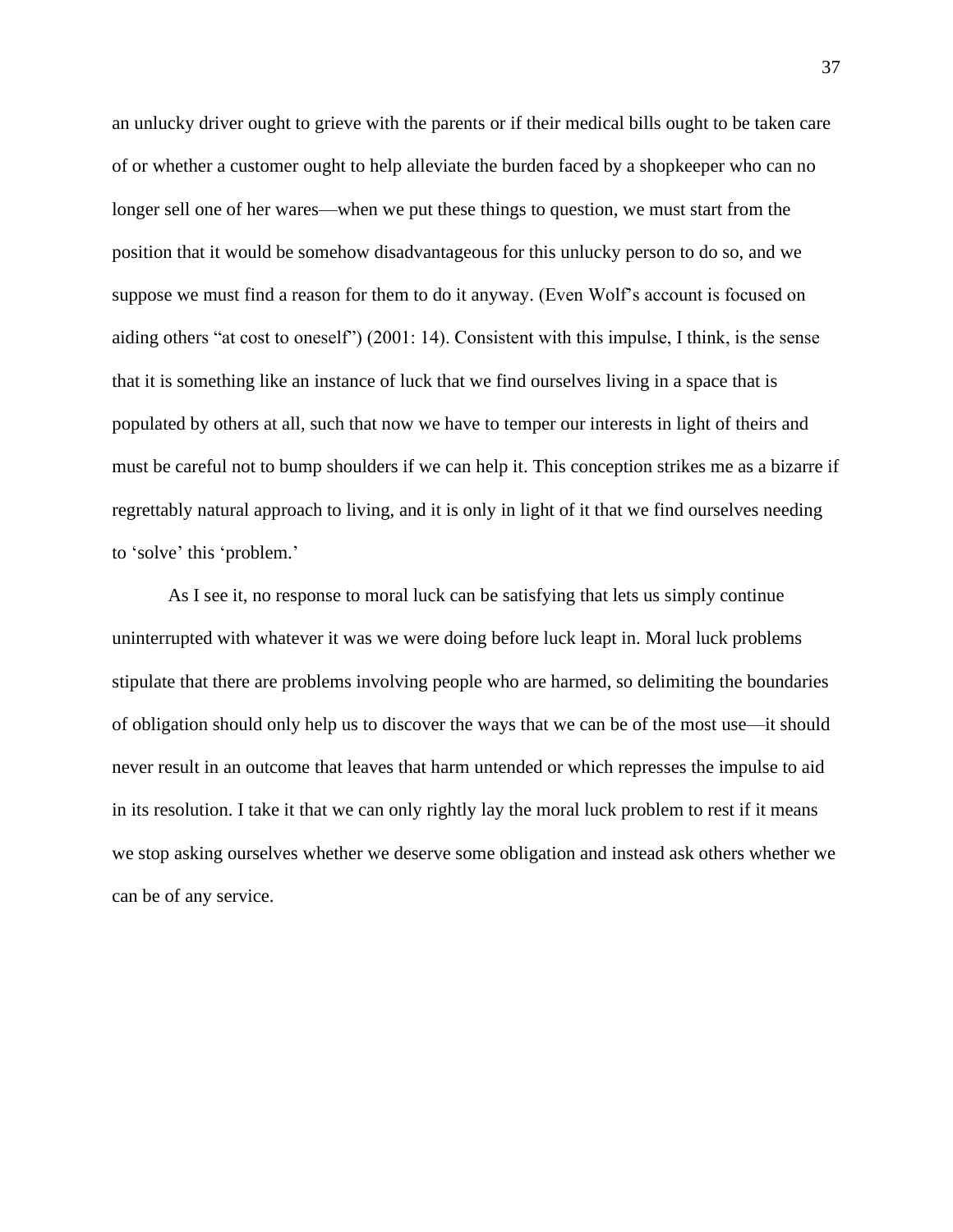an unlucky driver ought to grieve with the parents or if their medical bills ought to be taken care of or whether a customer ought to help alleviate the burden faced by a shopkeeper who can no longer sell one of her wares—when we put these things to question, we must start from the position that it would be somehow disadvantageous for this unlucky person to do so, and we suppose we must find a reason for them to do it anyway. (Even Wolf's account is focused on aiding others "at cost to oneself") (2001: 14). Consistent with this impulse, I think, is the sense that it is something like an instance of luck that we find ourselves living in a space that is populated by others at all, such that now we have to temper our interests in light of theirs and must be careful not to bump shoulders if we can help it. This conception strikes me as a bizarre if regrettably natural approach to living, and it is only in light of it that we find ourselves needing to 'solve' this 'problem.'

As I see it, no response to moral luck can be satisfying that lets us simply continue uninterrupted with whatever it was we were doing before luck leapt in. Moral luck problems stipulate that there are problems involving people who are harmed, so delimiting the boundaries of obligation should only help us to discover the ways that we can be of the most use—it should never result in an outcome that leaves that harm untended or which represses the impulse to aid in its resolution. I take it that we can only rightly lay the moral luck problem to rest if it means we stop asking ourselves whether we deserve some obligation and instead ask others whether we can be of any service.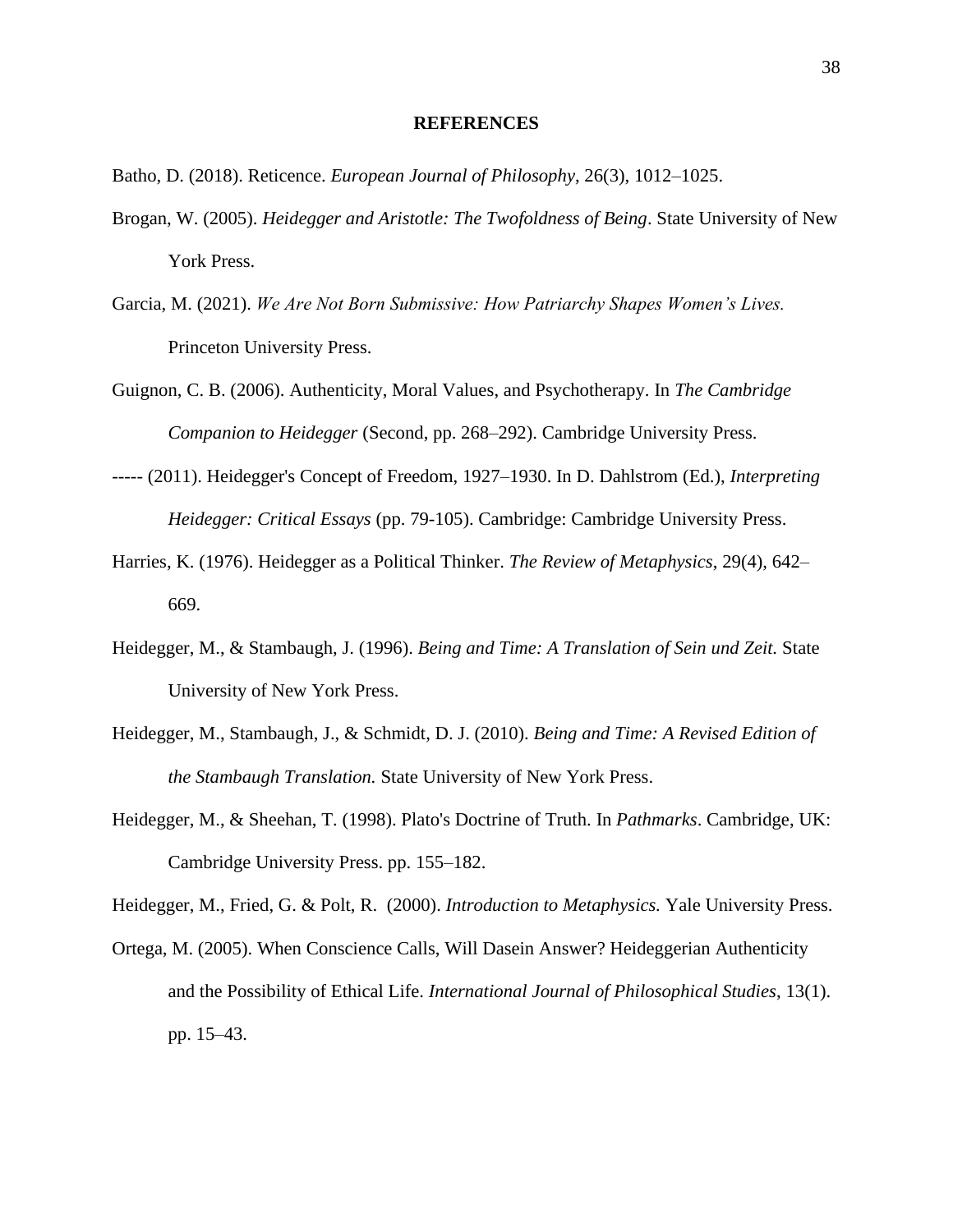#### **REFERENCES**

- <span id="page-46-0"></span>Batho, D. (2018). Reticence. *European Journal of Philosophy*, 26(3), 1012–1025.
- Brogan, W. (2005). *Heidegger and Aristotle: The Twofoldness of Being*. State University of New York Press.
- Garcia, M. (2021). *We Are Not Born Submissive: How Patriarchy Shapes Women's Lives.* Princeton University Press.
- Guignon, C. B. (2006). Authenticity, Moral Values, and Psychotherapy. In *The Cambridge Companion to Heidegger* (Second, pp. 268–292). Cambridge University Press.
- ----- (2011). Heidegger's Concept of Freedom, 1927–1930. In D. Dahlstrom (Ed.), *Interpreting Heidegger: Critical Essays* (pp. 79-105). Cambridge: Cambridge University Press.
- Harries, K. (1976). Heidegger as a Political Thinker. *The Review of Metaphysics*, 29(4), 642– 669.
- Heidegger, M., & Stambaugh, J. (1996). *Being and Time: A Translation of Sein und Zeit.* State University of New York Press.
- Heidegger, M., Stambaugh, J., & Schmidt, D. J. (2010). *Being and Time: A Revised Edition of the Stambaugh Translation.* State University of New York Press.
- Heidegger, M., & Sheehan, T. (1998). Plato's Doctrine of Truth. In *Pathmarks*. Cambridge, UK: Cambridge University Press. pp. 155–182.

Heidegger, M., Fried, G. & Polt, R. (2000). *Introduction to Metaphysics.* Yale University Press.

Ortega, M. (2005). When Conscience Calls, Will Dasein Answer? Heideggerian Authenticity and the Possibility of Ethical Life. *International Journal of Philosophical Studies*, 13(1). pp. 15–43.